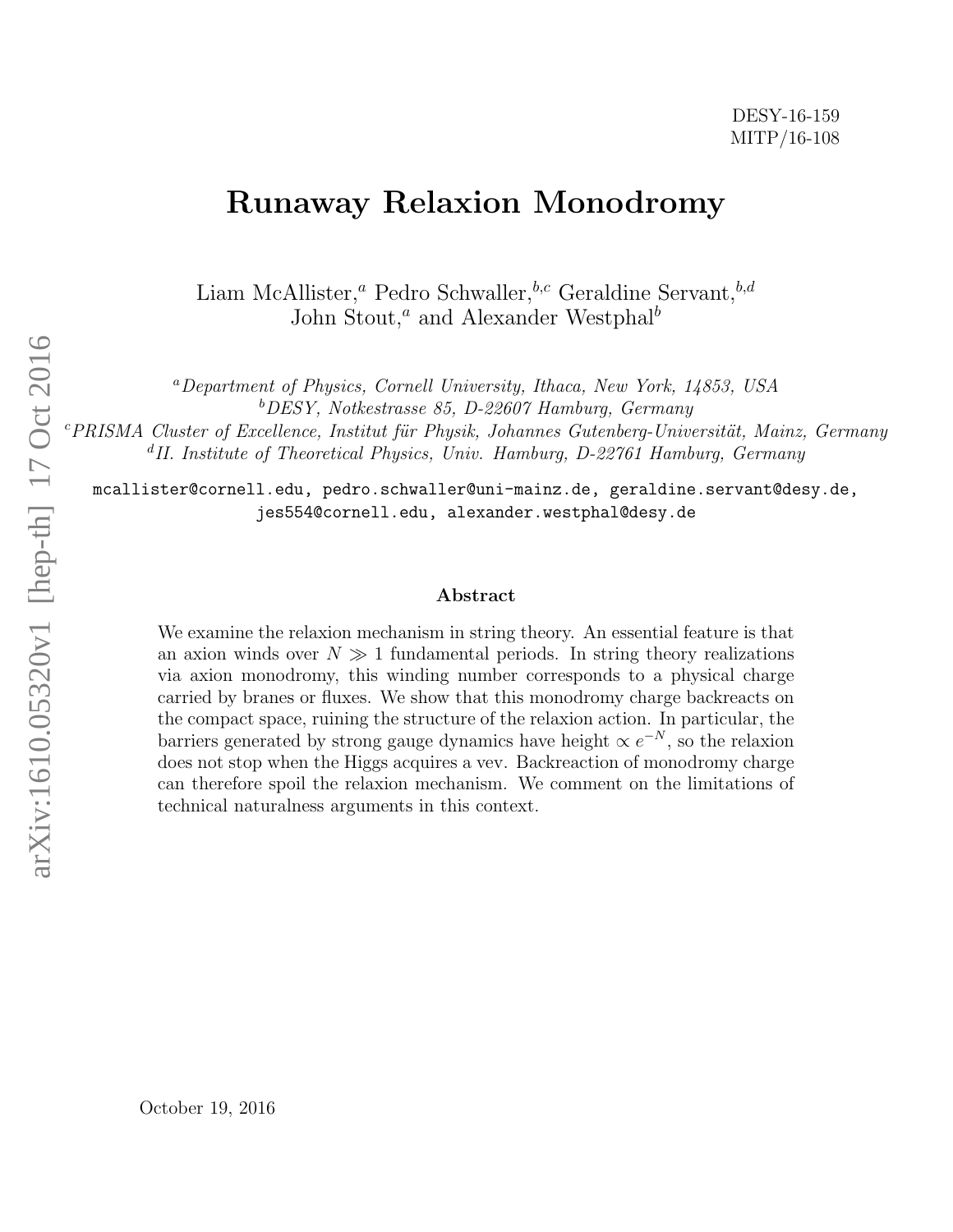# Runaway Relaxion Monodromy

Liam McAllister,<sup>a</sup> Pedro Schwaller,<sup>b,c</sup> Geraldine Servant,<sup>b,d</sup> John Stout,<sup> $a$ </sup> and Alexander Westphal<sup>b</sup>

<sup>a</sup>Department of Physics, Cornell University, Ithaca, New York, 14853, USA  $b$ DESY, Notkestrasse 85, D-22607 Hamburg, Germany

 $c$ PRISMA Cluster of Excellence, Institut für Physik, Johannes Gutenberg-Universität, Mainz, Germany

<sup>d</sup>II. Institute of Theoretical Physics, Univ. Hamburg, D-22761 Hamburg, Germany

mcallister@cornell.edu, pedro.schwaller@uni-mainz.de, geraldine.servant@desy.de, jes554@cornell.edu, alexander.westphal@desy.de

#### Abstract

We examine the relaxion mechanism in string theory. An essential feature is that an axion winds over  $N \gg 1$  fundamental periods. In string theory realizations via axion monodromy, this winding number corresponds to a physical charge carried by branes or fluxes. We show that this monodromy charge backreacts on the compact space, ruining the structure of the relaxion action. In particular, the barriers generated by strong gauge dynamics have height  $\propto e^{-N}$ , so the relaxion does not stop when the Higgs acquires a vev. Backreaction of monodromy charge can therefore spoil the relaxion mechanism. We comment on the limitations of technical naturalness arguments in this context.

October 19, 2016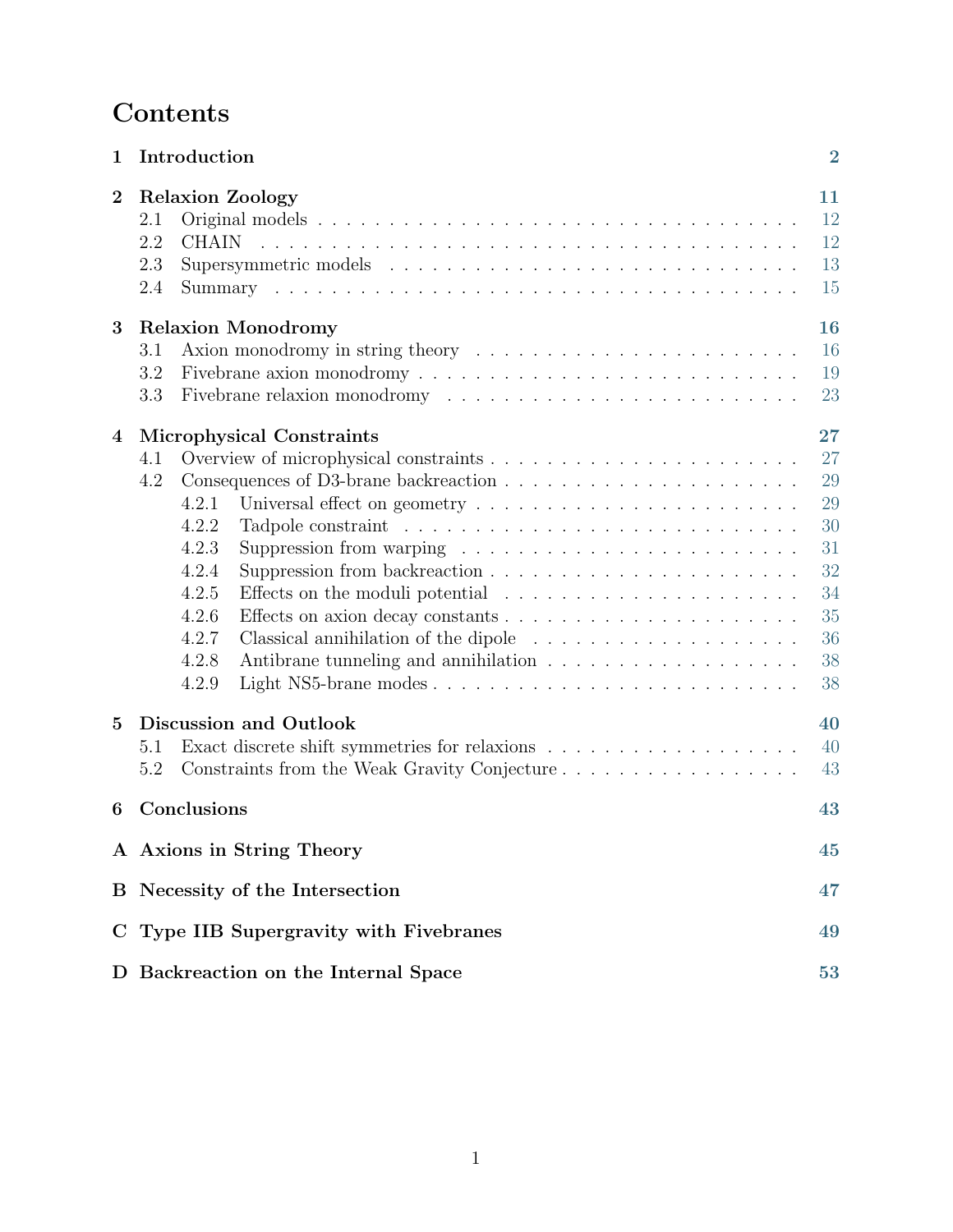# Contents

| 1              | Introduction                                                                                                                                                                                                                                                                                                                                                                                                                                                           | $\overline{2}$                                                 |  |  |
|----------------|------------------------------------------------------------------------------------------------------------------------------------------------------------------------------------------------------------------------------------------------------------------------------------------------------------------------------------------------------------------------------------------------------------------------------------------------------------------------|----------------------------------------------------------------|--|--|
| $\overline{2}$ | <b>Relaxion Zoology</b><br>2.1<br>2.2<br><b>CHAIN</b><br>2.3<br>2.4                                                                                                                                                                                                                                                                                                                                                                                                    | 11<br>12<br>12<br>13<br>15                                     |  |  |
| 3              | <b>Relaxion Monodromy</b>                                                                                                                                                                                                                                                                                                                                                                                                                                              | 16                                                             |  |  |
|                | 3.1<br>3.2<br>3.3                                                                                                                                                                                                                                                                                                                                                                                                                                                      | 16<br>19<br>23                                                 |  |  |
| 4              | Microphysical Constraints                                                                                                                                                                                                                                                                                                                                                                                                                                              | 27                                                             |  |  |
|                | 4.1<br>4.2<br>4.2.1<br>Universal effect on geometry $\dots \dots \dots \dots \dots \dots \dots \dots$<br>4.2.2<br>4.2.3<br>Suppression from warping $\ldots \ldots \ldots \ldots \ldots \ldots \ldots \ldots$<br>4.2.4<br>4.2.5<br>Effects on the moduli potential $\ldots \ldots \ldots \ldots \ldots \ldots \ldots$<br>4.2.6<br>4.2.7<br>Classical annihilation of the dipole $\ldots \ldots \ldots \ldots \ldots \ldots$<br>4.2.8<br>4.2.9<br>Light NS5-brane modes | 27<br>29<br>29<br>30<br>31<br>32<br>34<br>35<br>36<br>38<br>38 |  |  |
| $\bf{5}$       | Discussion and Outlook<br>5.1<br>5.2<br>Constraints from the Weak Gravity Conjecture                                                                                                                                                                                                                                                                                                                                                                                   | 40<br>40<br>43                                                 |  |  |
| 6              | Conclusions                                                                                                                                                                                                                                                                                                                                                                                                                                                            | 43                                                             |  |  |
|                | A Axions in String Theory                                                                                                                                                                                                                                                                                                                                                                                                                                              | 45                                                             |  |  |
| В              | Necessity of the Intersection<br>47                                                                                                                                                                                                                                                                                                                                                                                                                                    |                                                                |  |  |
|                | C Type IIB Supergravity with Fivebranes<br>49                                                                                                                                                                                                                                                                                                                                                                                                                          |                                                                |  |  |
|                | D Backreaction on the Internal Space                                                                                                                                                                                                                                                                                                                                                                                                                                   | 53                                                             |  |  |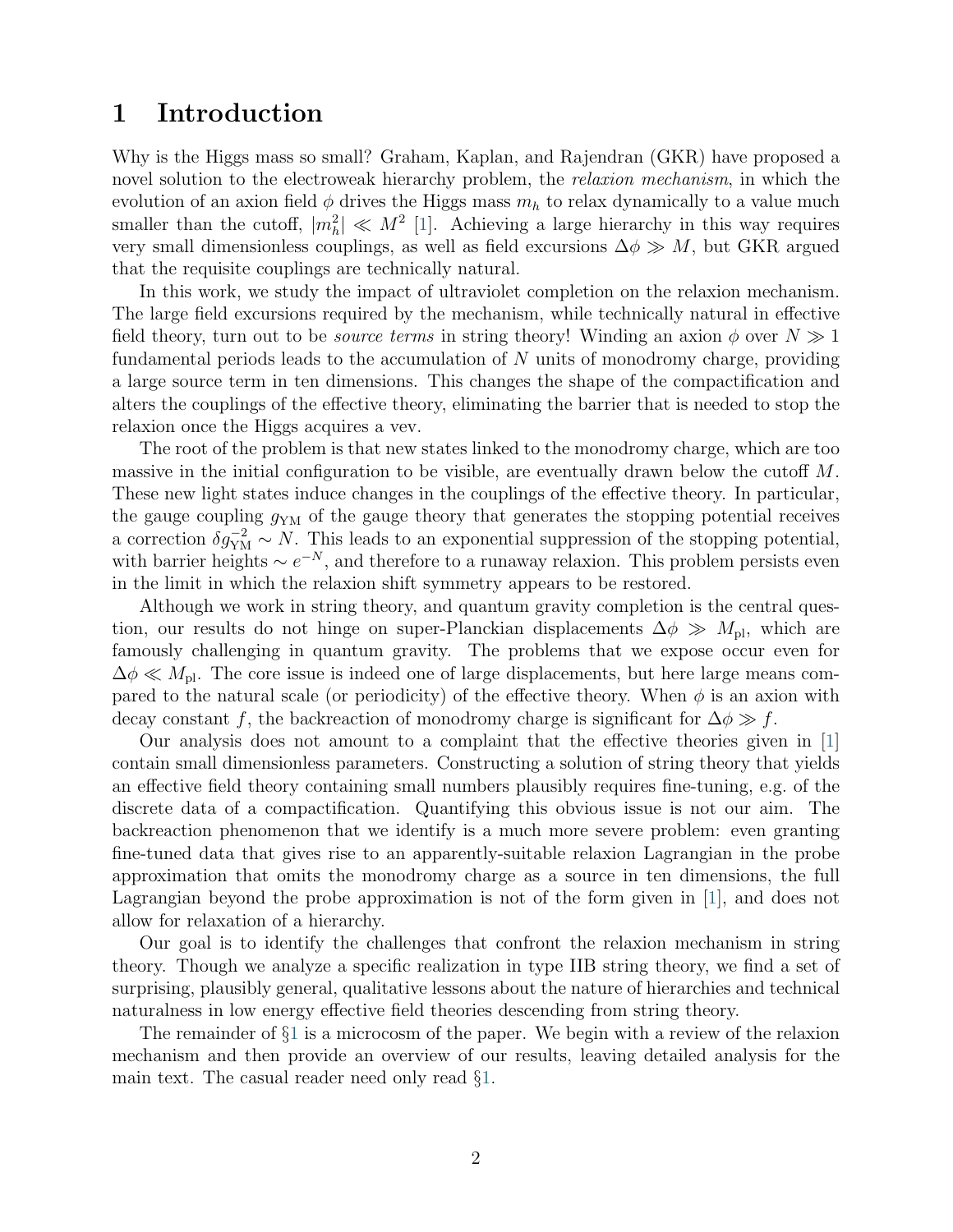# <span id="page-2-0"></span>1 Introduction

Why is the Higgs mass so small? Graham, Kaplan, and Rajendran (GKR) have proposed a novel solution to the electroweak hierarchy problem, the *relaxion mechanism*, in which the evolution of an axion field  $\phi$  drives the Higgs mass  $m_h$  to relax dynamically to a value much smaller than the cutoff,  $|m_h^2| \ll M^2$  [\[1\]](#page-56-0). Achieving a large hierarchy in this way requires very small dimensionless couplings, as well as field excursions  $\Delta \phi \gg M$ , but GKR argued that the requisite couplings are technically natural.

In this work, we study the impact of ultraviolet completion on the relaxion mechanism. The large field excursions required by the mechanism, while technically natural in effective field theory, turn out to be *source terms* in string theory! Winding an axion  $\phi$  over  $N \gg 1$ fundamental periods leads to the accumulation of  $N$  units of monodromy charge, providing a large source term in ten dimensions. This changes the shape of the compactification and alters the couplings of the effective theory, eliminating the barrier that is needed to stop the relaxion once the Higgs acquires a vev.

The root of the problem is that new states linked to the monodromy charge, which are too massive in the initial configuration to be visible, are eventually drawn below the cutoff M. These new light states induce changes in the couplings of the effective theory. In particular, the gauge coupling  $g_{YM}$  of the gauge theory that generates the stopping potential receives a correction  $\delta g_{\text{YM}}^{-2} \sim N$ . This leads to an exponential suppression of the stopping potential, with barrier heights  $\sim e^{-N}$ , and therefore to a runaway relaxion. This problem persists even in the limit in which the relaxion shift symmetry appears to be restored.

Although we work in string theory, and quantum gravity completion is the central question, our results do not hinge on super-Planckian displacements  $\Delta \phi \gg M_{\text{pl}}$ , which are famously challenging in quantum gravity. The problems that we expose occur even for  $\Delta \phi \ll M_{\text{pl}}$ . The core issue is indeed one of large displacements, but here large means compared to the natural scale (or periodicity) of the effective theory. When  $\phi$  is an axion with decay constant f, the backreaction of monodromy charge is significant for  $\Delta \phi \gg f$ .

Our analysis does not amount to a complaint that the effective theories given in [\[1\]](#page-56-0) contain small dimensionless parameters. Constructing a solution of string theory that yields an effective field theory containing small numbers plausibly requires fine-tuning, e.g. of the discrete data of a compactification. Quantifying this obvious issue is not our aim. The backreaction phenomenon that we identify is a much more severe problem: even granting fine-tuned data that gives rise to an apparently-suitable relaxion Lagrangian in the probe approximation that omits the monodromy charge as a source in ten dimensions, the full Lagrangian beyond the probe approximation is not of the form given in [\[1\]](#page-56-0), and does not allow for relaxation of a hierarchy.

Our goal is to identify the challenges that confront the relaxion mechanism in string theory. Though we analyze a specific realization in type IIB string theory, we find a set of surprising, plausibly general, qualitative lessons about the nature of hierarchies and technical naturalness in low energy effective field theories descending from string theory.

The remainder of  $\S1$  $\S1$  is a microcosm of the paper. We begin with a review of the relaxion mechanism and then provide an overview of our results, leaving detailed analysis for the main text. The casual reader need only read §[1.](#page-2-0)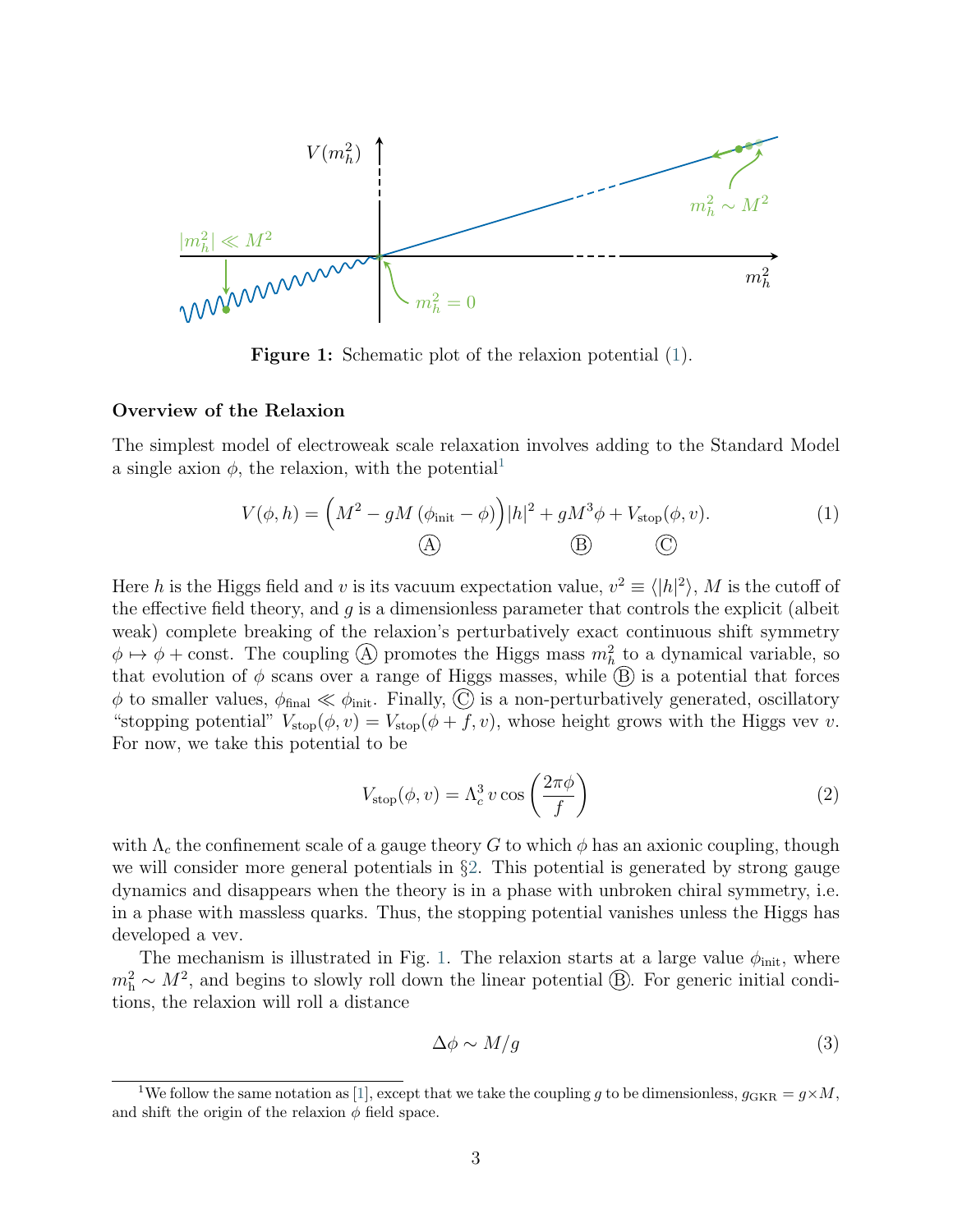<span id="page-3-2"></span>

**Figure 1:** Schematic plot of the relaxion potential  $(1)$ .

#### <span id="page-3-5"></span>Overview of the Relaxion

The simplest model of electroweak scale relaxation involves adding to the Standard Model a single axion  $\phi$ , the relaxion, with the potential<sup>[1](#page-3-1)</sup>

<span id="page-3-0"></span>
$$
V(\phi, h) = \left(M^2 - gM\left(\phi_{\text{init}} - \phi\right)\right)|h|^2 + gM^3\phi + V_{\text{stop}}(\phi, v). \tag{1}
$$

Here h is the Higgs field and v is its vacuum expectation value,  $v^2 \equiv \langle |h|^2 \rangle$ , M is the cutoff of the effective field theory, and  $q$  is a dimensionless parameter that controls the explicit (albeit weak) complete breaking of the relaxion's perturbatively exact continuous shift symmetry  $\phi \mapsto \phi + \text{const.}$  The coupling  $\textcircled{A}$  promotes the Higgs mass  $m_h^2$  to a dynamical variable, so that evolution of  $\phi$  scans over a range of Higgs masses, while  $\circledB$  is a potential that forces  $\phi$  to smaller values,  $\phi_{\text{final}} \ll \phi_{\text{init}}$ . Finally,  $\overline{C}$  is a non-perturbatively generated, oscillatory "stopping potential"  $V_{\text{stop}}(\phi, v) = V_{\text{stop}}(\phi + f, v)$ , whose height grows with the Higgs vev v. For now, we take this potential to be

<span id="page-3-4"></span>
$$
V_{\text{stop}}(\phi, v) = \Lambda_c^3 v \cos\left(\frac{2\pi\phi}{f}\right)
$$
 (2)

with  $\Lambda_c$  the confinement scale of a gauge theory G to which  $\phi$  has an axionic coupling, though we will consider more general potentials in  $\S2$ . This potential is generated by strong gauge dynamics and disappears when the theory is in a phase with unbroken chiral symmetry, i.e. in a phase with massless quarks. Thus, the stopping potential vanishes unless the Higgs has developed a vev.

The mechanism is illustrated in Fig. [1.](#page-3-2) The relaxion starts at a large value  $\phi_{\text{init}}$ , where  $m_h^2 \sim M^2$ , and begins to slowly roll down the linear potential  $\overline{B}$ . For generic initial conditions, the relaxion will roll a distance

<span id="page-3-3"></span>
$$
\Delta \phi \sim M/g \tag{3}
$$

<span id="page-3-1"></span><sup>&</sup>lt;sup>1</sup>We follow the same notation as [\[1\]](#page-56-0), except that we take the coupling g to be dimensionless,  $g_{\text{GKR}} = g \times M$ , and shift the origin of the relaxion  $\phi$  field space.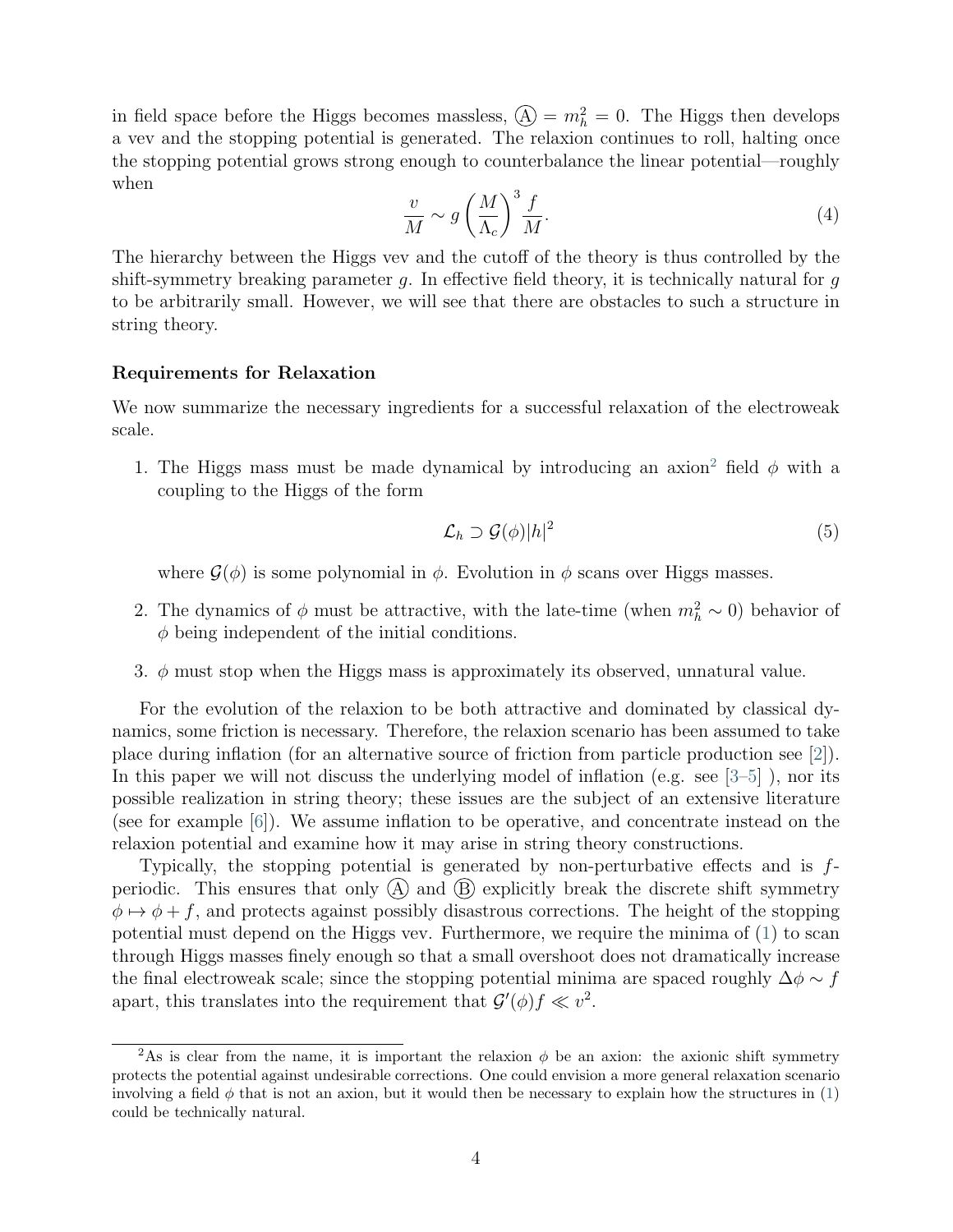in field space before the Higgs becomes massless,  $\mathcal{A} = m_h^2 = 0$ . The Higgs then develops a vev and the stopping potential is generated. The relaxion continues to roll, halting once the stopping potential grows strong enough to counterbalance the linear potential—roughly when

<span id="page-4-1"></span>
$$
\frac{v}{M} \sim g \left(\frac{M}{\Lambda_c}\right)^3 \frac{f}{M}.\tag{4}
$$

The hierarchy between the Higgs vev and the cutoff of the theory is thus controlled by the shift-symmetry breaking parameter  $g$ . In effective field theory, it is technically natural for  $g$ to be arbitrarily small. However, we will see that there are obstacles to such a structure in string theory.

#### Requirements for Relaxation

We now summarize the necessary ingredients for a successful relaxation of the electroweak scale.

1. The Higgs mass must be made dynamical by introducing an axion<sup>[2](#page-4-0)</sup> field  $\phi$  with a coupling to the Higgs of the form

$$
\mathcal{L}_h \supset \mathcal{G}(\phi)|h|^2 \tag{5}
$$

where  $\mathcal{G}(\phi)$  is some polynomial in  $\phi$ . Evolution in  $\phi$  scans over Higgs masses.

- 2. The dynamics of  $\phi$  must be attractive, with the late-time (when  $m_h^2 \sim 0$ ) behavior of  $\phi$  being independent of the initial conditions.
- 3.  $\phi$  must stop when the Higgs mass is approximately its observed, unnatural value.

For the evolution of the relaxion to be both attractive and dominated by classical dynamics, some friction is necessary. Therefore, the relaxion scenario has been assumed to take place during inflation (for an alternative source of friction from particle production see [\[2\]](#page-56-1)). In this paper we will not discuss the underlying model of inflation (e.g. see  $[3-5]$  $[3-5]$ ), nor its possible realization in string theory; these issues are the subject of an extensive literature (see for example [\[6\]](#page-56-4)). We assume inflation to be operative, and concentrate instead on the relaxion potential and examine how it may arise in string theory constructions.

Typically, the stopping potential is generated by non-perturbative effects and is fperiodic. This ensures that only  $(A)$  and  $(B)$  explicitly break the discrete shift symmetry  $\phi \mapsto \phi + f$ , and protects against possibly disastrous corrections. The height of the stopping potential must depend on the Higgs vev. Furthermore, we require the minima of [\(1\)](#page-3-0) to scan through Higgs masses finely enough so that a small overshoot does not dramatically increase the final electroweak scale; since the stopping potential minima are spaced roughly  $\Delta \phi \sim f$ apart, this translates into the requirement that  $\mathcal{G}'(\phi)f \ll v^2$ .

<span id="page-4-0"></span><sup>&</sup>lt;sup>2</sup>As is clear from the name, it is important the relaxion  $\phi$  be an axion: the axionic shift symmetry protects the potential against undesirable corrections. One could envision a more general relaxation scenario involving a field  $\phi$  that is not an axion, but it would then be necessary to explain how the structures in [\(1\)](#page-3-0) could be technically natural.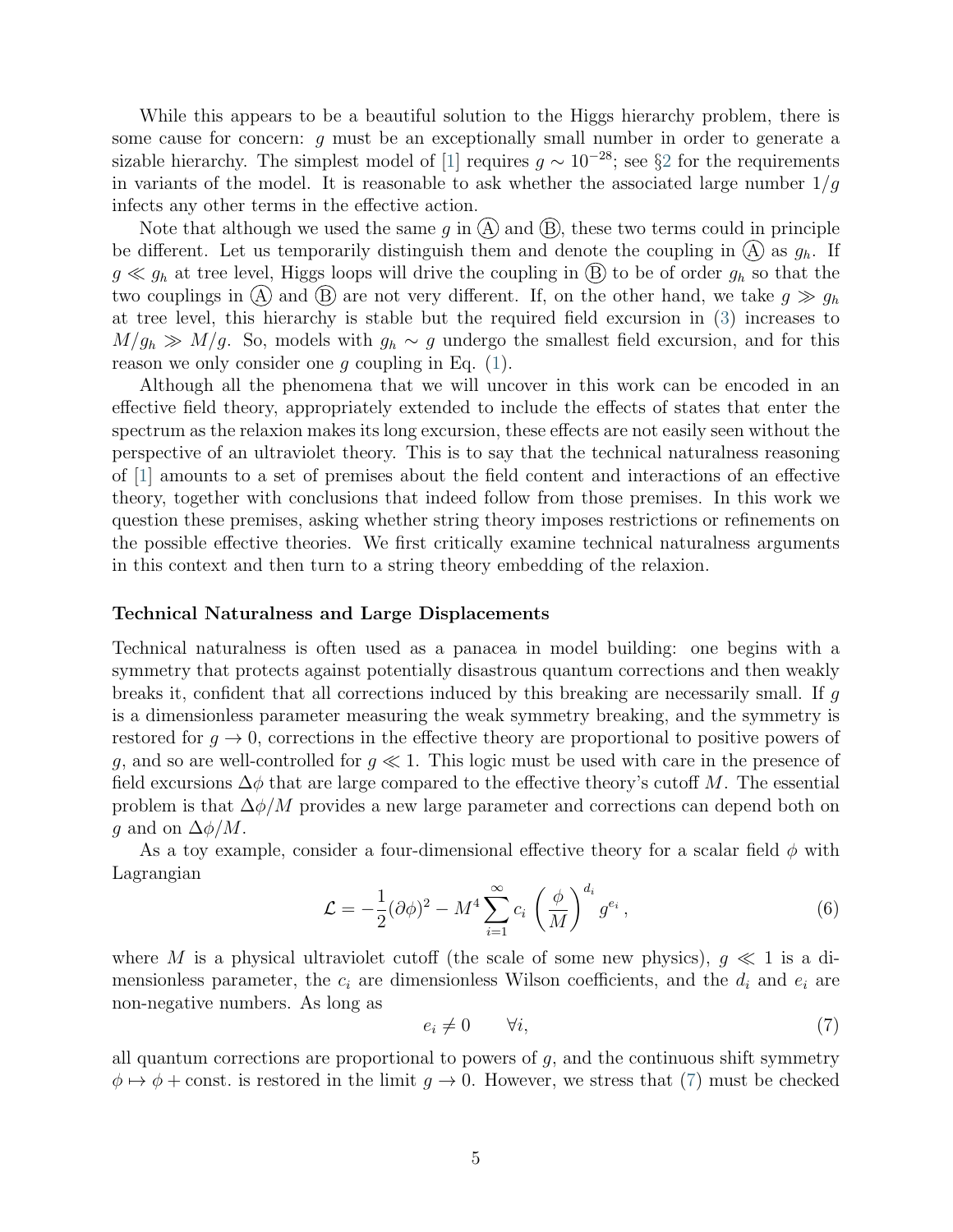While this appears to be a beautiful solution to the Higgs hierarchy problem, there is some cause for concern: g must be an exceptionally small number in order to generate a sizable hierarchy. The simplest model of [\[1\]](#page-56-0) requires  $g \sim 10^{-28}$  $g \sim 10^{-28}$  $g \sim 10^{-28}$ ; see §2 for the requirements in variants of the model. It is reasonable to ask whether the associated large number  $1/g$ infects any other terms in the effective action.

Note that although we used the same  $g$  in  $(A)$  and  $(B)$ , these two terms could in principle be different. Let us temporarily distinguish them and denote the coupling in  $(A)$  as  $g_h$ . If  $g \ll g_h$  at tree level, Higgs loops will drive the coupling in  $\textcircled{B}$  to be of order  $g_h$  so that the two couplings in (A) and (B) are not very different. If, on the other hand, we take  $g \gg g_h$ at tree level, this hierarchy is stable but the required field excursion in [\(3\)](#page-3-3) increases to  $M/g_h \gg M/g$ . So, models with  $g_h \sim g$  undergo the smallest field excursion, and for this reason we only consider one q coupling in Eq.  $(1)$ .

Although all the phenomena that we will uncover in this work can be encoded in an effective field theory, appropriately extended to include the effects of states that enter the spectrum as the relaxion makes its long excursion, these effects are not easily seen without the perspective of an ultraviolet theory. This is to say that the technical naturalness reasoning of [\[1\]](#page-56-0) amounts to a set of premises about the field content and interactions of an effective theory, together with conclusions that indeed follow from those premises. In this work we question these premises, asking whether string theory imposes restrictions or refinements on the possible effective theories. We first critically examine technical naturalness arguments in this context and then turn to a string theory embedding of the relaxion.

#### Technical Naturalness and Large Displacements

Technical naturalness is often used as a panacea in model building: one begins with a symmetry that protects against potentially disastrous quantum corrections and then weakly breaks it, confident that all corrections induced by this breaking are necessarily small. If g is a dimensionless parameter measuring the weak symmetry breaking, and the symmetry is restored for  $g \to 0$ , corrections in the effective theory are proportional to positive powers of g, and so are well-controlled for  $g \ll 1$ . This logic must be used with care in the presence of field excursions  $\Delta\phi$  that are large compared to the effective theory's cutoff M. The essential problem is that  $\Delta\phi/M$  provides a new large parameter and corrections can depend both on g and on  $\Delta\phi/M$ .

As a toy example, consider a four-dimensional effective theory for a scalar field  $\phi$  with Lagrangian

<span id="page-5-1"></span>
$$
\mathcal{L} = -\frac{1}{2}(\partial \phi)^2 - M^4 \sum_{i=1}^{\infty} c_i \left(\frac{\phi}{M}\right)^{d_i} g^{e_i},\tag{6}
$$

where M is a physical ultraviolet cutoff (the scale of some new physics),  $g \ll 1$  is a dimensionless parameter, the  $c_i$  are dimensionless Wilson coefficients, and the  $d_i$  and  $e_i$  are non-negative numbers. As long as

<span id="page-5-0"></span>
$$
e_i \neq 0 \qquad \forall i,
$$
\n<sup>(7)</sup>

all quantum corrections are proportional to powers of  $g$ , and the continuous shift symmetry  $\phi \mapsto \phi$  + const. is restored in the limit  $g \to 0$ . However, we stress that [\(7\)](#page-5-0) must be checked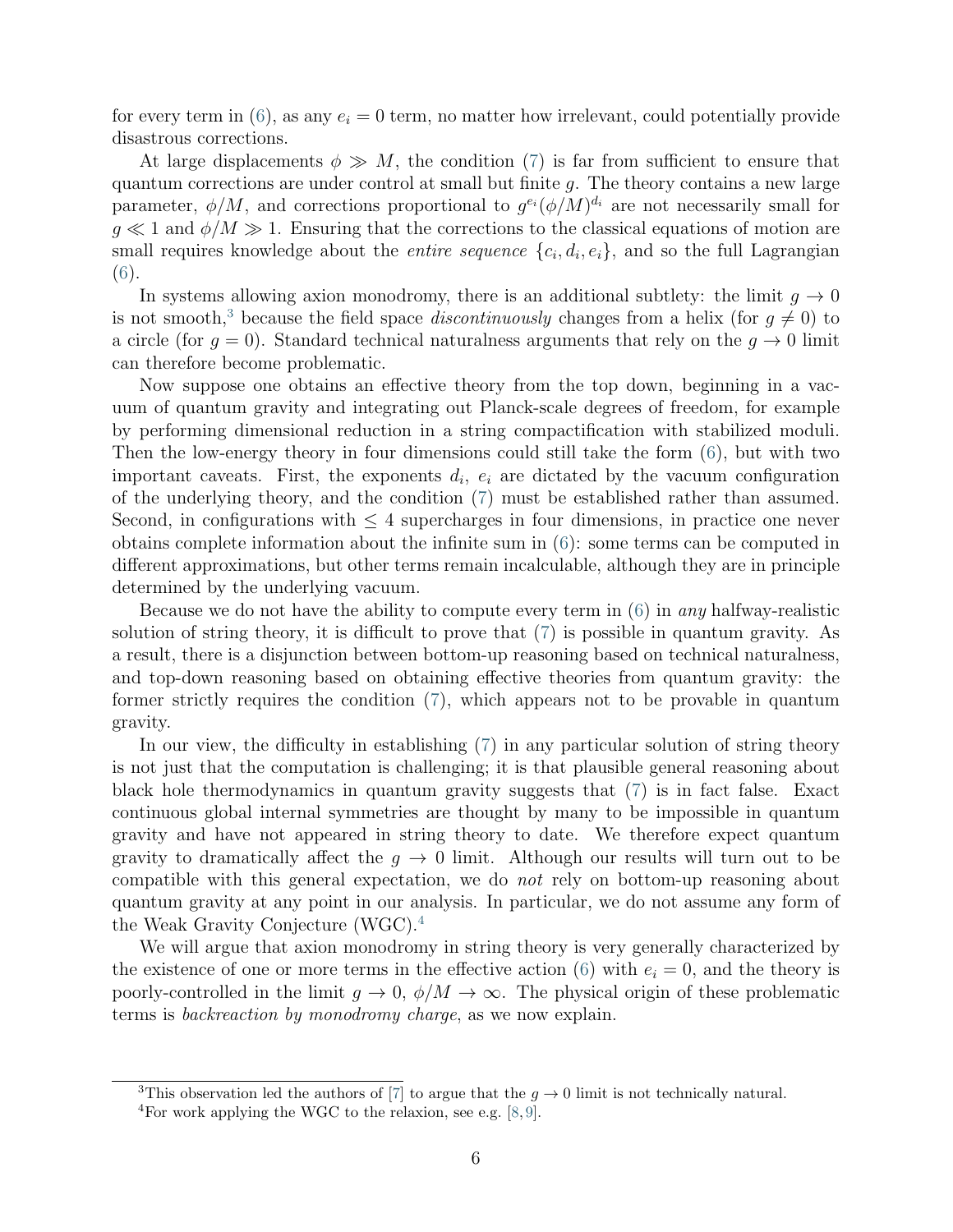for every term in [\(6\)](#page-5-1), as any  $e_i = 0$  term, no matter how irrelevant, could potentially provide disastrous corrections.

At large displacements  $\phi \gg M$ , the condition [\(7\)](#page-5-0) is far from sufficient to ensure that quantum corrections are under control at small but finite  $q$ . The theory contains a new large parameter,  $\phi/M$ , and corrections proportional to  $g^{e_i}(\phi/M)^{d_i}$  are not necessarily small for  $g \ll 1$  and  $\phi/M \gg 1$ . Ensuring that the corrections to the classical equations of motion are small requires knowledge about the *entire sequence*  $\{c_i, d_i, e_i\}$ , and so the full Lagrangian [\(6\)](#page-5-1).

In systems allowing axion monodromy, there is an additional subtlety: the limit  $g \to 0$ is not smooth,<sup>[3](#page-6-0)</sup> because the field space *discontinuously* changes from a helix (for  $g \neq 0$ ) to a circle (for  $g = 0$ ). Standard technical naturalness arguments that rely on the  $g \to 0$  limit can therefore become problematic.

Now suppose one obtains an effective theory from the top down, beginning in a vacuum of quantum gravity and integrating out Planck-scale degrees of freedom, for example by performing dimensional reduction in a string compactification with stabilized moduli. Then the low-energy theory in four dimensions could still take the form [\(6\)](#page-5-1), but with two important caveats. First, the exponents  $d_i$ ,  $e_i$  are dictated by the vacuum configuration of the underlying theory, and the condition [\(7\)](#page-5-0) must be established rather than assumed. Second, in configurations with  $\leq 4$  supercharges in four dimensions, in practice one never obtains complete information about the infinite sum in [\(6\)](#page-5-1): some terms can be computed in different approximations, but other terms remain incalculable, although they are in principle determined by the underlying vacuum.

Because we do not have the ability to compute every term in [\(6\)](#page-5-1) in any halfway-realistic solution of string theory, it is difficult to prove that [\(7\)](#page-5-0) is possible in quantum gravity. As a result, there is a disjunction between bottom-up reasoning based on technical naturalness, and top-down reasoning based on obtaining effective theories from quantum gravity: the former strictly requires the condition  $(7)$ , which appears not to be provable in quantum gravity.

In our view, the difficulty in establishing [\(7\)](#page-5-0) in any particular solution of string theory is not just that the computation is challenging; it is that plausible general reasoning about black hole thermodynamics in quantum gravity suggests that [\(7\)](#page-5-0) is in fact false. Exact continuous global internal symmetries are thought by many to be impossible in quantum gravity and have not appeared in string theory to date. We therefore expect quantum gravity to dramatically affect the  $g \to 0$  limit. Although our results will turn out to be compatible with this general expectation, we do not rely on bottom-up reasoning about quantum gravity at any point in our analysis. In particular, we do not assume any form of the Weak Gravity Conjecture (WGC).[4](#page-6-1)

We will argue that axion monodromy in string theory is very generally characterized by the existence of one or more terms in the effective action [\(6\)](#page-5-1) with  $e_i = 0$ , and the theory is poorly-controlled in the limit  $g \to 0$ ,  $\phi/M \to \infty$ . The physical origin of these problematic terms is backreaction by monodromy charge, as we now explain.

<span id="page-6-0"></span><sup>&</sup>lt;sup>3</sup>This observation led the authors of [\[7\]](#page-56-5) to argue that the  $g \to 0$  limit is not technically natural.

<span id="page-6-1"></span><sup>&</sup>lt;sup>4</sup>For work applying the WGC to the relaxion, see e.g.  $[8, 9]$  $[8, 9]$  $[8, 9]$ .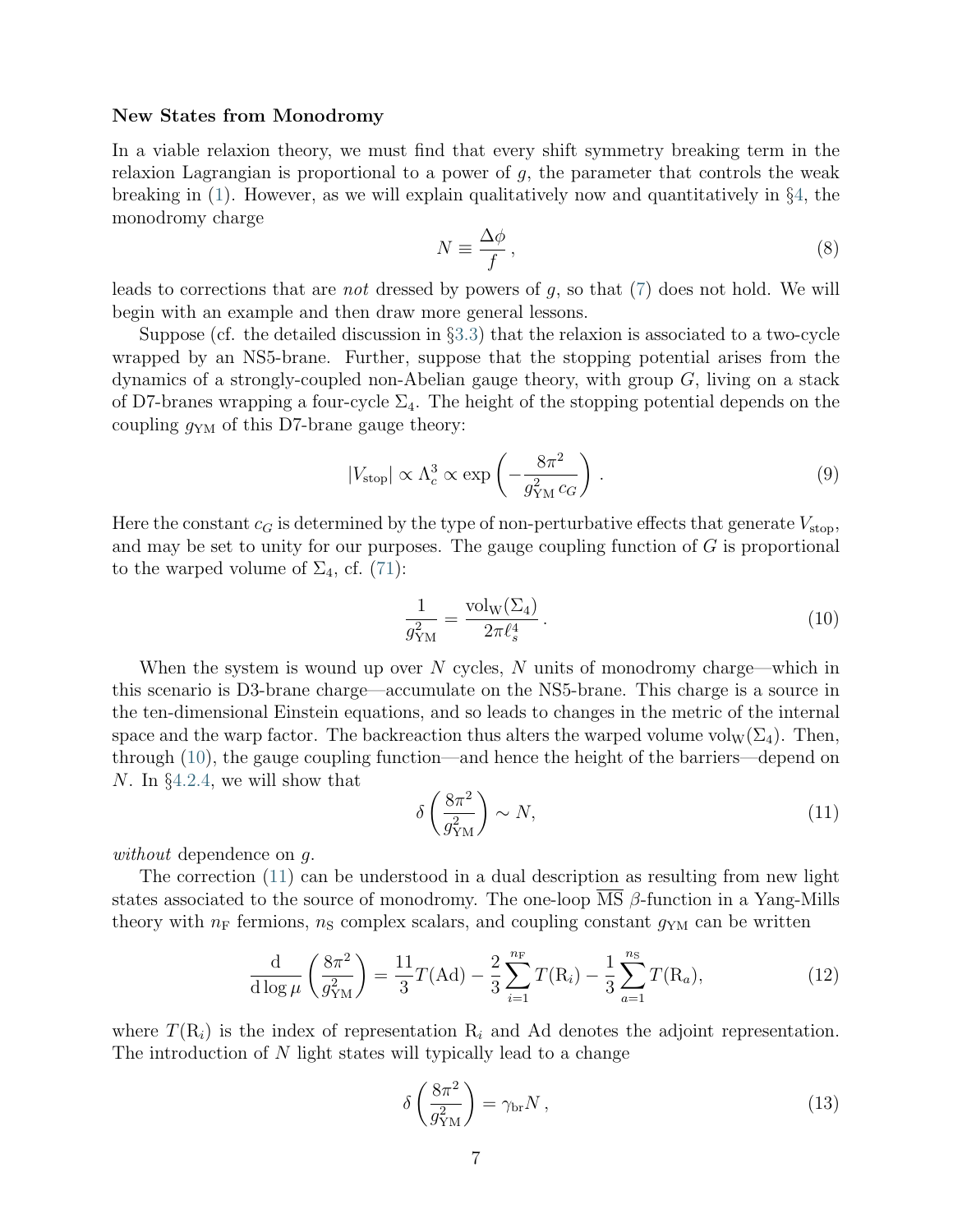#### New States from Monodromy

In a viable relaxion theory, we must find that every shift symmetry breaking term in the relaxion Lagrangian is proportional to a power of  $q$ , the parameter that controls the weak breaking in  $(1)$ . However, as we will explain qualitatively now and quantitatively in §[4,](#page-27-0) the monodromy charge

$$
N \equiv \frac{\Delta \phi}{f},\tag{8}
$$

leads to corrections that are *not* dressed by powers of  $g$ , so that  $(7)$  does not hold. We will begin with an example and then draw more general lessons.

Suppose (cf. the detailed discussion in §[3.3\)](#page-23-0) that the relaxion is associated to a two-cycle wrapped by an NS5-brane. Further, suppose that the stopping potential arises from the dynamics of a strongly-coupled non-Abelian gauge theory, with group  $G$ , living on a stack of D7-branes wrapping a four-cycle  $\Sigma_4$ . The height of the stopping potential depends on the coupling  $g_{YM}$  of this D7-brane gauge theory:

$$
|V_{\rm stop}| \propto \Lambda_c^3 \propto \exp\left(-\frac{8\pi^2}{g_{\rm YM}^2 c_G}\right). \tag{9}
$$

Here the constant  $c_G$  is determined by the type of non-perturbative effects that generate  $V_{\text{stop}}$ , and may be set to unity for our purposes. The gauge coupling function of G is proportional to the warped volume of  $\Sigma_4$ , cf. [\(71\)](#page-31-1):

<span id="page-7-0"></span>
$$
\frac{1}{g_{\rm YM}^2} = \frac{\text{vol}_W(\Sigma_4)}{2\pi \ell_s^4} \,. \tag{10}
$$

When the system is wound up over  $N$  cycles,  $N$  units of monodromy charge—which in this scenario is D3-brane charge—accumulate on the NS5-brane. This charge is a source in the ten-dimensional Einstein equations, and so leads to changes in the metric of the internal space and the warp factor. The backreaction thus alters the warped volume  $\text{vol}_W(\Sigma_4)$ . Then, through [\(10\)](#page-7-0), the gauge coupling function—and hence the height of the barriers—depend on N. In §[4.2.4,](#page-32-0) we will show that

<span id="page-7-1"></span>
$$
\delta \left( \frac{8\pi^2}{g_{\text{YM}}^2} \right) \sim N,\tag{11}
$$

without dependence on q.

The correction [\(11\)](#page-7-1) can be understood in a dual description as resulting from new light states associated to the source of monodromy. The one-loop MS  $\beta$ -function in a Yang-Mills theory with  $n_F$  fermions,  $n_S$  complex scalars, and coupling constant  $g_{YM}$  can be written

<span id="page-7-3"></span>
$$
\frac{\mathrm{d}}{\mathrm{d}\log\mu} \left(\frac{8\pi^2}{g_{\rm YM}^2}\right) = \frac{11}{3}T(\rm Ad) - \frac{2}{3}\sum_{i=1}^{n_F} T(\rm R_i) - \frac{1}{3}\sum_{a=1}^{n_S} T(\rm R_a),\tag{12}
$$

where  $T(R_i)$  is the index of representation  $R_i$  and Ad denotes the adjoint representation. The introduction of N light states will typically lead to a change

<span id="page-7-2"></span>
$$
\delta \left( \frac{8\pi^2}{g_{\rm YM}^2} \right) = \gamma_{\rm br} N \,, \tag{13}
$$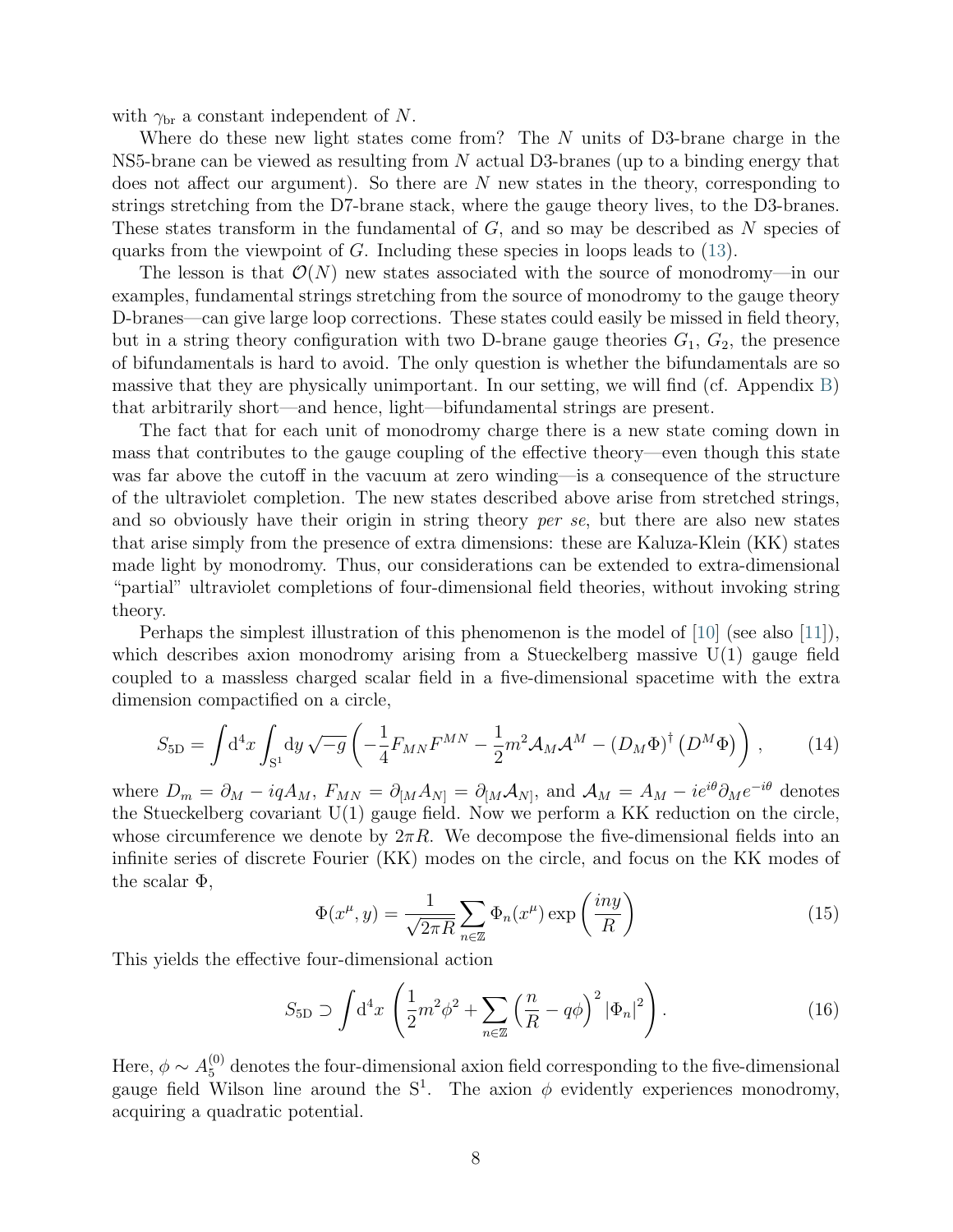with  $\gamma_{\rm br}$  a constant independent of N.

Where do these new light states come from? The N units of D3-brane charge in the NS5-brane can be viewed as resulting from  $N$  actual D3-branes (up to a binding energy that does not affect our argument). So there are N new states in the theory, corresponding to strings stretching from the D7-brane stack, where the gauge theory lives, to the D3-branes. These states transform in the fundamental of G, and so may be described as N species of quarks from the viewpoint of  $G$ . Including these species in loops leads to  $(13)$ .

The lesson is that  $\mathcal{O}(N)$  new states associated with the source of monodromy—in our examples, fundamental strings stretching from the source of monodromy to the gauge theory D-branes—can give large loop corrections. These states could easily be missed in field theory, but in a string theory configuration with two D-brane gauge theories  $G_1, G_2$ , the presence of bifundamentals is hard to avoid. The only question is whether the bifundamentals are so massive that they are physically unimportant. In our setting, we will find (cf. Appendix [B\)](#page-47-0) that arbitrarily short—and hence, light—bifundamental strings are present.

The fact that for each unit of monodromy charge there is a new state coming down in mass that contributes to the gauge coupling of the effective theory—even though this state was far above the cutoff in the vacuum at zero winding—is a consequence of the structure of the ultraviolet completion. The new states described above arise from stretched strings, and so obviously have their origin in string theory per se, but there are also new states that arise simply from the presence of extra dimensions: these are Kaluza-Klein (KK) states made light by monodromy. Thus, our considerations can be extended to extra-dimensional "partial" ultraviolet completions of four-dimensional field theories, without invoking string theory.

Perhaps the simplest illustration of this phenomenon is the model of [\[10\]](#page-56-8) (see also [\[11\]](#page-56-9)), which describes axion monodromy arising from a Stueckelberg massive  $U(1)$  gauge field coupled to a massless charged scalar field in a five-dimensional spacetime with the extra dimension compactified on a circle,

$$
S_{5D} = \int d^4x \int_{S^1} dy \sqrt{-g} \left( -\frac{1}{4} F_{MN} F^{MN} - \frac{1}{2} m^2 \mathcal{A}_M \mathcal{A}^M - (D_M \Phi)^{\dagger} (D^M \Phi) \right), \tag{14}
$$

where  $D_m = \partial_M - iqA_M$ ,  $F_{MN} = \partial_{[M}A_{N]} = \partial_{[M}A_{N]}$ , and  $A_M = A_M - ie^{i\theta} \partial_M e^{-i\theta}$  denotes the Stueckelberg covariant U(1) gauge field. Now we perform a KK reduction on the circle, whose circumference we denote by  $2\pi R$ . We decompose the five-dimensional fields into an infinite series of discrete Fourier (KK) modes on the circle, and focus on the KK modes of the scalar  $\Phi$ ,

$$
\Phi(x^{\mu}, y) = \frac{1}{\sqrt{2\pi R}} \sum_{n \in \mathbb{Z}} \Phi_n(x^{\mu}) \exp\left(\frac{iny}{R}\right)
$$
(15)

This yields the effective four-dimensional action

$$
S_{5D} \supset \int \mathrm{d}^4 x \left( \frac{1}{2} m^2 \phi^2 + \sum_{n \in \mathbb{Z}} \left( \frac{n}{R} - q \phi \right)^2 |\Phi_n|^2 \right). \tag{16}
$$

Here,  $\phi \sim A_5^{(0)}$  denotes the four-dimensional axion field corresponding to the five-dimensional gauge field Wilson line around the  $S^1$ . The axion  $\phi$  evidently experiences monodromy, acquiring a quadratic potential.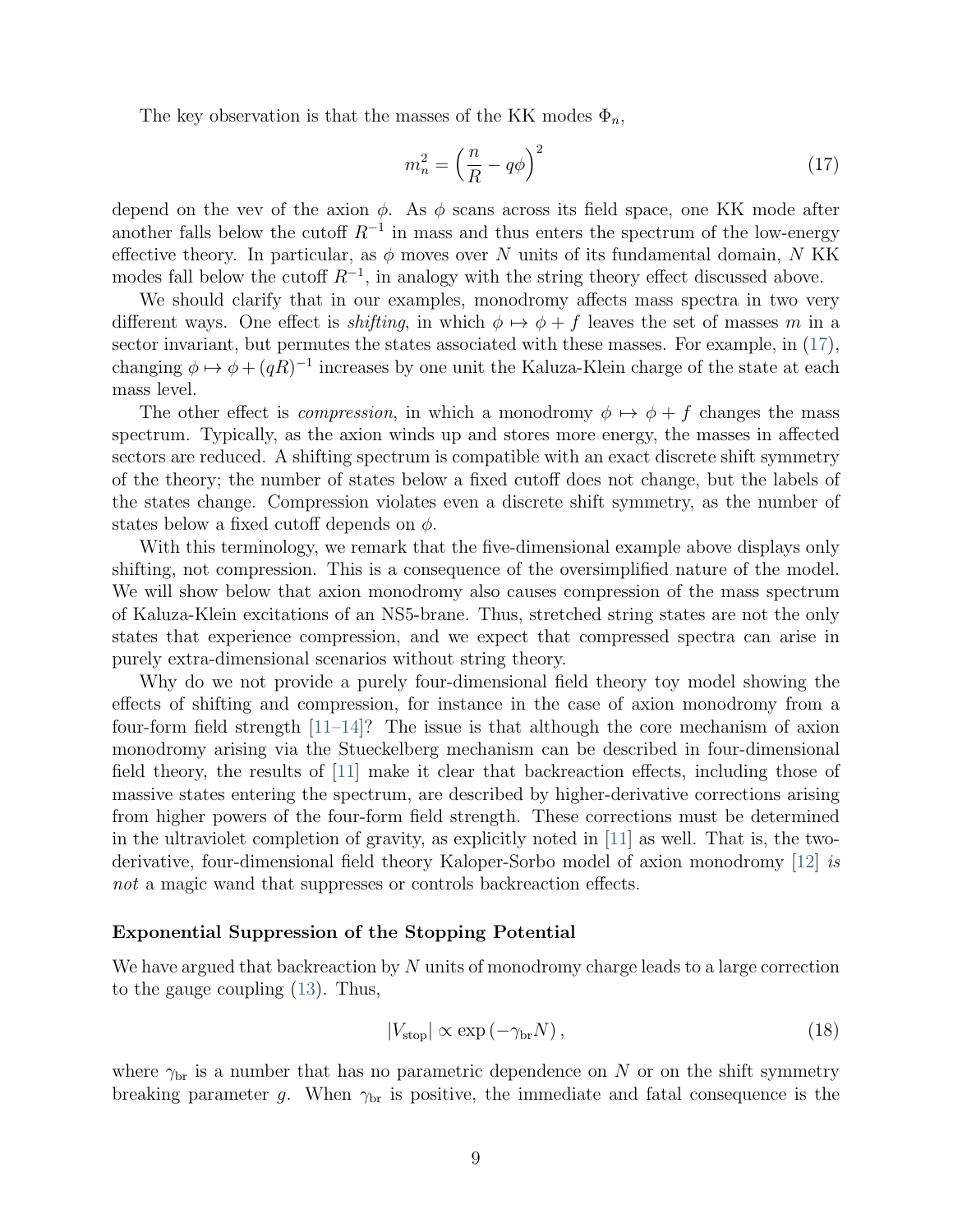The key observation is that the masses of the KK modes  $\Phi_n$ ,

<span id="page-9-0"></span>
$$
m_n^2 = \left(\frac{n}{R} - q\phi\right)^2\tag{17}
$$

depend on the vev of the axion  $\phi$ . As  $\phi$  scans across its field space, one KK mode after another falls below the cutoff  $R^{-1}$  in mass and thus enters the spectrum of the low-energy effective theory. In particular, as  $\phi$  moves over N units of its fundamental domain, N KK modes fall below the cutoff  $R^{-1}$ , in analogy with the string theory effect discussed above.

We should clarify that in our examples, monodromy affects mass spectra in two very different ways. One effect is *shifting*, in which  $\phi \mapsto \phi + f$  leaves the set of masses m in a sector invariant, but permutes the states associated with these masses. For example, in  $(17)$ , changing  $\phi \mapsto \phi + (qR)^{-1}$  increases by one unit the Kaluza-Klein charge of the state at each mass level.

The other effect is *compression*, in which a monodromy  $\phi \mapsto \phi + f$  changes the mass spectrum. Typically, as the axion winds up and stores more energy, the masses in affected sectors are reduced. A shifting spectrum is compatible with an exact discrete shift symmetry of the theory; the number of states below a fixed cutoff does not change, but the labels of the states change. Compression violates even a discrete shift symmetry, as the number of states below a fixed cutoff depends on  $\phi$ .

With this terminology, we remark that the five-dimensional example above displays only shifting, not compression. This is a consequence of the oversimplified nature of the model. We will show below that axion monodromy also causes compression of the mass spectrum of Kaluza-Klein excitations of an NS5-brane. Thus, stretched string states are not the only states that experience compression, and we expect that compressed spectra can arise in purely extra-dimensional scenarios without string theory.

Why do we not provide a purely four-dimensional field theory toy model showing the effects of shifting and compression, for instance in the case of axion monodromy from a four-form field strength [\[11](#page-56-9)[–14\]](#page-56-10)? The issue is that although the core mechanism of axion monodromy arising via the Stueckelberg mechanism can be described in four-dimensional field theory, the results of [\[11\]](#page-56-9) make it clear that backreaction effects, including those of massive states entering the spectrum, are described by higher-derivative corrections arising from higher powers of the four-form field strength. These corrections must be determined in the ultraviolet completion of gravity, as explicitly noted in [\[11\]](#page-56-9) as well. That is, the twoderivative, four-dimensional field theory Kaloper-Sorbo model of axion monodromy [\[12\]](#page-56-11) is not a magic wand that suppresses or controls backreaction effects.

#### Exponential Suppression of the Stopping Potential

We have argued that backreaction by  $N$  units of monodromy charge leads to a large correction to the gauge coupling [\(13\)](#page-7-2). Thus,

<span id="page-9-1"></span>
$$
|V_{\text{stop}}| \propto \exp\left(-\gamma_{\text{br}}N\right),\tag{18}
$$

where  $\gamma_{\rm br}$  is a number that has no parametric dependence on N or on the shift symmetry breaking parameter g. When  $\gamma_{\rm br}$  is positive, the immediate and fatal consequence is the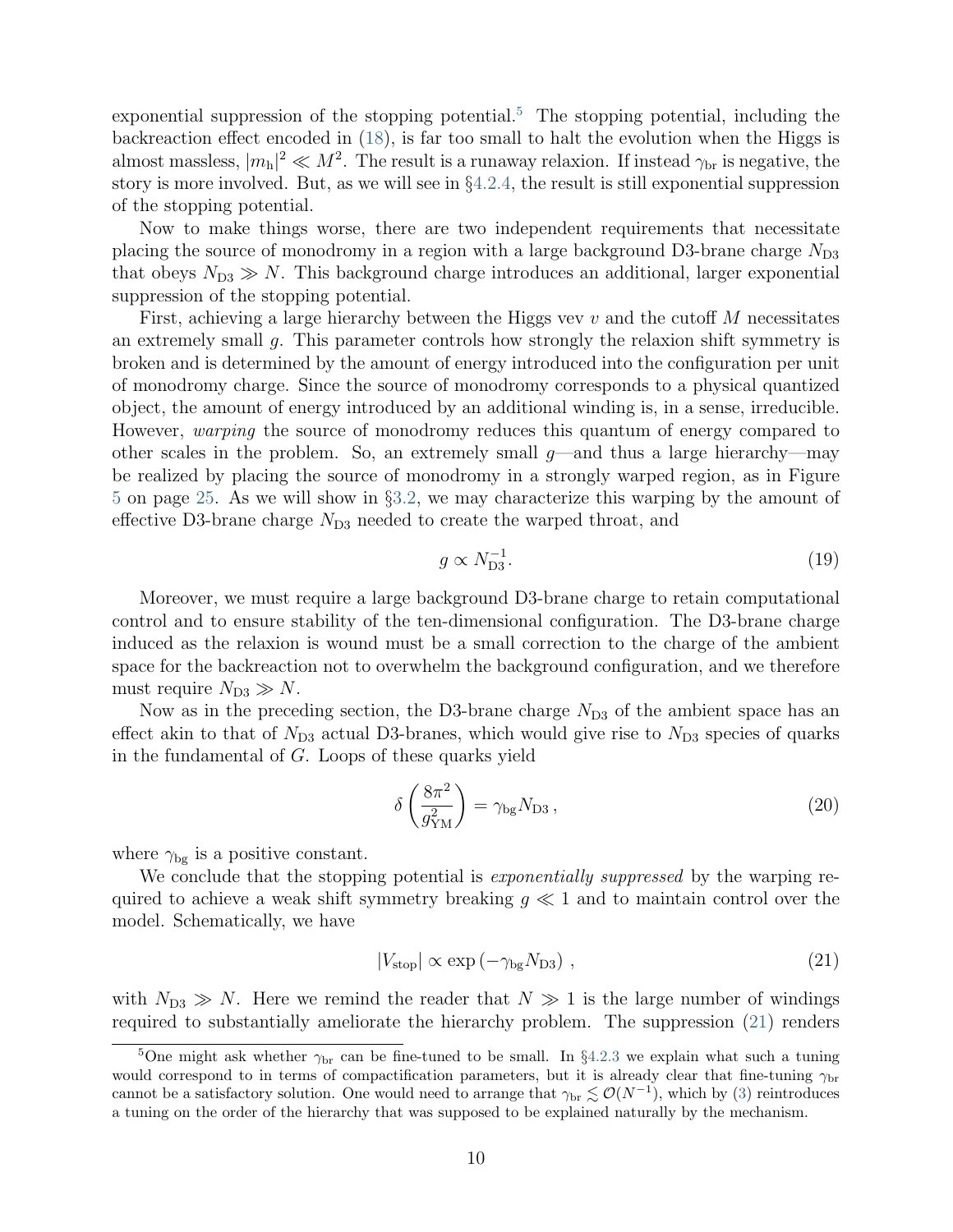exponential suppression of the stopping potential.<sup>[5](#page-10-0)</sup> The stopping potential, including the backreaction effect encoded in [\(18\)](#page-9-1), is far too small to halt the evolution when the Higgs is almost massless,  $|m_h|^2 \ll M^2$ . The result is a runaway relaxion. If instead  $\gamma_{\rm br}$  is negative, the story is more involved. But, as we will see in §[4.2.4,](#page-32-0) the result is still exponential suppression of the stopping potential.

Now to make things worse, there are two independent requirements that necessitate placing the source of monodromy in a region with a large background D3-brane charge  $N_{D3}$ that obeys  $N_{D3} \gg N$ . This background charge introduces an additional, larger exponential suppression of the stopping potential.

First, achieving a large hierarchy between the Higgs vev  $v$  and the cutoff M necessitates an extremely small g. This parameter controls how strongly the relaxion shift symmetry is broken and is determined by the amount of energy introduced into the configuration per unit of monodromy charge. Since the source of monodromy corresponds to a physical quantized object, the amount of energy introduced by an additional winding is, in a sense, irreducible. However, warping the source of monodromy reduces this quantum of energy compared to other scales in the problem. So, an extremely small  $g$ —and thus a large hierarchy—may be realized by placing the source of monodromy in a strongly warped region, as in Figure [5](#page-25-0) on page [25.](#page-25-0) As we will show in §[3.2,](#page-19-0) we may characterize this warping by the amount of effective D3-brane charge  $N_{D3}$  needed to create the warped throat, and

<span id="page-10-2"></span>
$$
g \propto N_{\text{D3}}^{-1}.\tag{19}
$$

Moreover, we must require a large background D3-brane charge to retain computational control and to ensure stability of the ten-dimensional configuration. The D3-brane charge induced as the relaxion is wound must be a small correction to the charge of the ambient space for the backreaction not to overwhelm the background configuration, and we therefore must require  $N_{\text{D3}} \gg N$ .

Now as in the preceding section, the D3-brane charge  $N_{D3}$  of the ambient space has an effect akin to that of  $N_{D3}$  actual D3-branes, which would give rise to  $N_{D3}$  species of quarks in the fundamental of G. Loops of these quarks yield

$$
\delta \left( \frac{8\pi^2}{g_{\rm YM}^2} \right) = \gamma_{\rm bg} N_{\rm D3} , \qquad (20)
$$

where  $\gamma_{\rm bg}$  is a positive constant.

We conclude that the stopping potential is *exponentially suppressed* by the warping required to achieve a weak shift symmetry breaking  $q \ll 1$  and to maintain control over the model. Schematically, we have

<span id="page-10-1"></span>
$$
|V_{\rm stop}| \propto \exp\left(-\gamma_{\rm bg} N_{\rm D3}\right),\tag{21}
$$

with  $N_{D3} \gg N$ . Here we remind the reader that  $N \gg 1$  is the large number of windings required to substantially ameliorate the hierarchy problem. The suppression [\(21\)](#page-10-1) renders

<span id="page-10-0"></span><sup>&</sup>lt;sup>5</sup>One might ask whether  $\gamma_{\rm br}$  can be fine-tuned to be small. In §[4.2.3](#page-31-0) we explain what such a tuning would correspond to in terms of compactification parameters, but it is already clear that fine-tuning  $\gamma_{\rm br}$ cannot be a satisfactory solution. One would need to arrange that  $\gamma_{\rm br} \lesssim \mathcal{O}(N^{-1})$ , which by [\(3\)](#page-3-3) reintroduces a tuning on the order of the hierarchy that was supposed to be explained naturally by the mechanism.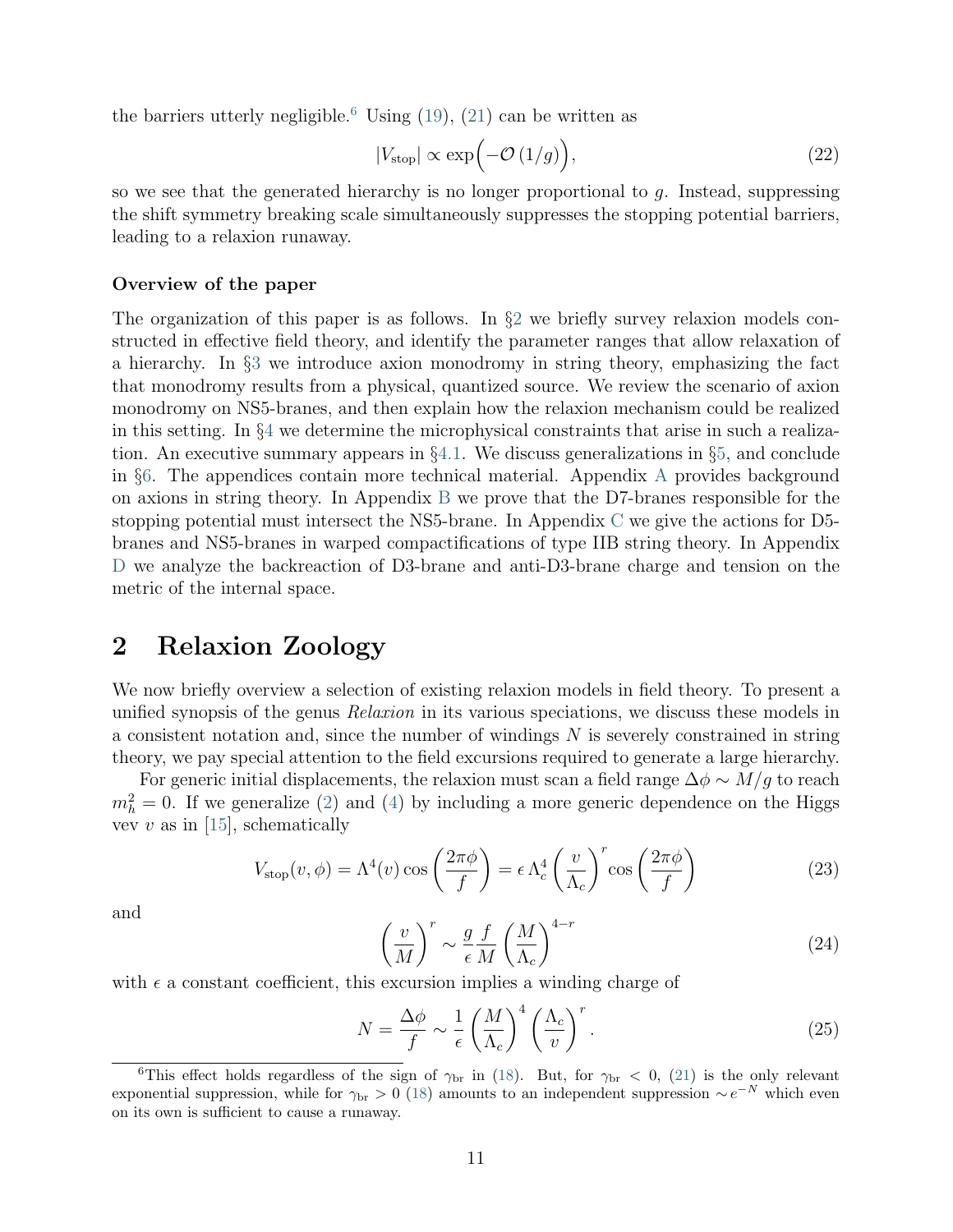the barriers utterly negligible.<sup>[6](#page-11-1)</sup> Using [\(19\)](#page-10-2), [\(21\)](#page-10-1) can be written as

$$
|V_{\text{stop}}| \propto \exp\left(-\mathcal{O}\left(1/g\right)\right),\tag{22}
$$

so we see that the generated hierarchy is no longer proportional to  $q$ . Instead, suppressing the shift symmetry breaking scale simultaneously suppresses the stopping potential barriers, leading to a relaxion runaway.

#### Overview of the paper

The organization of this paper is as follows. In  $\S2$  $\S2$  we briefly survey relaxion models constructed in effective field theory, and identify the parameter ranges that allow relaxation of a hierarchy. In §[3](#page-16-0) we introduce axion monodromy in string theory, emphasizing the fact that monodromy results from a physical, quantized source. We review the scenario of axion monodromy on NS5-branes, and then explain how the relaxion mechanism could be realized in this setting. In §[4](#page-27-0) we determine the microphysical constraints that arise in such a realization. An executive summary appears in §[4.1.](#page-27-1) We discuss generalizations in §[5,](#page-40-0) and conclude in §[6.](#page-43-1) The appendices contain more technical material. Appendix [A](#page-45-0) provides background on axions in string theory. In Appendix [B](#page-47-0) we prove that the D7-branes responsible for the stopping potential must intersect the NS5-brane. In Appendix [C](#page-49-0) we give the actions for D5 branes and NS5-branes in warped compactifications of type IIB string theory. In Appendix [D](#page-53-0) we analyze the backreaction of D3-brane and anti-D3-brane charge and tension on the metric of the internal space.

# <span id="page-11-0"></span>2 Relaxion Zoology

We now briefly overview a selection of existing relaxion models in field theory. To present a unified synopsis of the genus *Relaxion* in its various speciations, we discuss these models in a consistent notation and, since the number of windings  $N$  is severely constrained in string theory, we pay special attention to the field excursions required to generate a large hierarchy.

For generic initial displacements, the relaxion must scan a field range  $\Delta \phi \sim M/g$  to reach  $m_h^2 = 0$ . If we generalize [\(2\)](#page-3-4) and [\(4\)](#page-4-1) by including a more generic dependence on the Higgs vev  $v$  as in [\[15\]](#page-56-12), schematically

<span id="page-11-2"></span>
$$
V_{\text{stop}}(v,\phi) = \Lambda^4(v) \cos\left(\frac{2\pi\phi}{f}\right) = \epsilon \Lambda_c^4 \left(\frac{v}{\Lambda_c}\right)^r \cos\left(\frac{2\pi\phi}{f}\right) \tag{23}
$$

and

<span id="page-11-3"></span>
$$
\left(\frac{v}{M}\right)^r \sim \frac{g}{\epsilon} \frac{f}{M} \left(\frac{M}{\Lambda_c}\right)^{4-r} \tag{24}
$$

with  $\epsilon$  a constant coefficient, this excursion implies a winding charge of

$$
N = \frac{\Delta \phi}{f} \sim \frac{1}{\epsilon} \left(\frac{M}{\Lambda_c}\right)^4 \left(\frac{\Lambda_c}{v}\right)^r.
$$
 (25)

<span id="page-11-1"></span><sup>&</sup>lt;sup>6</sup>This effect holds regardless of the sign of  $\gamma_{\rm br}$  in [\(18\)](#page-9-1). But, for  $\gamma_{\rm br} < 0$ , [\(21\)](#page-10-1) is the only relevant exponential suppression, while for  $\gamma_{\rm br} > 0$  [\(18\)](#page-9-1) amounts to an independent suppression  $\sim e^{-N}$  which even on its own is sufficient to cause a runaway.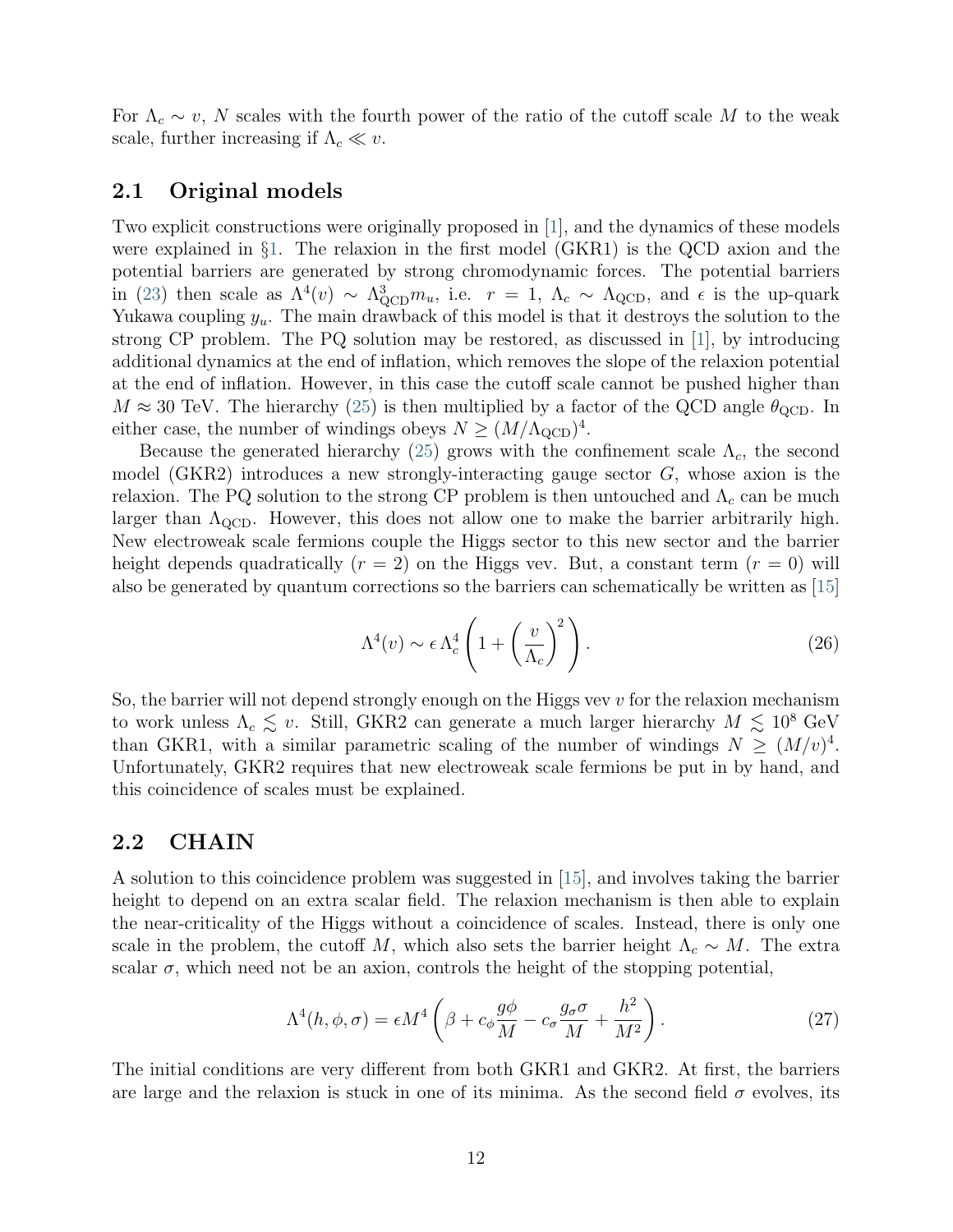For  $\Lambda_c \sim v$ , N scales with the fourth power of the ratio of the cutoff scale M to the weak scale, further increasing if  $\Lambda_c \ll v$ .

### <span id="page-12-0"></span>2.1 Original models

Two explicit constructions were originally proposed in [\[1\]](#page-56-0), and the dynamics of these models were explained in §[1.](#page-3-5) The relaxion in the first model (GKR1) is the QCD axion and the potential barriers are generated by strong chromodynamic forces. The potential barriers in [\(23\)](#page-11-2) then scale as  $\Lambda^4(v) \sim \Lambda_{\text{QCD}}^3 m_u$ , i.e.  $r = 1, \Lambda_c \sim \Lambda_{\text{QCD}}$ , and  $\epsilon$  is the up-quark Yukawa coupling  $y_u$ . The main drawback of this model is that it destroys the solution to the strong CP problem. The PQ solution may be restored, as discussed in [\[1\]](#page-56-0), by introducing additional dynamics at the end of inflation, which removes the slope of the relaxion potential at the end of inflation. However, in this case the cutoff scale cannot be pushed higher than  $M \approx 30$  TeV. The hierarchy [\(25\)](#page-11-3) is then multiplied by a factor of the QCD angle  $\theta_{\rm QCD}$ . In either case, the number of windings obeys  $N \geq (M/\Lambda_{\rm QCD})^4$ .

Because the generated hierarchy [\(25\)](#page-11-3) grows with the confinement scale  $\Lambda_c$ , the second model (GKR2) introduces a new strongly-interacting gauge sector  $G$ , whose axion is the relaxion. The PQ solution to the strong CP problem is then untouched and  $\Lambda_c$  can be much larger than  $\Lambda_{\text{QCD}}$ . However, this does not allow one to make the barrier arbitrarily high. New electroweak scale fermions couple the Higgs sector to this new sector and the barrier height depends quadratically  $(r = 2)$  on the Higgs vev. But, a constant term  $(r = 0)$  will also be generated by quantum corrections so the barriers can schematically be written as [\[15\]](#page-56-12)

$$
\Lambda^4(v) \sim \epsilon \Lambda_c^4 \left( 1 + \left(\frac{v}{\Lambda_c}\right)^2 \right). \tag{26}
$$

So, the barrier will not depend strongly enough on the Higgs vev  $v$  for the relaxion mechanism to work unless  $\Lambda_c \lesssim v$ . Still, GKR2 can generate a much larger hierarchy  $M \lesssim 10^8$  GeV than GKR1, with a similar parametric scaling of the number of windings  $N \geq (M/v)^4$ . Unfortunately, GKR2 requires that new electroweak scale fermions be put in by hand, and this coincidence of scales must be explained.

### <span id="page-12-1"></span>2.2 CHAIN

A solution to this coincidence problem was suggested in  $|15|$ , and involves taking the barrier height to depend on an extra scalar field. The relaxion mechanism is then able to explain the near-criticality of the Higgs without a coincidence of scales. Instead, there is only one scale in the problem, the cutoff M, which also sets the barrier height  $\Lambda_c \sim M$ . The extra scalar  $\sigma$ , which need not be an axion, controls the height of the stopping potential,

<span id="page-12-2"></span>
$$
\Lambda^{4}(h,\phi,\sigma) = \epsilon M^{4}\left(\beta + c_{\phi}\frac{g\phi}{M} - c_{\sigma}\frac{g_{\sigma}\sigma}{M} + \frac{h^{2}}{M^{2}}\right).
$$
\n(27)

The initial conditions are very different from both GKR1 and GKR2. At first, the barriers are large and the relaxion is stuck in one of its minima. As the second field  $\sigma$  evolves, its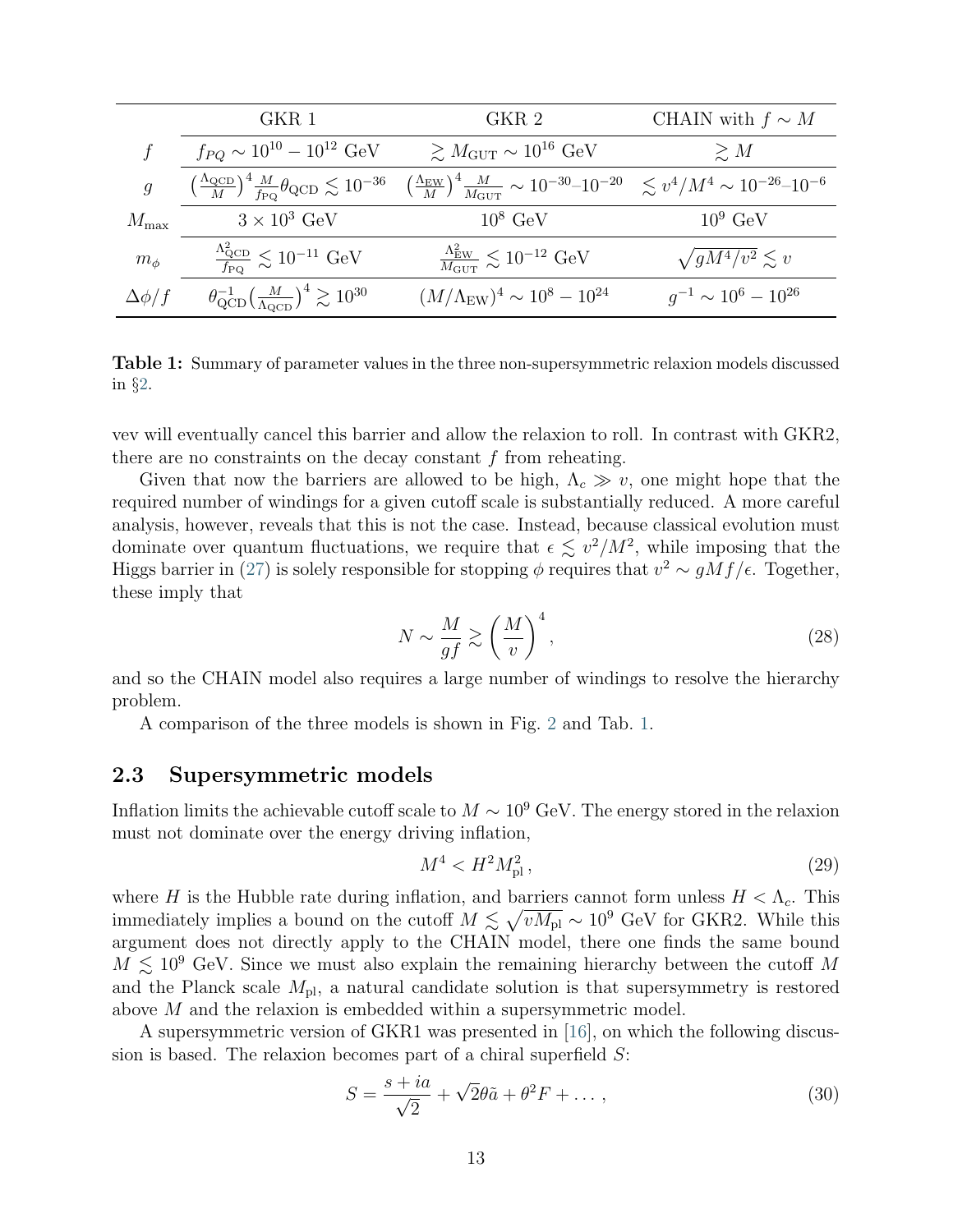<span id="page-13-1"></span>

|                | GKR 1                                                                                                | GKR 2                                                                                                                              | CHAIN with $f \sim M$        |
|----------------|------------------------------------------------------------------------------------------------------|------------------------------------------------------------------------------------------------------------------------------------|------------------------------|
|                | $f_{PQ} \sim 10^{10} - 10^{12}$ GeV                                                                  | $\gtrsim M_{\text{GUT}} \sim 10^{16} \text{ GeV}$                                                                                  | $\geq M$                     |
| $\mathfrak{g}$ | $\left(\frac{\Lambda_{\rm QCD}}{M}\right)^4 \frac{M}{f_{\rm PQ}} \theta_{\rm QCD} \lesssim 10^{-36}$ | $\left(\frac{\Lambda_{\rm EW}}{M}\right)^4 \frac{M}{M_{\rm GUT}} \sim 10^{-30} - 10^{-20} \approx v^4/M^4 \sim 10^{-26} - 10^{-6}$ |                              |
| $M_{\rm max}$  | $3 \times 10^3$ GeV                                                                                  | $10^8$ GeV                                                                                                                         | $10^9$ GeV                   |
| $m_{\phi}$     | $\frac{\Lambda_{\rm QCD}^2}{f_{\rm PQ}} \lesssim 10^{-11} \text{ GeV}$                               | $\frac{\Lambda_{\rm EW}^2}{M_{\rm GUT}} \lesssim 10^{-12} \text{ GeV}$                                                             | $\sqrt{gM^4/v^2} \lesssim v$ |
| $\Delta\phi/f$ | $\theta_{\rm QCD}^{-1} \left( \frac{M}{\Lambda_{\rm QCD}} \right)^4 \gtrsim 10^{30}$                 | $(M/\Lambda_{\rm EW})^4 \sim 10^8 - 10^{24}$                                                                                       | $q^{-1} \sim 10^6 - 10^{26}$ |

Table 1: Summary of parameter values in the three non-supersymmetric relaxion models discussed in §[2.](#page-11-0)

vev will eventually cancel this barrier and allow the relaxion to roll. In contrast with GKR2, there are no constraints on the decay constant  $f$  from reheating.

Given that now the barriers are allowed to be high,  $\Lambda_c \gg v$ , one might hope that the required number of windings for a given cutoff scale is substantially reduced. A more careful analysis, however, reveals that this is not the case. Instead, because classical evolution must dominate over quantum fluctuations, we require that  $\epsilon \lesssim v^2/M^2$ , while imposing that the Higgs barrier in [\(27\)](#page-12-2) is solely responsible for stopping  $\phi$  requires that  $v^2 \sim gMf/\epsilon$ . Together, these imply that

$$
N \sim \frac{M}{gf} \gtrsim \left(\frac{M}{v}\right)^4,\tag{28}
$$

and so the CHAIN model also requires a large number of windings to resolve the hierarchy problem.

A comparison of the three models is shown in Fig. [2](#page-15-1) and Tab. [1.](#page-13-1)

### <span id="page-13-0"></span>2.3 Supersymmetric models

Inflation limits the achievable cutoff scale to  $M \sim 10^9$  GeV. The energy stored in the relaxion must not dominate over the energy driving inflation,

$$
M^4 < H^2 M_{\rm pl}^2 \,,\tag{29}
$$

where H is the Hubble rate during inflation, and barriers cannot form unless  $H < \Lambda_c$ . This immediately implies a bound on the cutoff  $M \lesssim \sqrt{v M_{\text{pl}}} \sim 10^9$  GeV for GKR2. While this argument does not directly apply to the CHAIN model, there one finds the same bound  $M \lesssim 10^9$  GeV. Since we must also explain the remaining hierarchy between the cutoff M and the Planck scale  $M_{\text{pl}}$ , a natural candidate solution is that supersymmetry is restored above M and the relaxion is embedded within a supersymmetric model.

A supersymmetric version of GKR1 was presented in [\[16\]](#page-56-13), on which the following discussion is based. The relaxion becomes part of a chiral superfield S:

$$
S = \frac{s + ia}{\sqrt{2}} + \sqrt{2}\theta \tilde{a} + \theta^2 F + \dots,
$$
\n(30)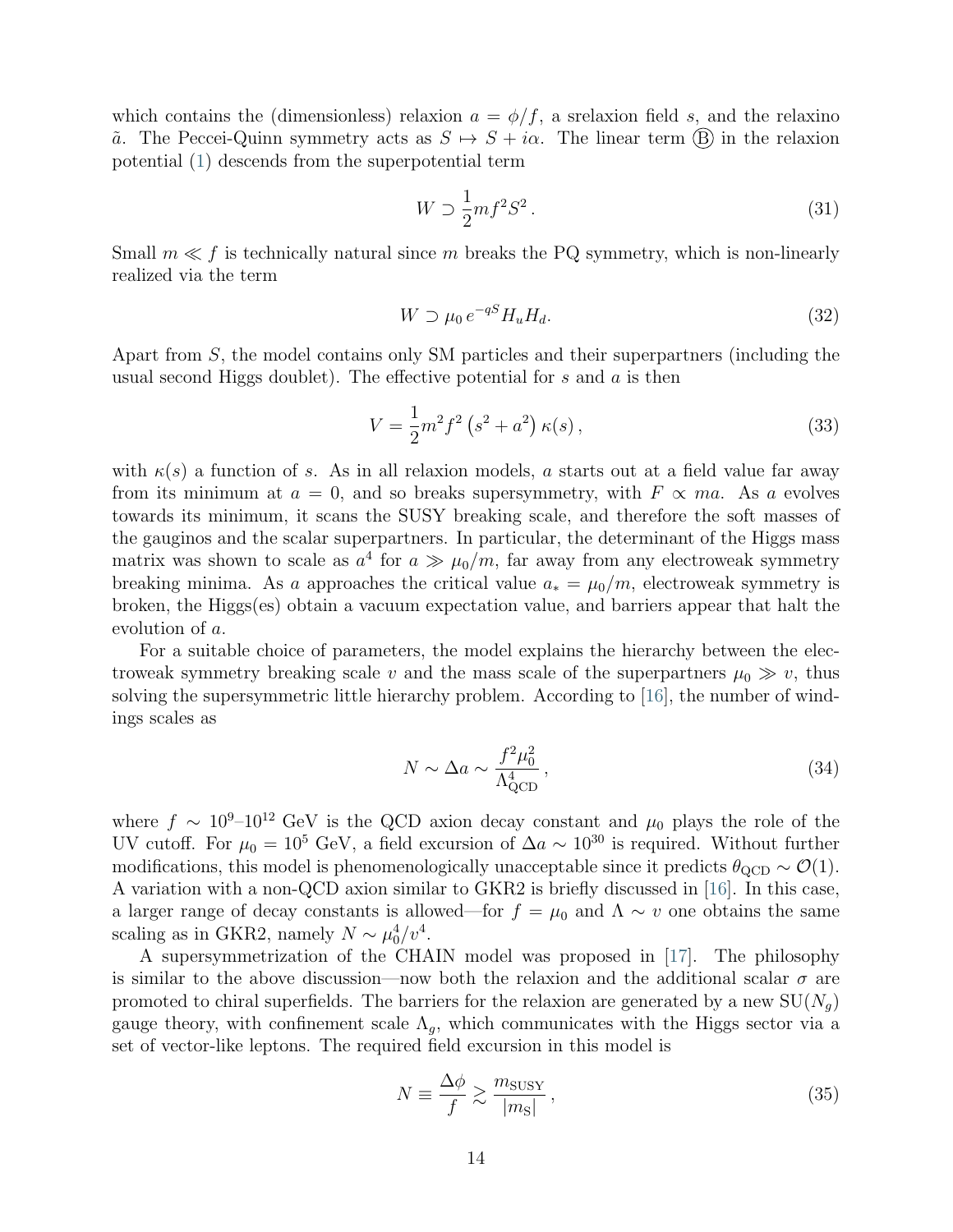which contains the (dimensionless) relaxion  $a = \phi/f$ , a srelaxion field s, and the relaxino  $\tilde{a}$ . The Peccei-Quinn symmetry acts as  $S \mapsto S + i\alpha$ . The linear term (B) in the relaxion potential [\(1\)](#page-3-0) descends from the superpotential term

<span id="page-14-0"></span>
$$
W \supset \frac{1}{2} m f^2 S^2 \,. \tag{31}
$$

Small  $m \ll f$  is technically natural since m breaks the PQ symmetry, which is non-linearly realized via the term

$$
W \supset \mu_0 \, e^{-qS} H_u H_d. \tag{32}
$$

Apart from S, the model contains only SM particles and their superpartners (including the usual second Higgs doublet). The effective potential for  $s$  and  $a$  is then

$$
V = \frac{1}{2}m^2 f^2 (s^2 + a^2) \kappa(s),
$$
\n(33)

with  $\kappa(s)$  a function of s. As in all relaxion models, a starts out at a field value far away from its minimum at  $a = 0$ , and so breaks supersymmetry, with  $F \propto ma$ . As a evolves towards its minimum, it scans the SUSY breaking scale, and therefore the soft masses of the gauginos and the scalar superpartners. In particular, the determinant of the Higgs mass matrix was shown to scale as  $a^4$  for  $a \gg \mu_0/m$ , far away from any electroweak symmetry breaking minima. As a approaches the critical value  $a_* = \mu_0/m$ , electroweak symmetry is broken, the Higgs(es) obtain a vacuum expectation value, and barriers appear that halt the evolution of a.

For a suitable choice of parameters, the model explains the hierarchy between the electroweak symmetry breaking scale v and the mass scale of the superpartners  $\mu_0 \gg v$ , thus solving the supersymmetric little hierarchy problem. According to [\[16\]](#page-56-13), the number of windings scales as

$$
N \sim \Delta a \sim \frac{f^2 \mu_0^2}{\Lambda_{\text{QCD}}^4} \,,\tag{34}
$$

where  $f \sim 10^{9}-10^{12}$  GeV is the QCD axion decay constant and  $\mu_0$  plays the role of the UV cutoff. For  $\mu_0 = 10^5$  GeV, a field excursion of  $\Delta a \sim 10^{30}$  is required. Without further modifications, this model is phenomenologically unacceptable since it predicts  $\theta_{\text{QCD}} \sim \mathcal{O}(1)$ . A variation with a non-QCD axion similar to GKR2 is briefly discussed in [\[16\]](#page-56-13). In this case, a larger range of decay constants is allowed—for  $f = \mu_0$  and  $\Lambda \sim v$  one obtains the same scaling as in GKR2, namely  $N \sim \mu_0^4/v^4$ .

A supersymmetrization of the CHAIN model was proposed in [\[17\]](#page-56-14). The philosophy is similar to the above discussion—now both the relaxion and the additional scalar  $\sigma$  are promoted to chiral superfields. The barriers for the relaxion are generated by a new  $SU(N_q)$ gauge theory, with confinement scale  $\Lambda_q$ , which communicates with the Higgs sector via a set of vector-like leptons. The required field excursion in this model is

$$
N \equiv \frac{\Delta \phi}{f} \gtrsim \frac{m_{\text{SUSY}}}{|m_{\text{S}}|},\tag{35}
$$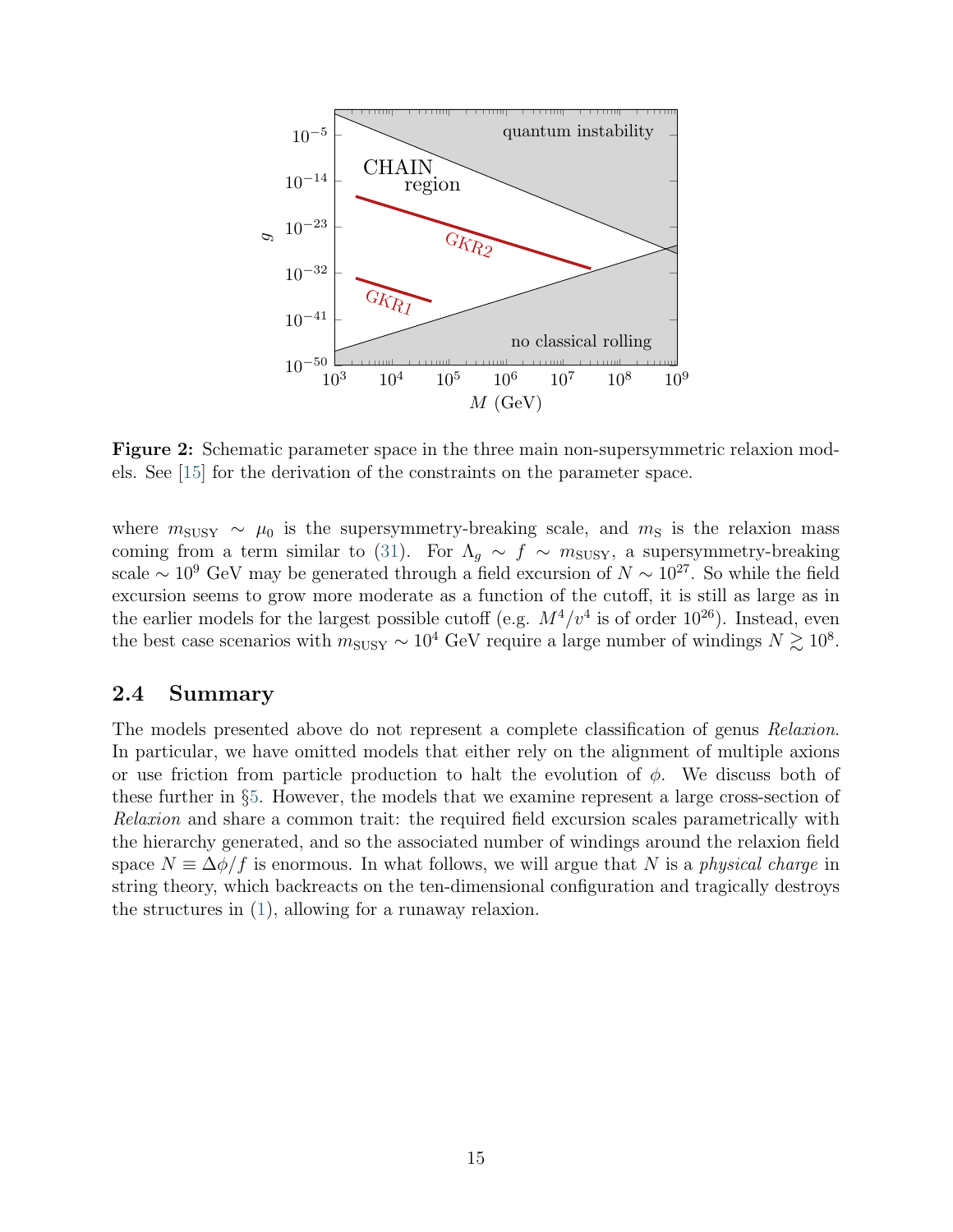<span id="page-15-1"></span>

Figure 2: Schematic parameter space in the three main non-supersymmetric relaxion models. See [\[15\]](#page-56-12) for the derivation of the constraints on the parameter space.

where  $m_{\text{SUSY}} \sim \mu_0$  is the supersymmetry-breaking scale, and  $m_{\text{S}}$  is the relaxion mass coming from a term similar to [\(31\)](#page-14-0). For  $\Lambda_q \sim f \sim m_{\text{SUSY}}$ , a supersymmetry-breaking scale ~ 10<sup>9</sup> GeV may be generated through a field excursion of  $N \sim 10^{27}$ . So while the field excursion seems to grow more moderate as a function of the cutoff, it is still as large as in the earlier models for the largest possible cutoff (e.g.  $M^4/v^4$  is of order  $10^{26}$ ). Instead, even the best case scenarios with  $m_{\text{SUSY}} \sim 10^4$  GeV require a large number of windings  $N \gtrsim 10^8$ .

### <span id="page-15-0"></span>2.4 Summary

The models presented above do not represent a complete classification of genus Relaxion. In particular, we have omitted models that either rely on the alignment of multiple axions or use friction from particle production to halt the evolution of  $\phi$ . We discuss both of these further in §[5.](#page-40-0) However, the models that we examine represent a large cross-section of Relaxion and share a common trait: the required field excursion scales parametrically with the hierarchy generated, and so the associated number of windings around the relaxion field space  $N \equiv \Delta \phi / f$  is enormous. In what follows, we will argue that N is a physical charge in string theory, which backreacts on the ten-dimensional configuration and tragically destroys the structures in [\(1\)](#page-3-0), allowing for a runaway relaxion.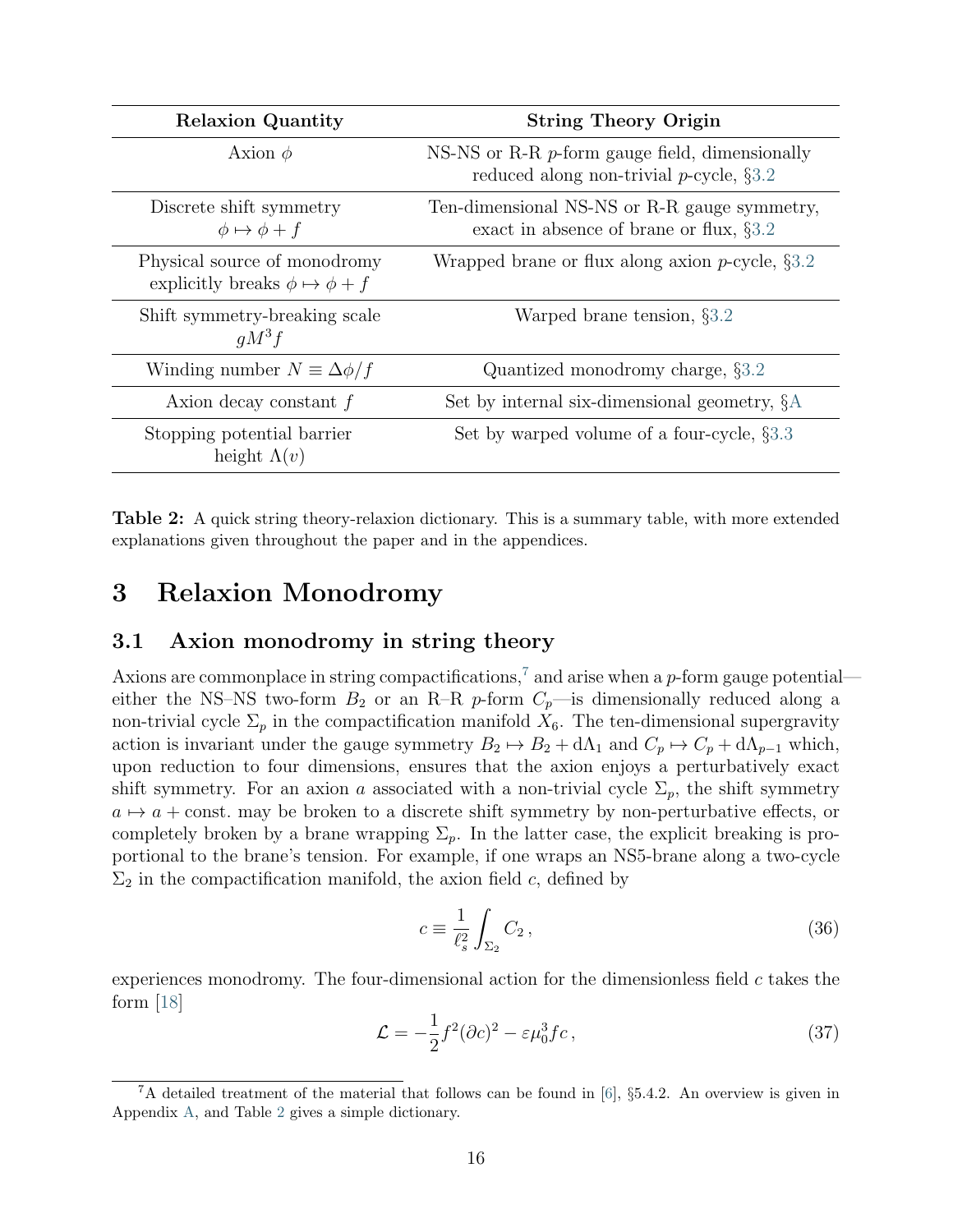<span id="page-16-3"></span>

| <b>Relaxion Quantity</b>                                                  | <b>String Theory Origin</b>                                                                         |
|---------------------------------------------------------------------------|-----------------------------------------------------------------------------------------------------|
| Axion $\phi$                                                              | NS-NS or R-R $p$ -form gauge field, dimensionally<br>reduced along non-trivial $p$ -cycle, $\S 3.2$ |
| Discrete shift symmetry<br>$\phi \mapsto \phi + f$                        | Ten-dimensional NS-NS or R-R gauge symmetry,<br>exact in absence of brane or flux, $\S 3.2$         |
| Physical source of monodromy<br>explicitly breaks $\phi \mapsto \phi + f$ | Wrapped brane or flux along axion <i>p</i> -cycle, $\S 3.2$                                         |
| Shift symmetry-breaking scale<br>$qM^3f$                                  | Warped brane tension, $\S 3.2$                                                                      |
| Winding number $N \equiv \Delta \phi / f$                                 | Quantized monodromy charge, §3.2                                                                    |
| Axion decay constant $f$                                                  | Set by internal six-dimensional geometry, $\S A$                                                    |
| Stopping potential barrier<br>height $\Lambda(v)$                         | Set by warped volume of a four-cycle, $\S 3.3$                                                      |

Table 2: A quick string theory-relaxion dictionary. This is a summary table, with more extended explanations given throughout the paper and in the appendices.

# <span id="page-16-0"></span>3 Relaxion Monodromy

### <span id="page-16-1"></span>3.1 Axion monodromy in string theory

Axions are commonplace in string compactifications,<sup>[7](#page-16-2)</sup> and arise when a  $p$ -form gauge potentialeither the NS–NS two-form  $B_2$  or an R–R p-form  $C_p$ —is dimensionally reduced along a non-trivial cycle  $\Sigma_p$  in the compactification manifold  $X_6$ . The ten-dimensional supergravity action is invariant under the gauge symmetry  $B_2 \mapsto B_2 + d\Lambda_1$  and  $C_p \mapsto C_p + d\Lambda_{p-1}$  which, upon reduction to four dimensions, ensures that the axion enjoys a perturbatively exact shift symmetry. For an axion a associated with a non-trivial cycle  $\Sigma_p$ , the shift symmetry  $a \mapsto a + \text{const.}$  may be broken to a discrete shift symmetry by non-perturbative effects, or completely broken by a brane wrapping  $\Sigma_p$ . In the latter case, the explicit breaking is proportional to the brane's tension. For example, if one wraps an NS5-brane along a two-cycle  $\Sigma_2$  in the compactification manifold, the axion field c, defined by

$$
c \equiv \frac{1}{\ell_s^2} \int_{\Sigma_2} C_2 \,, \tag{36}
$$

experiences monodromy. The four-dimensional action for the dimensionless field c takes the form [\[18\]](#page-57-0)

<span id="page-16-4"></span>
$$
\mathcal{L} = -\frac{1}{2}f^2(\partial c)^2 - \varepsilon \mu_0^3 f c,\tag{37}
$$

<span id="page-16-2"></span><sup>&</sup>lt;sup>7</sup>A detailed treatment of the material that follows can be found in [\[6\]](#page-56-4),  $\S5.4.2$ . An overview is given in Appendix [A,](#page-45-0) and Table [2](#page-16-3) gives a simple dictionary.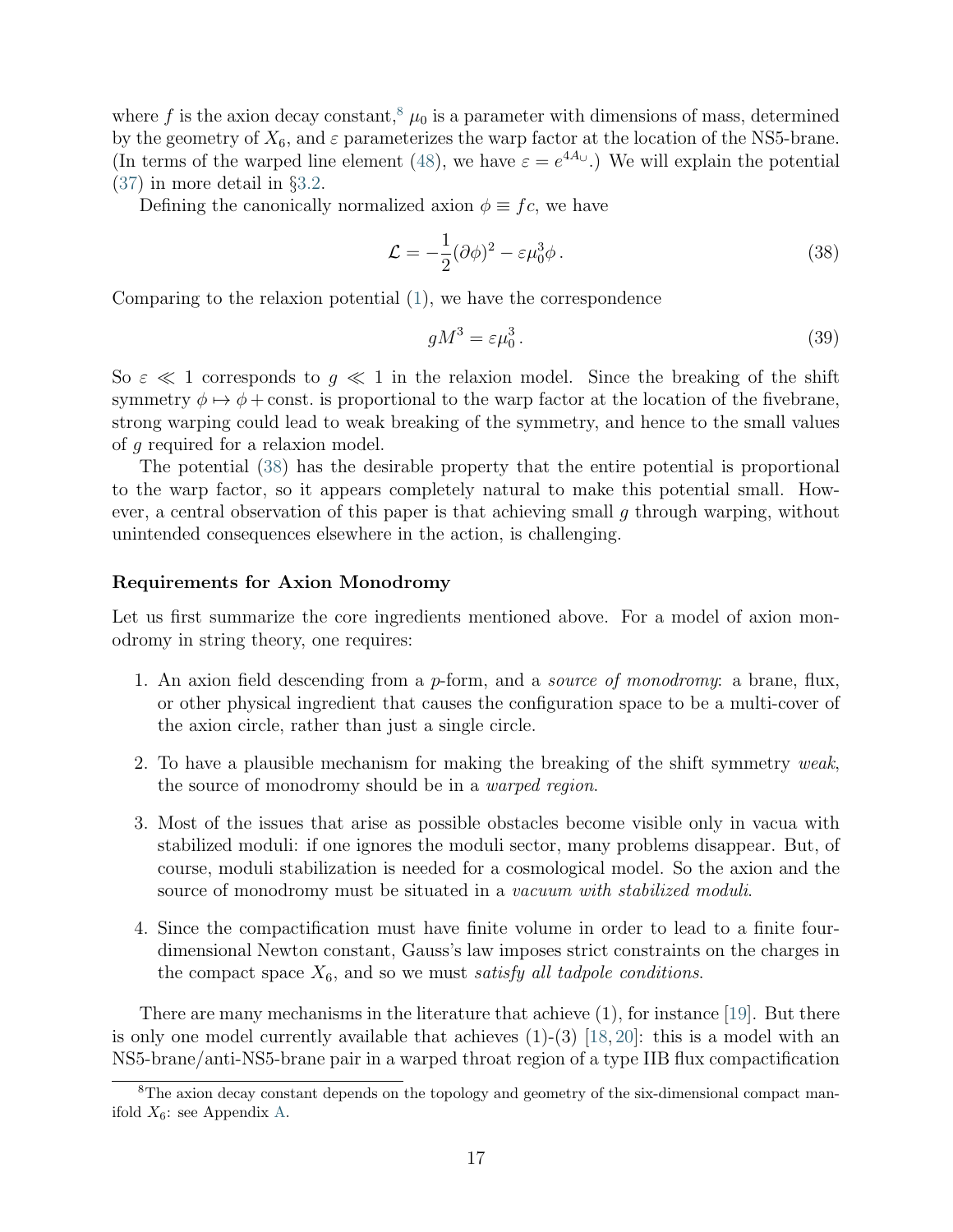where f is the axion decay constant,<sup>[8](#page-17-0)</sup>  $\mu_0$  is a parameter with dimensions of mass, determined by the geometry of  $X_6$ , and  $\varepsilon$  parameterizes the warp factor at the location of the NS5-brane. (In terms of the warped line element [\(48\)](#page-21-0), we have  $\varepsilon = e^{4A}$ .) We will explain the potential [\(37\)](#page-16-4) in more detail in §[3.2.](#page-19-0)

Defining the canonically normalized axion  $\phi \equiv fc$ , we have

<span id="page-17-1"></span>
$$
\mathcal{L} = -\frac{1}{2}(\partial \phi)^2 - \varepsilon \mu_0^3 \phi \,. \tag{38}
$$

Comparing to the relaxion potential [\(1\)](#page-3-0), we have the correspondence

$$
gM^3 = \varepsilon \mu_0^3. \tag{39}
$$

So  $\varepsilon \ll 1$  corresponds to  $q \ll 1$  in the relaxion model. Since the breaking of the shift symmetry  $\phi \mapsto \phi + \text{const.}$  is proportional to the warp factor at the location of the fivebrane, strong warping could lead to weak breaking of the symmetry, and hence to the small values of g required for a relaxion model.

The potential [\(38\)](#page-17-1) has the desirable property that the entire potential is proportional to the warp factor, so it appears completely natural to make this potential small. However, a central observation of this paper is that achieving small g through warping, without unintended consequences elsewhere in the action, is challenging.

#### <span id="page-17-2"></span>Requirements for Axion Monodromy

Let us first summarize the core ingredients mentioned above. For a model of axion monodromy in string theory, one requires:

- 1. An axion field descending from a p-form, and a *source of monodromy*: a brane, flux, or other physical ingredient that causes the configuration space to be a multi-cover of the axion circle, rather than just a single circle.
- 2. To have a plausible mechanism for making the breaking of the shift symmetry weak, the source of monodromy should be in a warped region.
- 3. Most of the issues that arise as possible obstacles become visible only in vacua with stabilized moduli: if one ignores the moduli sector, many problems disappear. But, of course, moduli stabilization is needed for a cosmological model. So the axion and the source of monodromy must be situated in a *vacuum with stabilized moduli*.
- 4. Since the compactification must have finite volume in order to lead to a finite fourdimensional Newton constant, Gauss's law imposes strict constraints on the charges in the compact space  $X_6$ , and so we must satisfy all tadpole conditions.

There are many mechanisms in the literature that achieve (1), for instance [\[19\]](#page-57-1). But there is only one model currently available that achieves  $(1)-(3)$  [\[18,](#page-57-0) [20\]](#page-57-2): this is a model with an NS5-brane/anti-NS5-brane pair in a warped throat region of a type IIB flux compactification

<span id="page-17-0"></span><sup>&</sup>lt;sup>8</sup>The axion decay constant depends on the topology and geometry of the six-dimensional compact manifold  $X_6$ : see Appendix [A.](#page-45-0)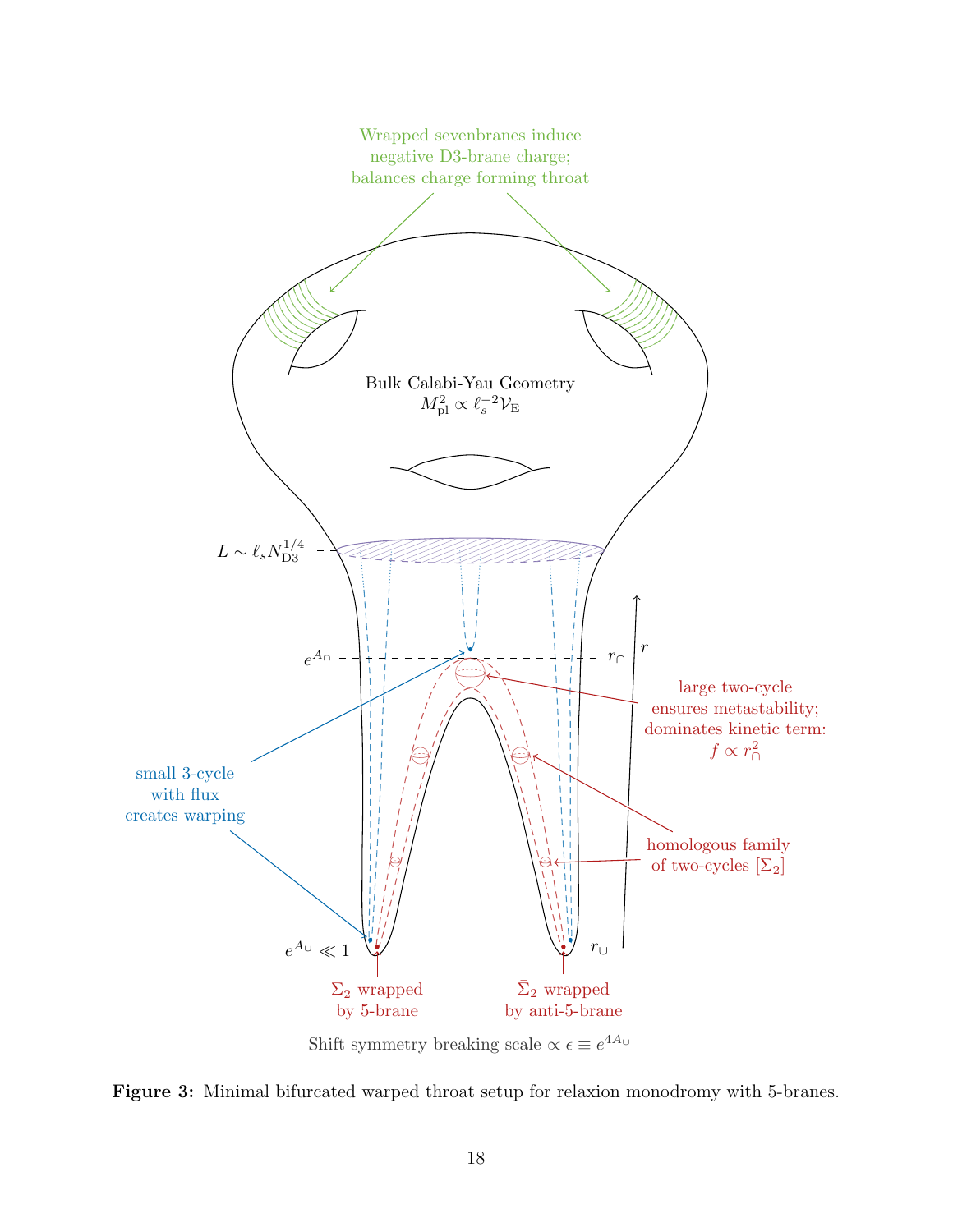<span id="page-18-0"></span>

Figure 3: Minimal bifurcated warped throat setup for relaxion monodromy with 5-branes.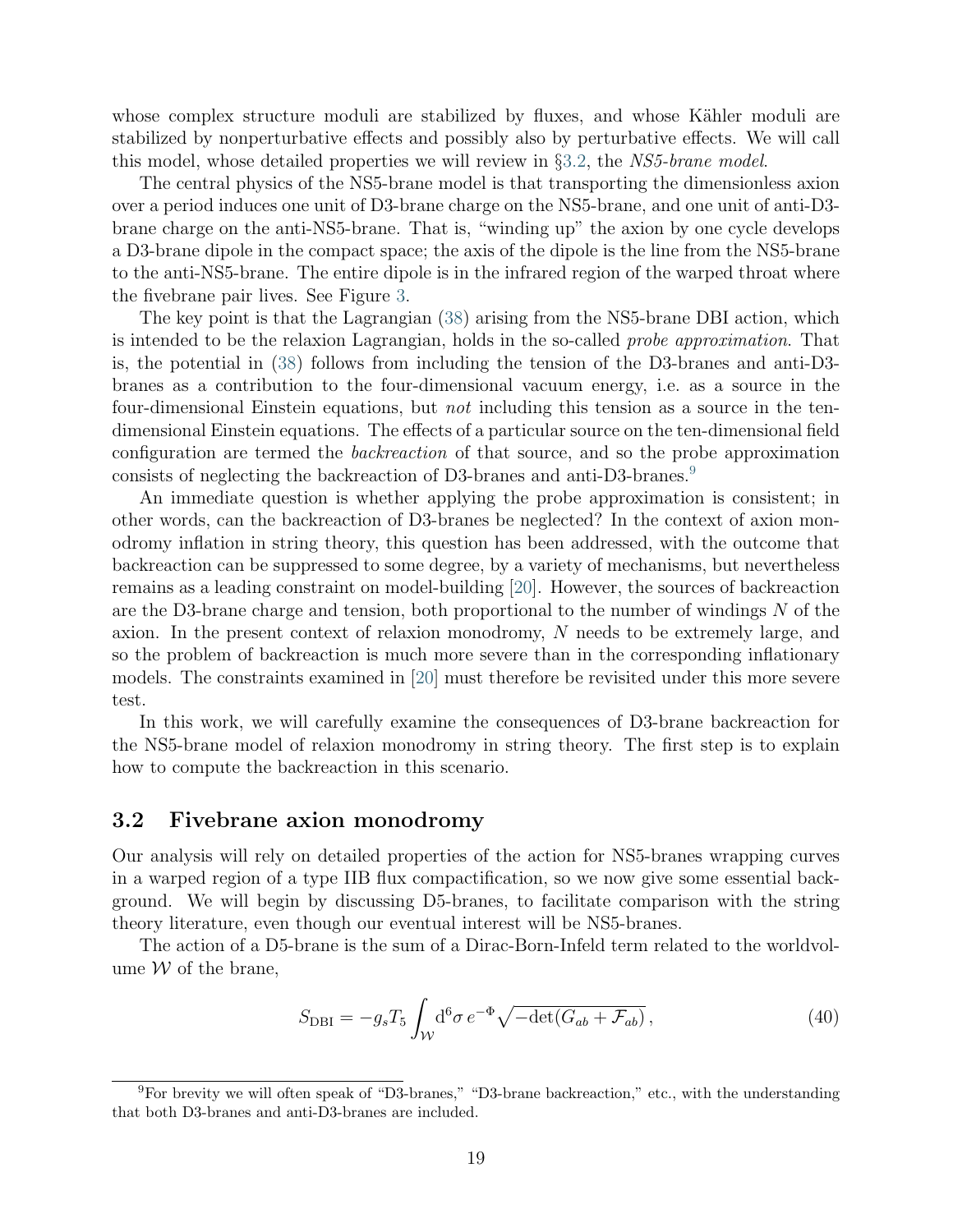whose complex structure moduli are stabilized by fluxes, and whose Kähler moduli are stabilized by nonperturbative effects and possibly also by perturbative effects. We will call this model, whose detailed properties we will review in §[3.2,](#page-19-0) the NS5-brane model.

The central physics of the NS5-brane model is that transporting the dimensionless axion over a period induces one unit of D3-brane charge on the NS5-brane, and one unit of anti-D3 brane charge on the anti-NS5-brane. That is, "winding up" the axion by one cycle develops a D3-brane dipole in the compact space; the axis of the dipole is the line from the NS5-brane to the anti-NS5-brane. The entire dipole is in the infrared region of the warped throat where the fivebrane pair lives. See Figure [3.](#page-18-0)

The key point is that the Lagrangian [\(38\)](#page-17-1) arising from the NS5-brane DBI action, which is intended to be the relaxion Lagrangian, holds in the so-called probe approximation. That is, the potential in [\(38\)](#page-17-1) follows from including the tension of the D3-branes and anti-D3 branes as a contribution to the four-dimensional vacuum energy, i.e. as a source in the four-dimensional Einstein equations, but not including this tension as a source in the tendimensional Einstein equations. The effects of a particular source on the ten-dimensional field configuration are termed the backreaction of that source, and so the probe approximation consists of neglecting the backreaction of D3-branes and anti-D3-branes.[9](#page-19-1)

An immediate question is whether applying the probe approximation is consistent; in other words, can the backreaction of D3-branes be neglected? In the context of axion monodromy inflation in string theory, this question has been addressed, with the outcome that backreaction can be suppressed to some degree, by a variety of mechanisms, but nevertheless remains as a leading constraint on model-building [\[20\]](#page-57-2). However, the sources of backreaction are the D3-brane charge and tension, both proportional to the number of windings  $N$  of the axion. In the present context of relaxion monodromy, N needs to be extremely large, and so the problem of backreaction is much more severe than in the corresponding inflationary models. The constraints examined in [\[20\]](#page-57-2) must therefore be revisited under this more severe test.

In this work, we will carefully examine the consequences of D3-brane backreaction for the NS5-brane model of relaxion monodromy in string theory. The first step is to explain how to compute the backreaction in this scenario.

### <span id="page-19-0"></span>3.2 Fivebrane axion monodromy

Our analysis will rely on detailed properties of the action for NS5-branes wrapping curves in a warped region of a type IIB flux compactification, so we now give some essential background. We will begin by discussing D5-branes, to facilitate comparison with the string theory literature, even though our eventual interest will be NS5-branes.

The action of a D5-brane is the sum of a Dirac-Born-Infeld term related to the worldvolume  $W$  of the brane,

<span id="page-19-2"></span>
$$
S_{\text{DBI}} = -g_s T_5 \int_{\mathcal{W}} d^6 \sigma \, e^{-\Phi} \sqrt{-\det(G_{ab} + \mathcal{F}_{ab})} \,, \tag{40}
$$

<span id="page-19-1"></span><sup>9</sup>For brevity we will often speak of "D3-branes," "D3-brane backreaction," etc., with the understanding that both D3-branes and anti-D3-branes are included.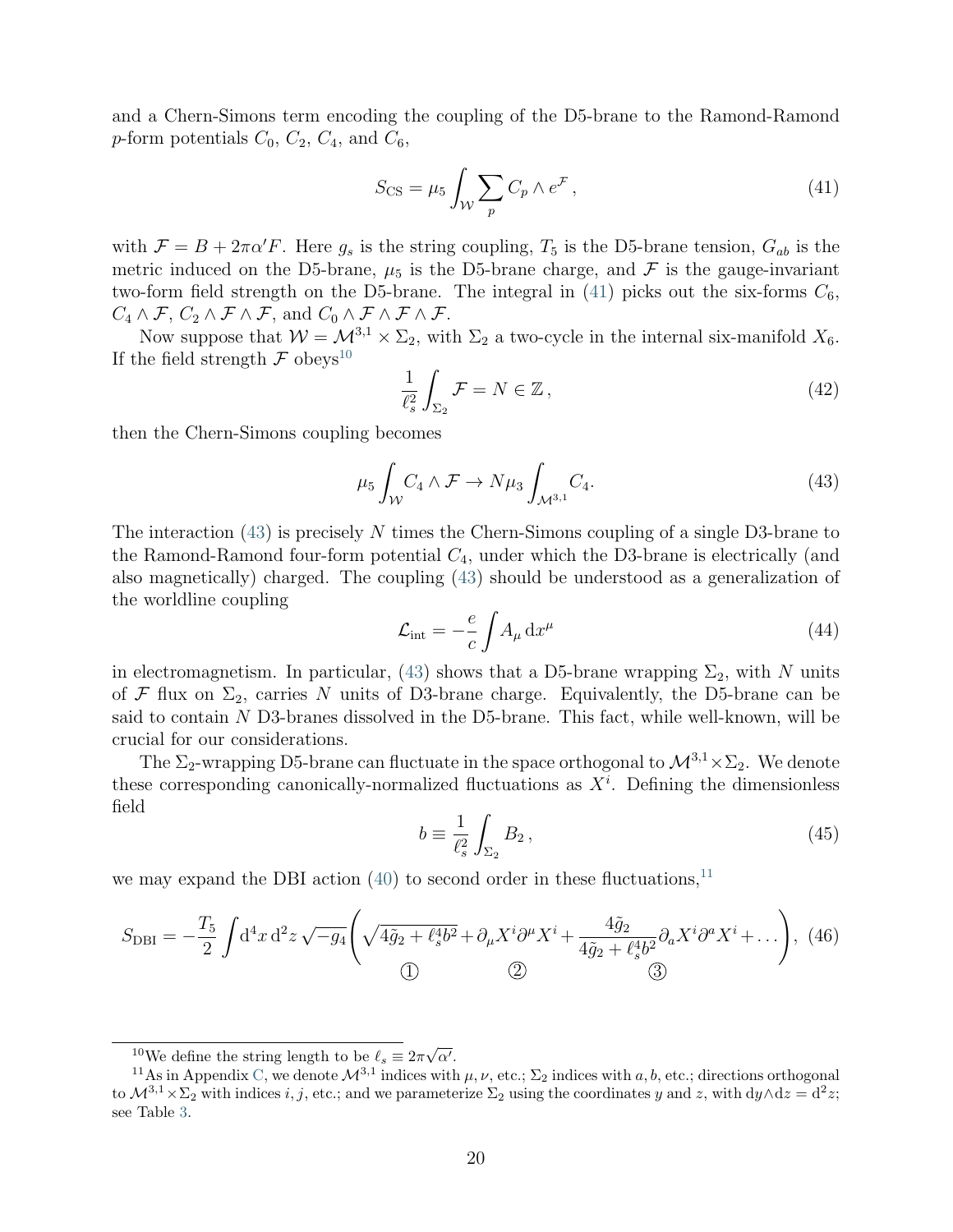and a Chern-Simons term encoding the coupling of the D5-brane to the Ramond-Ramond p-form potentials  $C_0$ ,  $C_2$ ,  $C_4$ , and  $C_6$ ,

<span id="page-20-0"></span>
$$
S_{\text{CS}} = \mu_5 \int_{\mathcal{W}} \sum_p C_p \wedge e^{\mathcal{F}}, \qquad (41)
$$

with  $\mathcal{F} = B + 2\pi\alpha'F$ . Here  $g_s$  is the string coupling,  $T_5$  is the D5-brane tension,  $G_{ab}$  is the metric induced on the D5-brane,  $\mu_5$  is the D5-brane charge, and  $\mathcal F$  is the gauge-invariant two-form field strength on the D5-brane. The integral in  $(41)$  picks out the six-forms  $C_6$ ,  $C_4 \wedge \mathcal{F}, C_2 \wedge \mathcal{F} \wedge \mathcal{F}$ , and  $C_0 \wedge \mathcal{F} \wedge \mathcal{F} \wedge \mathcal{F}$ .

Now suppose that  $W = \mathcal{M}^{3,1} \times \Sigma_2$ , with  $\Sigma_2$  a two-cycle in the internal six-manifold  $X_6$ . If the field strength  $\mathcal F$  obeys<sup>[10](#page-20-1)</sup>

$$
\frac{1}{\ell_s^2} \int_{\Sigma_2} \mathcal{F} = N \in \mathbb{Z},\tag{42}
$$

then the Chern-Simons coupling becomes

<span id="page-20-2"></span>
$$
\mu_5 \int_{\mathcal{W}} C_4 \wedge \mathcal{F} \to N \mu_3 \int_{\mathcal{M}^{3,1}} C_4. \tag{43}
$$

The interaction [\(43\)](#page-20-2) is precisely N times the Chern-Simons coupling of a single D3-brane to the Ramond-Ramond four-form potential  $C_4$ , under which the D3-brane is electrically (and also magnetically) charged. The coupling [\(43\)](#page-20-2) should be understood as a generalization of the worldline coupling

<span id="page-20-4"></span>
$$
\mathcal{L}_{\text{int}} = -\frac{e}{c} \int A_{\mu} dx^{\mu} \tag{44}
$$

in electromagnetism. In particular, [\(43\)](#page-20-2) shows that a D5-brane wrapping  $\Sigma_2$ , with N units of F flux on  $\Sigma_2$ , carries N units of D3-brane charge. Equivalently, the D5-brane can be said to contain N D3-branes dissolved in the D5-brane. This fact, while well-known, will be crucial for our considerations.

The  $\Sigma_2$ -wrapping D5-brane can fluctuate in the space orthogonal to  $\mathcal{M}^{3,1} \times \Sigma_2$ . We denote these corresponding canonically-normalized fluctuations as  $X<sup>i</sup>$ . Defining the dimensionless field

$$
b \equiv \frac{1}{\ell_s^2} \int_{\Sigma_2} B_2 \,, \tag{45}
$$

we may expand the DBI action  $(40)$  to second order in these fluctuations,<sup>[11](#page-20-3)</sup>

<span id="page-20-5"></span>
$$
S_{\rm DBI} = -\frac{T_5}{2} \int d^4 x \, d^2 z \, \sqrt{-g_4} \left( \sqrt{4\tilde{g}_2 + \ell_s^4 b^2} + \partial_\mu X^i \partial^\mu X^i + \frac{4\tilde{g}_2}{4\tilde{g}_2 + \ell_s^4 b^2} \partial_a X^i \partial^a X^i + \ldots \right), \tag{46}
$$

<span id="page-20-3"></span><span id="page-20-1"></span><sup>&</sup>lt;sup>10</sup>We define the string length to be  $\ell_s \equiv 2\pi\sqrt{\alpha'}$ .

<sup>&</sup>lt;sup>11</sup>As in Appendix [C,](#page-49-0) we denote  $\mathcal{M}^{3,1}$  indices with  $\mu, \nu$ , etc.;  $\Sigma_2$  indices with a, b, etc.; directions orthogonal to  $\mathcal{M}^{3,1}\times\Sigma_2$  with indices i, j, etc.; and we parameterize  $\Sigma_2$  using the coordinates y and z, with  $dy\wedge dz = d^2z$ ; see Table [3.](#page-50-0)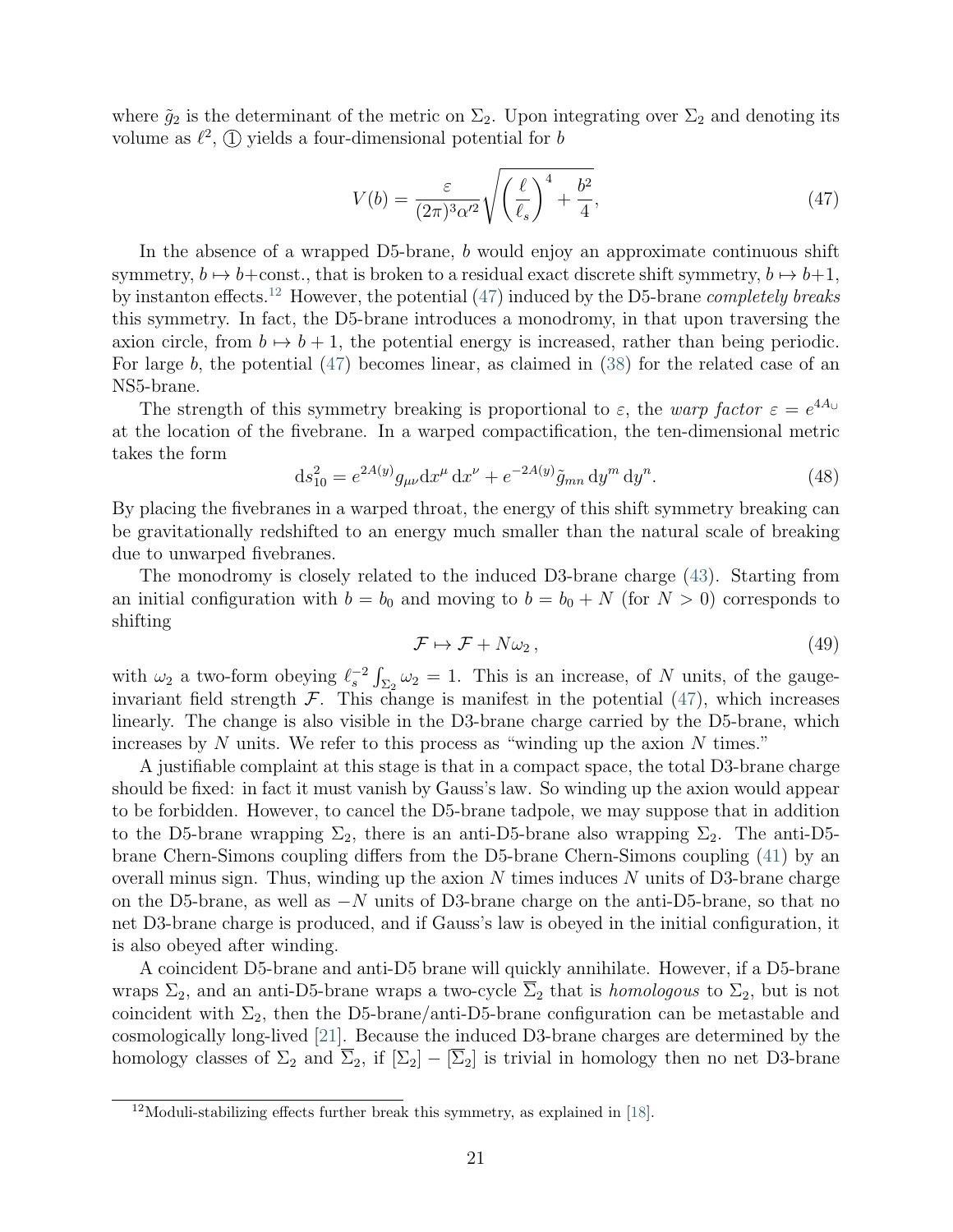where  $\tilde{g}_2$  is the determinant of the metric on  $\Sigma_2$ . Upon integrating over  $\Sigma_2$  and denoting its volume as  $\ell^2$ ,  $\textcircled{1}$  yields a four-dimensional potential for b

<span id="page-21-2"></span>
$$
V(b) = \frac{\varepsilon}{(2\pi)^3 \alpha'^2} \sqrt{\left(\frac{\ell}{\ell_s}\right)^4 + \frac{b^2}{4}},\tag{47}
$$

In the absence of a wrapped D5-brane, b would enjoy an approximate continuous shift symmetry,  $b \mapsto b$ +const., that is broken to a residual exact discrete shift symmetry,  $b \mapsto b+1$ , by instanton effects.<sup>[12](#page-21-1)</sup> However, the potential  $(47)$  induced by the D5-brane *completely breaks* this symmetry. In fact, the D5-brane introduces a monodromy, in that upon traversing the axion circle, from  $b \mapsto b + 1$ , the potential energy is increased, rather than being periodic. For large b, the potential  $(47)$  becomes linear, as claimed in  $(38)$  for the related case of an NS5-brane.

The strength of this symmetry breaking is proportional to  $\varepsilon$ , the warp factor  $\varepsilon = e^{4A\cup}$ at the location of the fivebrane. In a warped compactification, the ten-dimensional metric takes the form

<span id="page-21-0"></span>
$$
ds_{10}^2 = e^{2A(y)} g_{\mu\nu} dx^{\mu} dx^{\nu} + e^{-2A(y)} \tilde{g}_{mn} dy^m dy^n.
$$
 (48)

By placing the fivebranes in a warped throat, the energy of this shift symmetry breaking can be gravitationally redshifted to an energy much smaller than the natural scale of breaking due to unwarped fivebranes.

The monodromy is closely related to the induced D3-brane charge [\(43\)](#page-20-2). Starting from an initial configuration with  $b = b_0$  and moving to  $b = b_0 + N$  (for  $N > 0$ ) corresponds to shifting

$$
\mathcal{F} \mapsto \mathcal{F} + N\omega_2, \tag{49}
$$

with  $\omega_2$  a two-form obeying  $\ell_s^{-2} \int_{\Sigma_2} \omega_2 = 1$ . This is an increase, of N units, of the gaugeinvariant field strength  $\mathcal{F}$ . This change is manifest in the potential  $(47)$ , which increases linearly. The change is also visible in the D3-brane charge carried by the D5-brane, which increases by  $N$  units. We refer to this process as "winding up the axion  $N$  times."

A justifiable complaint at this stage is that in a compact space, the total D3-brane charge should be fixed: in fact it must vanish by Gauss's law. So winding up the axion would appear to be forbidden. However, to cancel the D5-brane tadpole, we may suppose that in addition to the D5-brane wrapping  $\Sigma_2$ , there is an anti-D5-brane also wrapping  $\Sigma_2$ . The anti-D5brane Chern-Simons coupling differs from the D5-brane Chern-Simons coupling [\(41\)](#page-20-0) by an overall minus sign. Thus, winding up the axion  $N$  times induces  $N$  units of D3-brane charge on the D5-brane, as well as −N units of D3-brane charge on the anti-D5-brane, so that no net D3-brane charge is produced, and if Gauss's law is obeyed in the initial configuration, it is also obeyed after winding.

A coincident D5-brane and anti-D5 brane will quickly annihilate. However, if a D5-brane wraps  $\Sigma_2$ , and an anti-D5-brane wraps a two-cycle  $\Sigma_2$  that is *homologous* to  $\Sigma_2$ , but is not coincident with  $\Sigma_2$ , then the D5-brane/anti-D5-brane configuration can be metastable and cosmologically long-lived [\[21\]](#page-57-3). Because the induced D3-brane charges are determined by the homology classes of  $\Sigma_2$  and  $\overline{\Sigma}_2$ , if  $[\Sigma_2] - [\overline{\Sigma}_2]$  is trivial in homology then no net D3-brane

<span id="page-21-1"></span><sup>12</sup>Moduli-stabilizing effects further break this symmetry, as explained in [\[18\]](#page-57-0).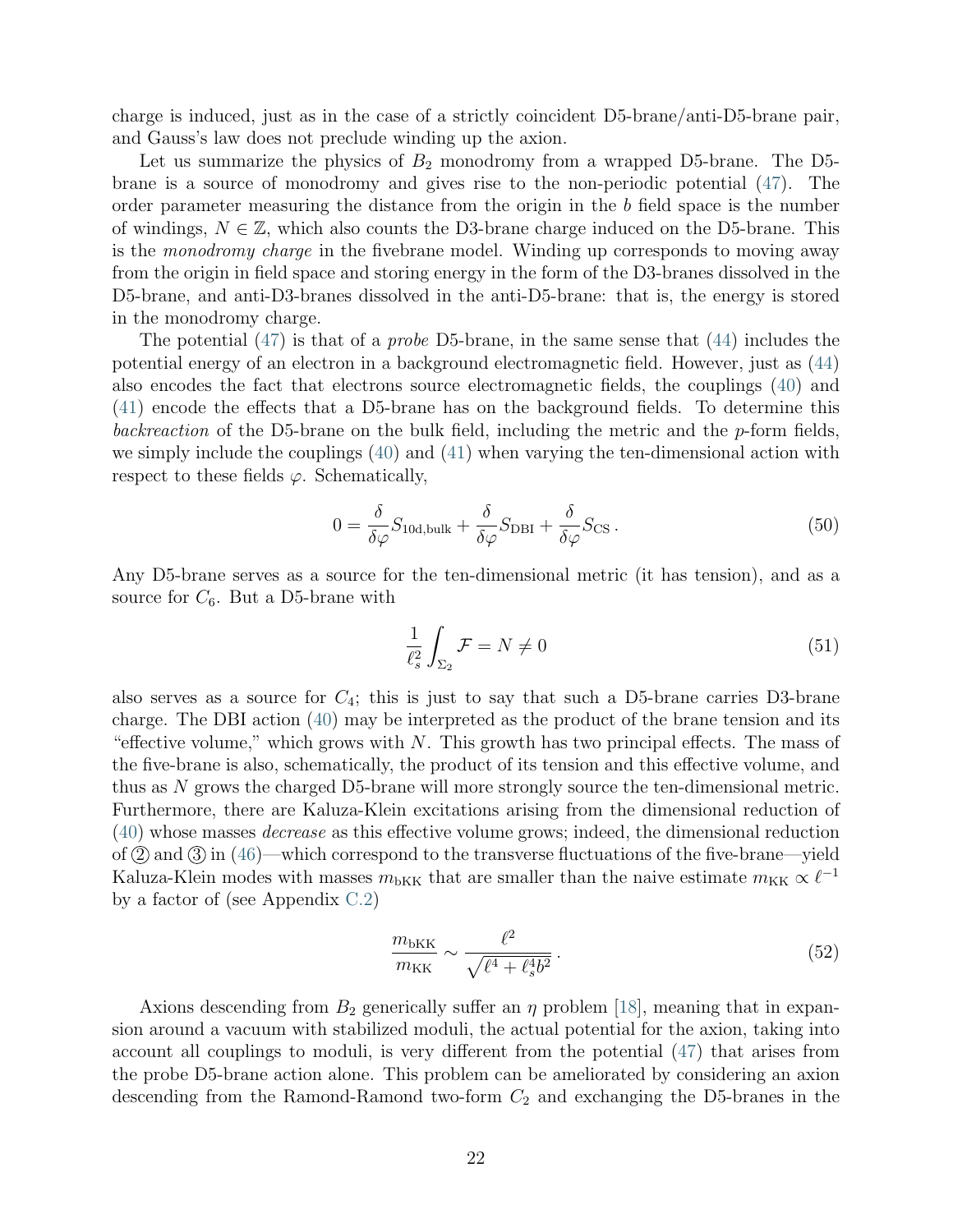charge is induced, just as in the case of a strictly coincident D5-brane/anti-D5-brane pair, and Gauss's law does not preclude winding up the axion.

Let us summarize the physics of  $B_2$  monodromy from a wrapped D5-brane. The D5brane is a source of monodromy and gives rise to the non-periodic potential [\(47\)](#page-21-2). The order parameter measuring the distance from the origin in the b field space is the number of windings,  $N \in \mathbb{Z}$ , which also counts the D3-brane charge induced on the D5-brane. This is the monodromy charge in the fivebrane model. Winding up corresponds to moving away from the origin in field space and storing energy in the form of the D3-branes dissolved in the D5-brane, and anti-D3-branes dissolved in the anti-D5-brane: that is, the energy is stored in the monodromy charge.

The potential  $(47)$  is that of a *probe* D5-brane, in the same sense that  $(44)$  includes the potential energy of an electron in a background electromagnetic field. However, just as [\(44\)](#page-20-4) also encodes the fact that electrons source electromagnetic fields, the couplings [\(40\)](#page-19-2) and [\(41\)](#page-20-0) encode the effects that a D5-brane has on the background fields. To determine this backreaction of the D5-brane on the bulk field, including the metric and the  $p$ -form fields, we simply include the couplings [\(40\)](#page-19-2) and [\(41\)](#page-20-0) when varying the ten-dimensional action with respect to these fields  $\varphi$ . Schematically,

$$
0 = \frac{\delta}{\delta \varphi} S_{10d,\text{bulk}} + \frac{\delta}{\delta \varphi} S_{\text{DBI}} + \frac{\delta}{\delta \varphi} S_{\text{CS}}.
$$
 (50)

Any D5-brane serves as a source for the ten-dimensional metric (it has tension), and as a source for  $C_6$ . But a D5-brane with

$$
\frac{1}{\ell_s^2} \int_{\Sigma_2} \mathcal{F} = N \neq 0 \tag{51}
$$

also serves as a source for  $C_4$ ; this is just to say that such a D5-brane carries D3-brane charge. The DBI action [\(40\)](#page-19-2) may be interpreted as the product of the brane tension and its "effective volume," which grows with  $N$ . This growth has two principal effects. The mass of the five-brane is also, schematically, the product of its tension and this effective volume, and thus as N grows the charged D5-brane will more strongly source the ten-dimensional metric. Furthermore, there are Kaluza-Klein excitations arising from the dimensional reduction of [\(40\)](#page-19-2) whose masses decrease as this effective volume grows; indeed, the dimensional reduction of  $(2)$  and  $(3)$  in [\(46\)](#page-20-5)—which correspond to the transverse fluctuations of the five-brane—yield Kaluza-Klein modes with masses  $m_{\text{bKK}}$  that are smaller than the naive estimate  $m_{\text{KK}} \propto \ell^{-1}$ by a factor of (see Appendix [C.2\)](#page-49-1)

$$
\frac{m_{\text{bKK}}}{m_{\text{KK}}} \sim \frac{\ell^2}{\sqrt{\ell^4 + \ell_s^4 b^2}}.
$$
\n(52)

Axions descending from  $B_2$  generically suffer an  $\eta$  problem [\[18\]](#page-57-0), meaning that in expansion around a vacuum with stabilized moduli, the actual potential for the axion, taking into account all couplings to moduli, is very different from the potential [\(47\)](#page-21-2) that arises from the probe D5-brane action alone. This problem can be ameliorated by considering an axion descending from the Ramond-Ramond two-form  $C_2$  and exchanging the D5-branes in the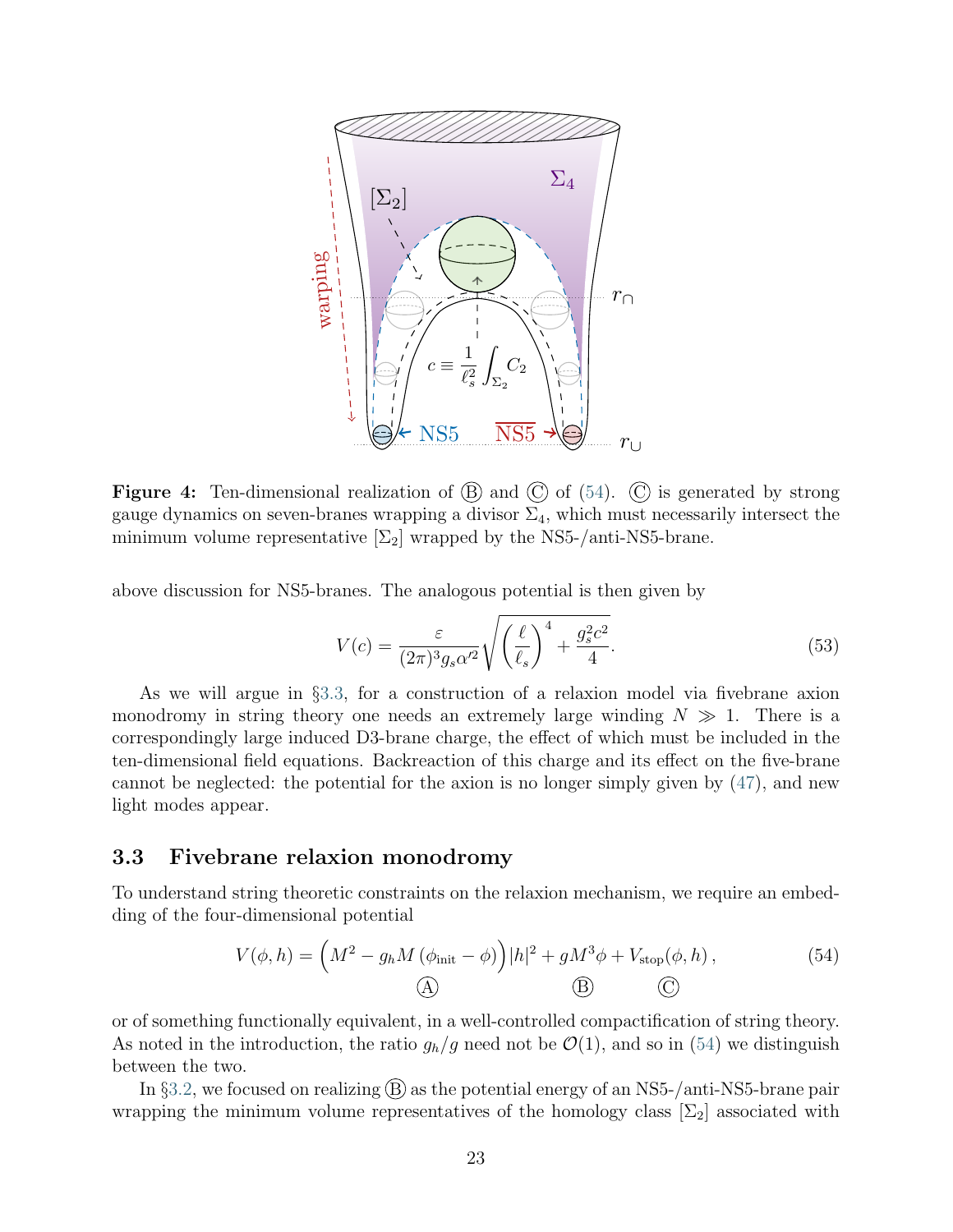<span id="page-23-2"></span>

**Figure 4:** Ten-dimensional realization of  $\overline{B}$  and  $\overline{C}$  of [\(54\)](#page-23-1).  $\overline{C}$  is generated by strong gauge dynamics on seven-branes wrapping a divisor  $\Sigma_4$ , which must necessarily intersect the minimum volume representative  $[\Sigma_2]$  wrapped by the NS5-/anti-NS5-brane.

above discussion for NS5-branes. The analogous potential is then given by

<span id="page-23-3"></span>
$$
V(c) = \frac{\varepsilon}{(2\pi)^3 g_s \alpha'^2} \sqrt{\left(\frac{\ell}{\ell_s}\right)^4 + \frac{g_s^2 c^2}{4}}.
$$
\n(53)

As we will argue in §[3.3,](#page-23-0) for a construction of a relaxion model via fivebrane axion monodromy in string theory one needs an extremely large winding  $N \gg 1$ . There is a correspondingly large induced D3-brane charge, the effect of which must be included in the ten-dimensional field equations. Backreaction of this charge and its effect on the five-brane cannot be neglected: the potential for the axion is no longer simply given by [\(47\)](#page-21-2), and new light modes appear.

### <span id="page-23-0"></span>3.3 Fivebrane relaxion monodromy

To understand string theoretic constraints on the relaxion mechanism, we require an embedding of the four-dimensional potential

<span id="page-23-1"></span>
$$
V(\phi, h) = \left(M^2 - g_h M \left(\phi_{\text{init}} - \phi\right)\right) |h|^2 + g M^3 \phi + V_{\text{stop}}(\phi, h),\tag{54}
$$
\n
$$
\textcircled{A}\qquad \qquad \textcircled{B}\qquad \qquad \textcircled{C}
$$

or of something functionally equivalent, in a well-controlled compactification of string theory. As noted in the introduction, the ratio  $g_h/g$  need not be  $\mathcal{O}(1)$ , and so in [\(54\)](#page-23-1) we distinguish between the two.

In  $\S 3.2$ , we focused on realizing  $(\widehat{B})$  as the potential energy of an NS5-/anti-NS5-brane pair wrapping the minimum volume representatives of the homology class  $[\Sigma_2]$  associated with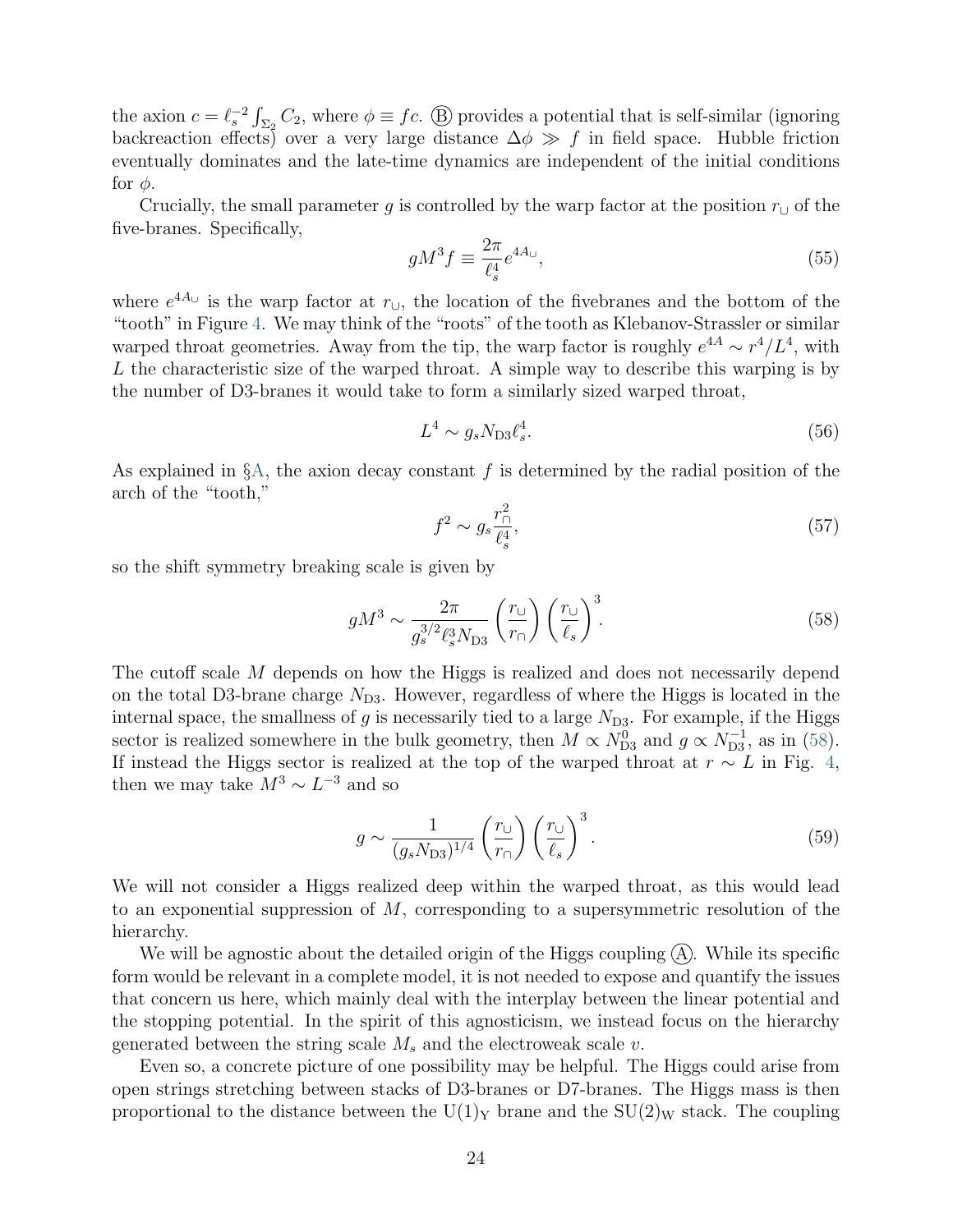the axion  $c = \ell_s^{-2} \int_{\Sigma_2} C_2$ , where  $\phi \equiv fc.$  (B) provides a potential that is self-similar (ignoring backreaction effects) over a very large distance  $\Delta \phi \gg f$  in field space. Hubble friction eventually dominates and the late-time dynamics are independent of the initial conditions for  $\phi$ .

Crucially, the small parameter g is controlled by the warp factor at the position  $r_{\cup}$  of the five-branes. Specifically,

<span id="page-24-1"></span>
$$
gM^3f \equiv \frac{2\pi}{\ell_s^4}e^{4A_\cup},\tag{55}
$$

where  $e^{4A_U}$  is the warp factor at  $r_U$ , the location of the fivebranes and the bottom of the "tooth" in Figure [4.](#page-23-2) We may think of the "roots" of the tooth as Klebanov-Strassler or similar warped throat geometries. Away from the tip, the warp factor is roughly  $e^{4A} \sim r^4/L^4$ , with  $L$  the characteristic size of the warped throat. A simple way to describe this warping is by the number of D3-branes it would take to form a similarly sized warped throat,

<span id="page-24-2"></span>
$$
L^4 \sim g_s N_{\rm D3} \ell_s^4. \tag{56}
$$

As explained in  $\S$ [A,](#page-45-0) the axion decay constant f is determined by the radial position of the arch of the "tooth,"

$$
f^2 \sim g_s \frac{r_\cap^2}{\ell_s^4},\tag{57}
$$

so the shift symmetry breaking scale is given by

<span id="page-24-0"></span>
$$
gM^3 \sim \frac{2\pi}{g_s^{3/2}\ell_s^3 N_{\text{D}3}} \left(\frac{r_{\cup}}{r_{\cap}}\right) \left(\frac{r_{\cup}}{\ell_s}\right)^3. \tag{58}
$$

The cutoff scale M depends on how the Higgs is realized and does not necessarily depend on the total D3-brane charge  $N_{D3}$ . However, regardless of where the Higgs is located in the internal space, the smallness of g is necessarily tied to a large  $N_{D3}$ . For example, if the Higgs sector is realized somewhere in the bulk geometry, then  $M \propto N_{\text{D3}}^0$  and  $g \propto N_{\text{D3}}^{-1}$ , as in [\(58\)](#page-24-0). If instead the Higgs sector is realized at the top of the warped throat at  $r \sim L$  in Fig. [4,](#page-23-2) then we may take  $M^3 \sim L^{-3}$  and so

$$
g \sim \frac{1}{(g_s N_{\text{D3}})^{1/4}} \left(\frac{r_{\cup}}{r_{\cap}}\right) \left(\frac{r_{\cup}}{\ell_s}\right)^3. \tag{59}
$$

We will not consider a Higgs realized deep within the warped throat, as this would lead to an exponential suppression of  $M$ , corresponding to a supersymmetric resolution of the hierarchy.

We will be agnostic about the detailed origin of the Higgs coupling  $(A)$ . While its specific form would be relevant in a complete model, it is not needed to expose and quantify the issues that concern us here, which mainly deal with the interplay between the linear potential and the stopping potential. In the spirit of this agnosticism, we instead focus on the hierarchy generated between the string scale  $M_s$  and the electroweak scale v.

Even so, a concrete picture of one possibility may be helpful. The Higgs could arise from open strings stretching between stacks of D3-branes or D7-branes. The Higgs mass is then proportional to the distance between the  $U(1)_Y$  brane and the  $SU(2)_W$  stack. The coupling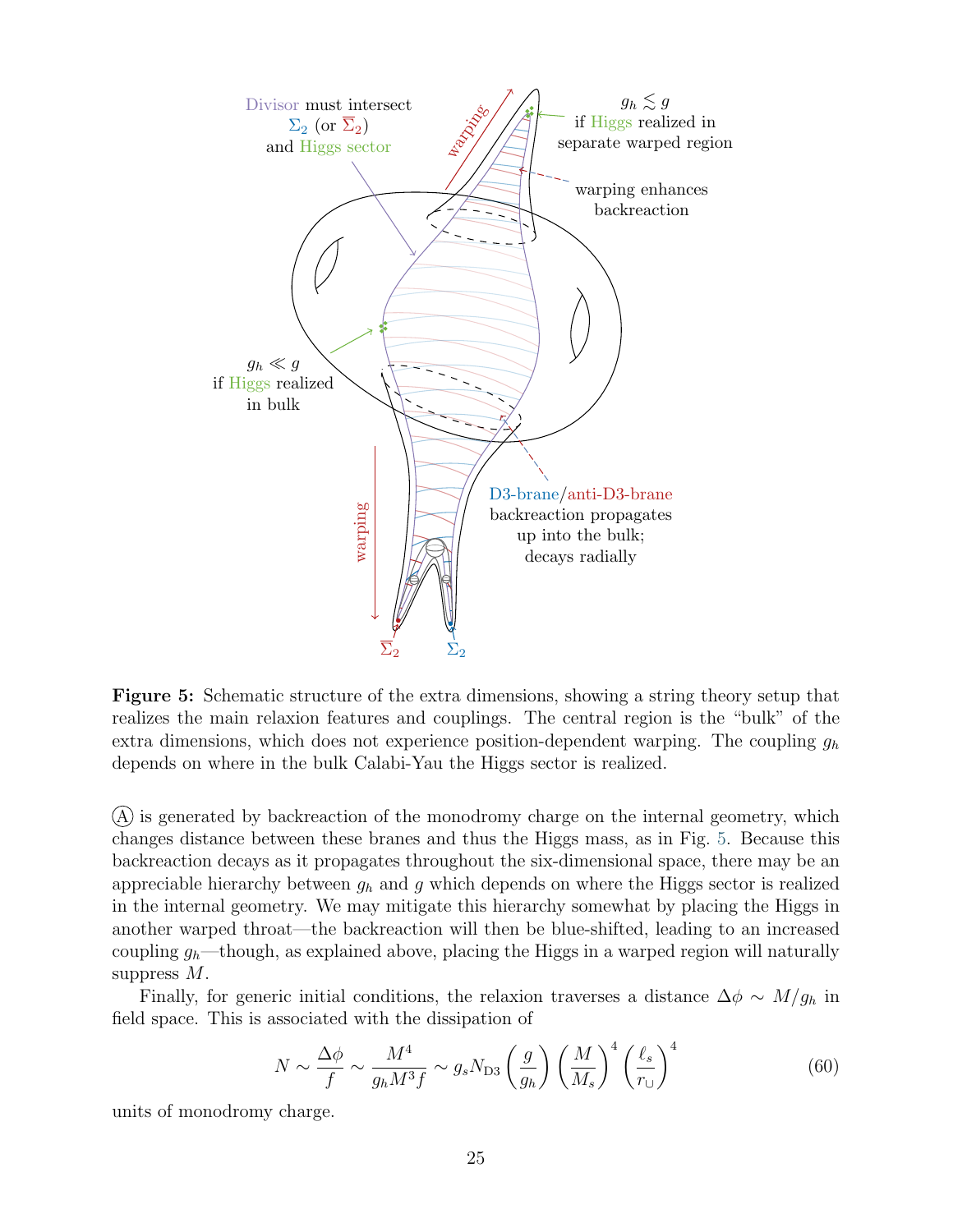<span id="page-25-0"></span>

Figure 5: Schematic structure of the extra dimensions, showing a string theory setup that realizes the main relaxion features and couplings. The central region is the "bulk" of the extra dimensions, which does not experience position-dependent warping. The coupling  $g_h$ depends on where in the bulk Calabi-Yau the Higgs sector is realized.

A is generated by backreaction of the monodromy charge on the internal geometry, which changes distance between these branes and thus the Higgs mass, as in Fig. [5.](#page-25-0) Because this backreaction decays as it propagates throughout the six-dimensional space, there may be an appreciable hierarchy between  $g_h$  and g which depends on where the Higgs sector is realized in the internal geometry. We may mitigate this hierarchy somewhat by placing the Higgs in another warped throat—the backreaction will then be blue-shifted, leading to an increased coupling  $g_h$ —though, as explained above, placing the Higgs in a warped region will naturally suppress M.

Finally, for generic initial conditions, the relaxion traverses a distance  $\Delta \phi \sim M/g_h$  in field space. This is associated with the dissipation of

$$
N \sim \frac{\Delta \phi}{f} \sim \frac{M^4}{g_h M^3 f} \sim g_s N_{\text{D}3} \left(\frac{g}{g_h}\right) \left(\frac{M}{M_s}\right)^4 \left(\frac{\ell_s}{r_\cup}\right)^4 \tag{60}
$$

units of monodromy charge.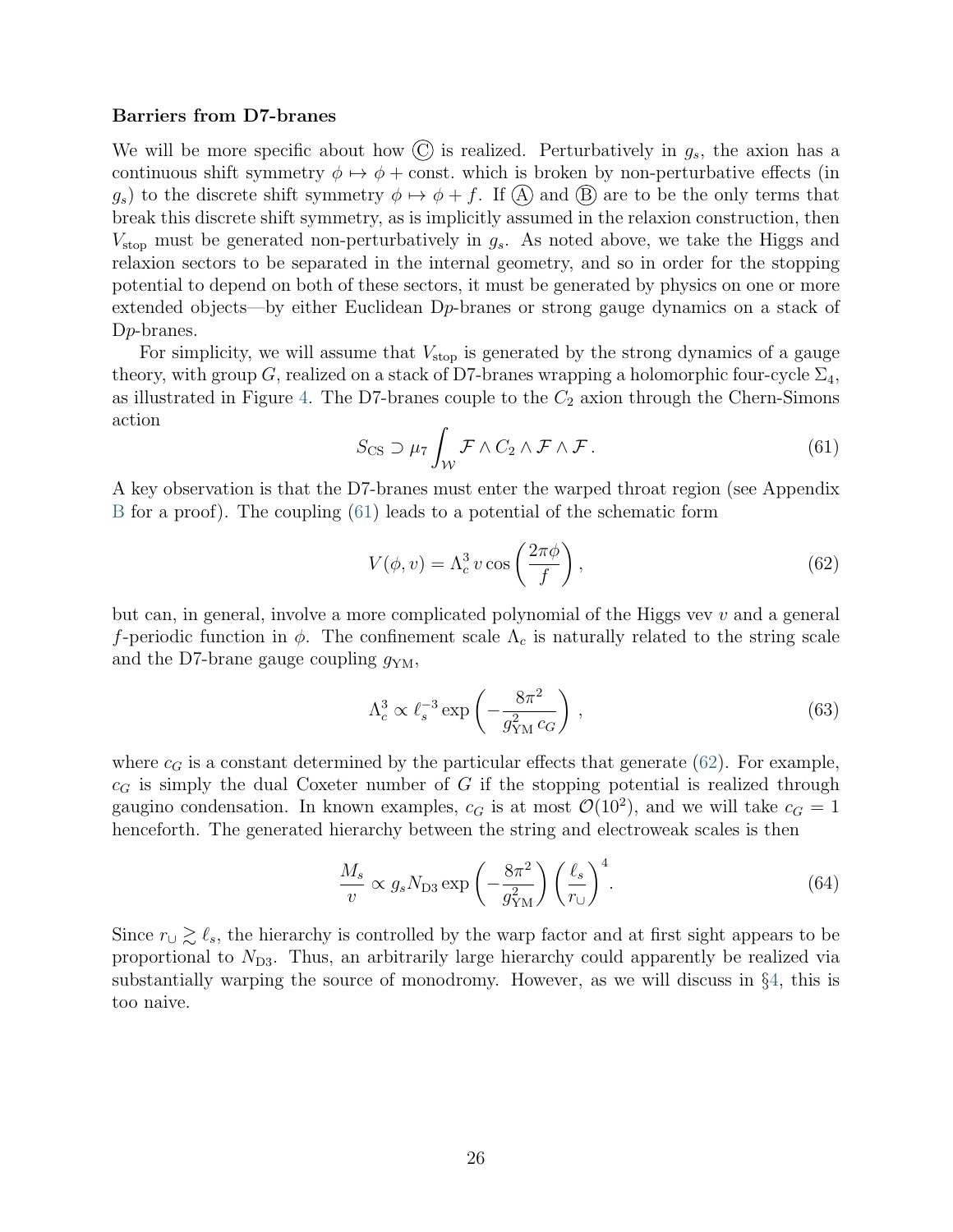#### Barriers from D7-branes

We will be more specific about how  $\overline{C}$  is realized. Perturbatively in  $g_s$ , the axion has a continuous shift symmetry  $\phi \mapsto \phi + \text{const.}$  which is broken by non-perturbative effects (in  $g_s$ ) to the discrete shift symmetry  $\phi \mapsto \phi + f$ . If  $(A)$  and  $(B)$  are to be the only terms that break this discrete shift symmetry, as is implicitly assumed in the relaxion construction, then  $V_{\rm stop}$  must be generated non-perturbatively in  $g_s$ . As noted above, we take the Higgs and relaxion sectors to be separated in the internal geometry, and so in order for the stopping potential to depend on both of these sectors, it must be generated by physics on one or more extended objects—by either Euclidean Dp-branes or strong gauge dynamics on a stack of D<sub>p</sub>-branes.

For simplicity, we will assume that  $V_{\text{stop}}$  is generated by the strong dynamics of a gauge theory, with group G, realized on a stack of D7-branes wrapping a holomorphic four-cycle  $\Sigma_4$ , as illustrated in Figure [4.](#page-23-2) The D7-branes couple to the  $C_2$  axion through the Chern-Simons action

<span id="page-26-0"></span>
$$
S_{\text{CS}} \supset \mu_7 \int_{\mathcal{W}} \mathcal{F} \wedge C_2 \wedge \mathcal{F} \wedge \mathcal{F}. \tag{61}
$$

A key observation is that the D7-branes must enter the warped throat region (see Appendix [B](#page-47-0) for a proof). The coupling [\(61\)](#page-26-0) leads to a potential of the schematic form

<span id="page-26-1"></span>
$$
V(\phi, v) = \Lambda_c^3 v \cos\left(\frac{2\pi\phi}{f}\right),\tag{62}
$$

but can, in general, involve a more complicated polynomial of the Higgs vev  $v$  and a general f-periodic function in  $\phi$ . The confinement scale  $\Lambda_c$  is naturally related to the string scale and the D7-brane gauge coupling  $g_{YM}$ ,

<span id="page-26-2"></span>
$$
\Lambda_c^3 \propto \ell_s^{-3} \exp\left(-\frac{8\pi^2}{g_{\rm YM}^2 c_G}\right) ,\qquad (63)
$$

where  $c_G$  is a constant determined by the particular effects that generate [\(62\)](#page-26-1). For example,  $c_G$  is simply the dual Coxeter number of G if the stopping potential is realized through gaugino condensation. In known examples,  $c_G$  is at most  $\mathcal{O}(10^2)$ , and we will take  $c_G = 1$ henceforth. The generated hierarchy between the string and electroweak scales is then

$$
\frac{M_s}{v} \propto g_s N_{\text{D3}} \exp\left(-\frac{8\pi^2}{g_{\text{YM}}^2}\right) \left(\frac{\ell_s}{r_{\text{U}}}\right)^4. \tag{64}
$$

Since  $r_{\text{U}} \gtrsim \ell_s$ , the hierarchy is controlled by the warp factor and at first sight appears to be proportional to  $N_{D3}$ . Thus, an arbitrarily large hierarchy could apparently be realized via substantially warping the source of monodromy. However, as we will discuss in §[4,](#page-27-0) this is too naive.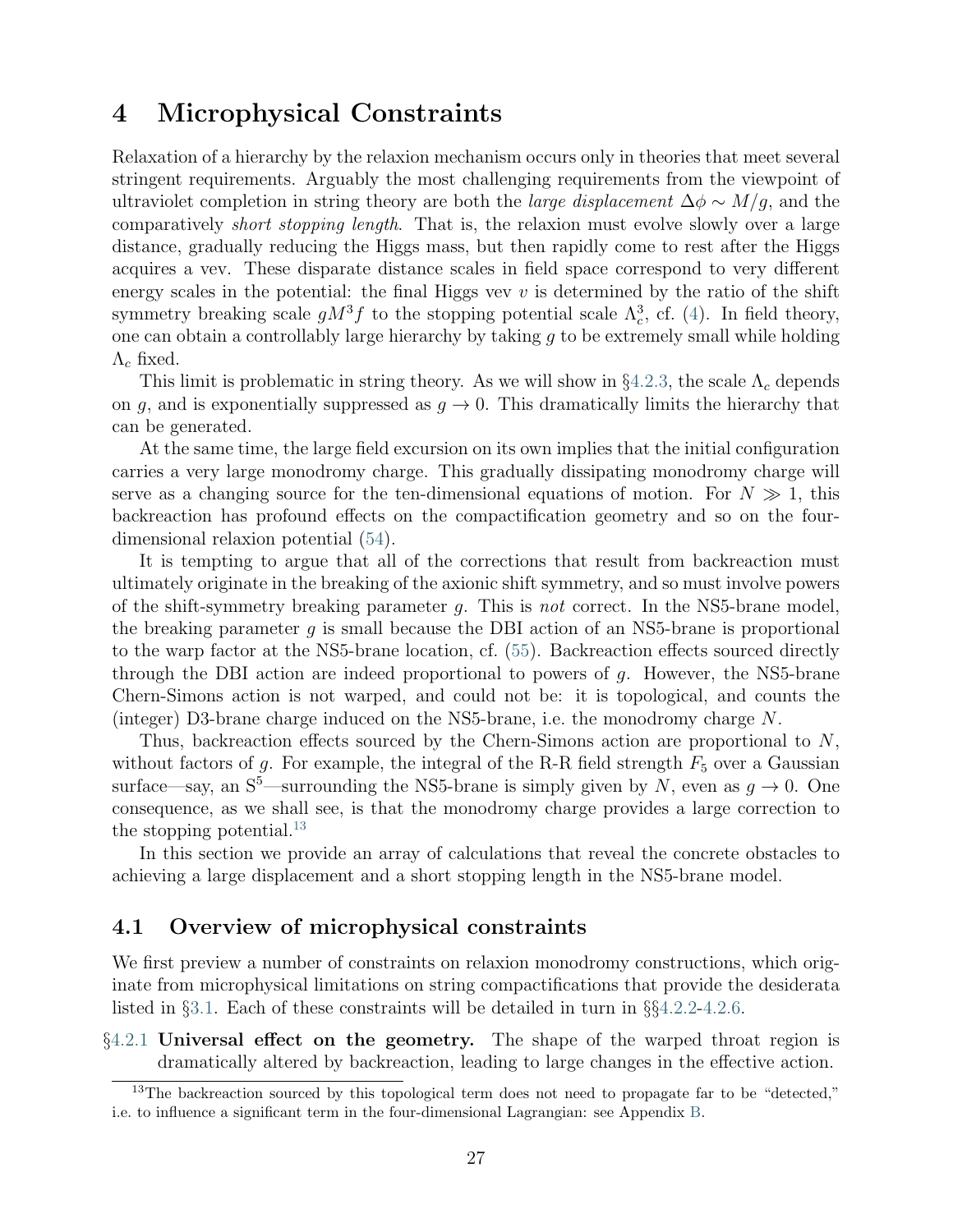# <span id="page-27-0"></span>4 Microphysical Constraints

Relaxation of a hierarchy by the relaxion mechanism occurs only in theories that meet several stringent requirements. Arguably the most challenging requirements from the viewpoint of ultraviolet completion in string theory are both the *large displacement*  $\Delta \phi \sim M/g$ , and the comparatively short stopping length. That is, the relaxion must evolve slowly over a large distance, gradually reducing the Higgs mass, but then rapidly come to rest after the Higgs acquires a vev. These disparate distance scales in field space correspond to very different energy scales in the potential: the final Higgs vev  $v$  is determined by the ratio of the shift symmetry breaking scale  $gM^3f$  to the stopping potential scale  $\Lambda_c^3$ , cf. [\(4\)](#page-4-1). In field theory, one can obtain a controllably large hierarchy by taking  $g$  to be extremely small while holding  $\Lambda_c$  fixed.

This limit is problematic in string theory. As we will show in  $\S 4.2.3$ , the scale  $\Lambda_c$  depends on q, and is exponentially suppressed as  $q \to 0$ . This dramatically limits the hierarchy that can be generated.

At the same time, the large field excursion on its own implies that the initial configuration carries a very large monodromy charge. This gradually dissipating monodromy charge will serve as a changing source for the ten-dimensional equations of motion. For  $N \gg 1$ , this backreaction has profound effects on the compactification geometry and so on the fourdimensional relaxion potential [\(54\)](#page-23-1).

It is tempting to argue that all of the corrections that result from backreaction must ultimately originate in the breaking of the axionic shift symmetry, and so must involve powers of the shift-symmetry breaking parameter  $g$ . This is not correct. In the NS5-brane model, the breaking parameter  $g$  is small because the DBI action of an NS5-brane is proportional to the warp factor at the NS5-brane location, cf. [\(55\)](#page-24-1). Backreaction effects sourced directly through the DBI action are indeed proportional to powers of g. However, the NS5-brane Chern-Simons action is not warped, and could not be: it is topological, and counts the (integer) D3-brane charge induced on the NS5-brane, i.e. the monodromy charge N.

Thus, backreaction effects sourced by the Chern-Simons action are proportional to N, without factors of g. For example, the integral of the R-R field strength  $F_5$  over a Gaussian surface—say, an S<sup>5</sup>—surrounding the NS5-brane is simply given by N, even as  $q \to 0$ . One consequence, as we shall see, is that the monodromy charge provides a large correction to the stopping potential.<sup>[13](#page-27-2)</sup>

In this section we provide an array of calculations that reveal the concrete obstacles to achieving a large displacement and a short stopping length in the NS5-brane model.

### <span id="page-27-1"></span>4.1 Overview of microphysical constraints

We first preview a number of constraints on relaxion monodromy constructions, which originate from microphysical limitations on string compactifications that provide the desiderata listed in §[3.1.](#page-17-2) Each of these constraints will be detailed in turn in §§[4.2.2-](#page-30-0)[4.2.6.](#page-35-0)

§[4.2.1](#page-29-1) Universal effect on the geometry. The shape of the warped throat region is dramatically altered by backreaction, leading to large changes in the effective action.

<span id="page-27-2"></span> $13$ The backreaction sourced by this topological term does not need to propagate far to be "detected," i.e. to influence a significant term in the four-dimensional Lagrangian: see Appendix [B.](#page-47-0)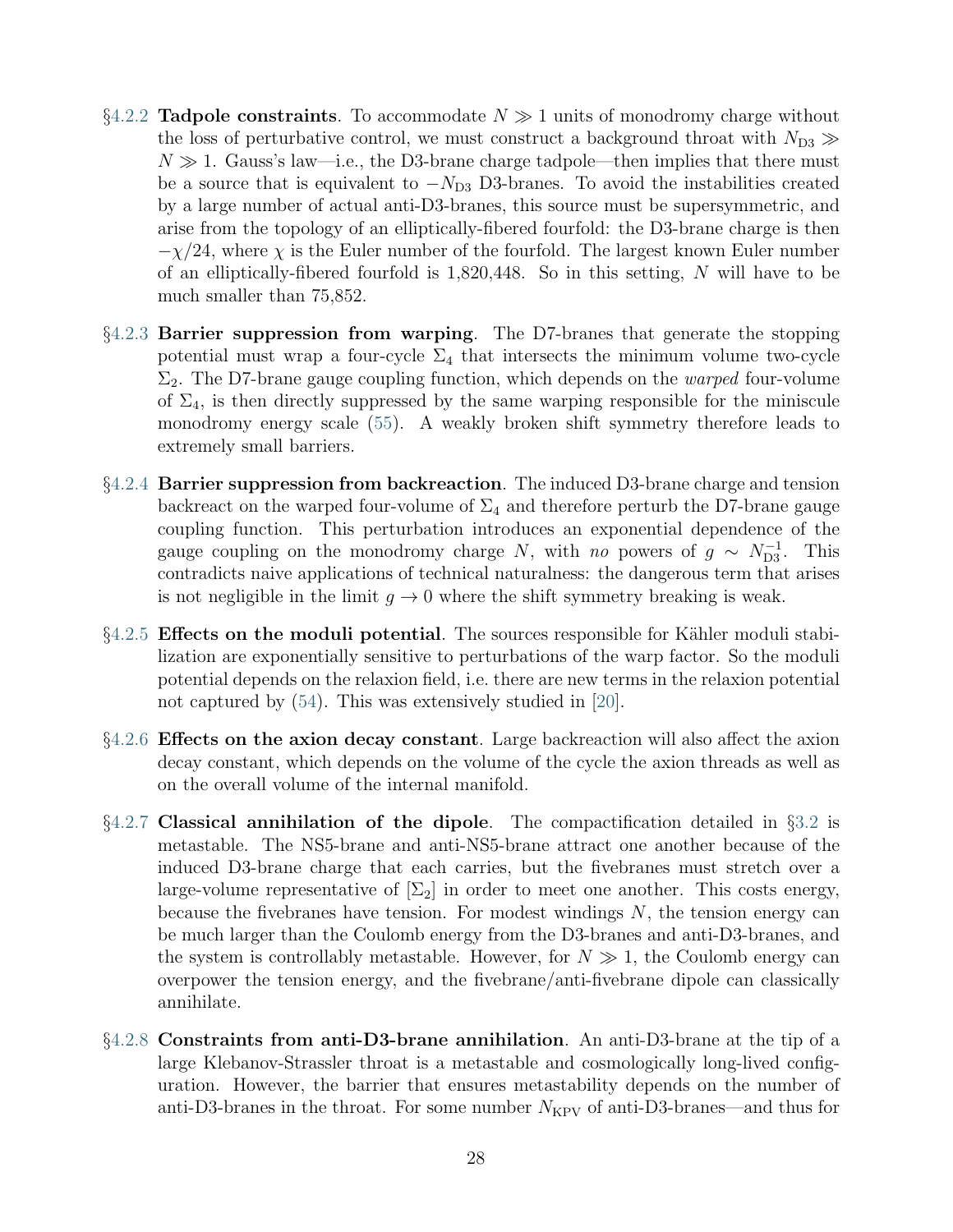- §[4.2.2](#page-30-0) Tadpole constraints. To accommodate  $N \gg 1$  units of monodromy charge without the loss of perturbative control, we must construct a background throat with  $N_{D3} \gg$  $N \gg 1$ . Gauss's law—i.e., the D3-brane charge tadpole—then implies that there must be a source that is equivalent to  $-N_{D3}$  D3-branes. To avoid the instabilities created by a large number of actual anti-D3-branes, this source must be supersymmetric, and arise from the topology of an elliptically-fibered fourfold: the D3-brane charge is then  $-\chi/24$ , where  $\chi$  is the Euler number of the fourfold. The largest known Euler number of an elliptically-fibered fourfold is  $1,820,448$ . So in this setting, N will have to be much smaller than 75,852.
- §[4.2.3](#page-31-0) Barrier suppression from warping. The D7-branes that generate the stopping potential must wrap a four-cycle  $\Sigma_4$  that intersects the minimum volume two-cycle  $\Sigma_2$ . The D7-brane gauge coupling function, which depends on the *warped* four-volume of  $\Sigma_4$ , is then directly suppressed by the same warping responsible for the miniscule monodromy energy scale [\(55\)](#page-24-1). A weakly broken shift symmetry therefore leads to extremely small barriers.
- §[4.2.4](#page-32-0) Barrier suppression from backreaction. The induced D3-brane charge and tension backreact on the warped four-volume of  $\Sigma_4$  and therefore perturb the D7-brane gauge coupling function. This perturbation introduces an exponential dependence of the gauge coupling on the monodromy charge N, with no powers of  $g \sim N_{\text{D}3}^{-1}$ . This contradicts naive applications of technical naturalness: the dangerous term that arises is not negligible in the limit  $g \to 0$  where the shift symmetry breaking is weak.
- $§4.2.5$  $§4.2.5$  Effects on the moduli potential. The sources responsible for Kähler moduli stabilization are exponentially sensitive to perturbations of the warp factor. So the moduli potential depends on the relaxion field, i.e. there are new terms in the relaxion potential not captured by [\(54\)](#page-23-1). This was extensively studied in [\[20\]](#page-57-2).
- §[4.2.6](#page-35-0) Effects on the axion decay constant. Large backreaction will also affect the axion decay constant, which depends on the volume of the cycle the axion threads as well as on the overall volume of the internal manifold.
- $\S 4.2.7$  $\S 4.2.7$  Classical annihilation of the dipole. The compactification detailed in  $\S 3.2$  $\S 3.2$  is metastable. The NS5-brane and anti-NS5-brane attract one another because of the induced D3-brane charge that each carries, but the fivebranes must stretch over a large-volume representative of  $[\Sigma_2]$  in order to meet one another. This costs energy, because the fivebranes have tension. For modest windings  $N$ , the tension energy can be much larger than the Coulomb energy from the D3-branes and anti-D3-branes, and the system is controllably metastable. However, for  $N \gg 1$ , the Coulomb energy can overpower the tension energy, and the fivebrane/anti-fivebrane dipole can classically annihilate.
- §[4.2.8](#page-38-0) Constraints from anti-D3-brane annihilation. An anti-D3-brane at the tip of a large Klebanov-Strassler throat is a metastable and cosmologically long-lived configuration. However, the barrier that ensures metastability depends on the number of anti-D3-branes in the throat. For some number  $N_{\text{KPV}}$  of anti-D3-branes—and thus for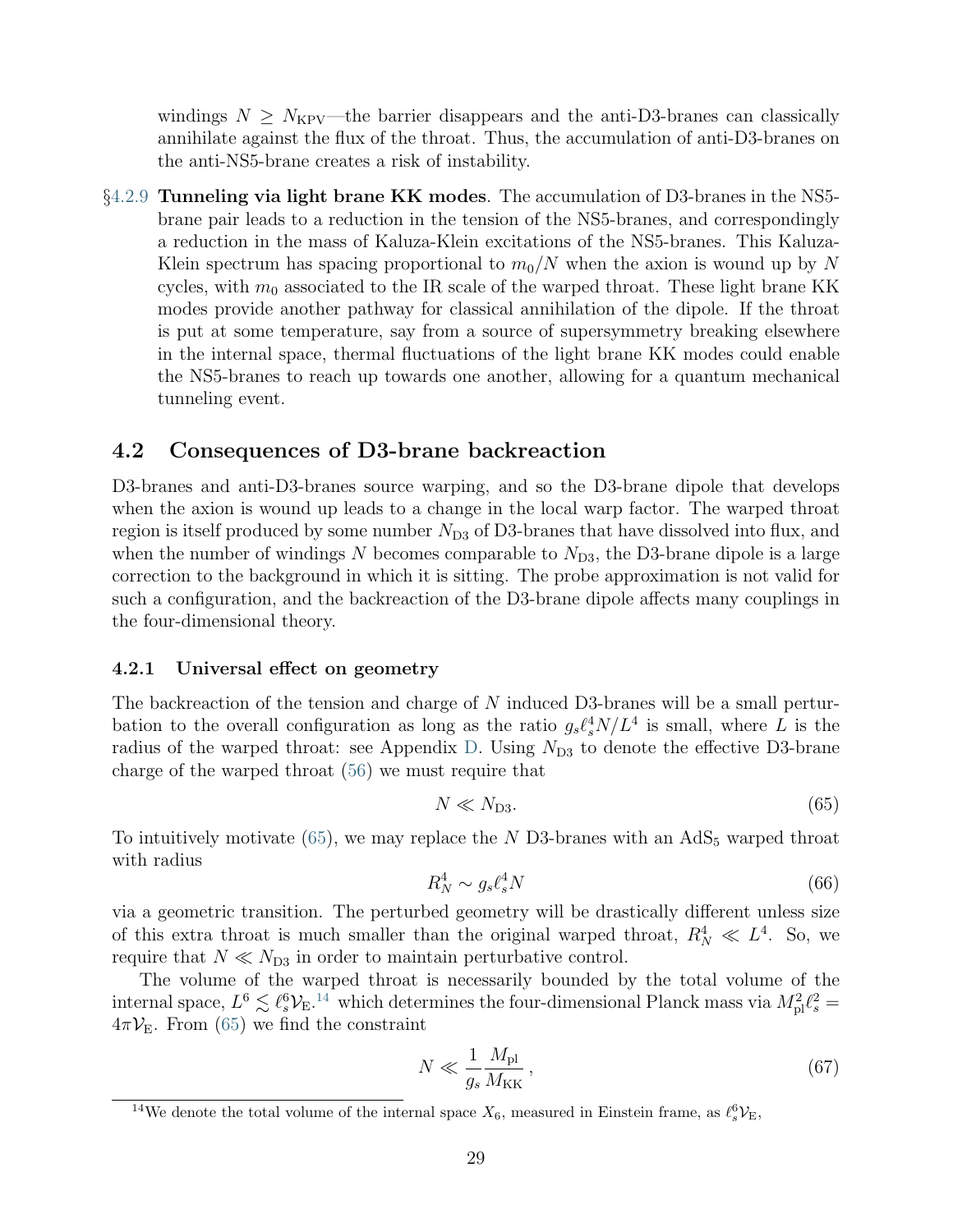windings  $N \geq N_{\text{KPV}}$ —the barrier disappears and the anti-D3-branes can classically annihilate against the flux of the throat. Thus, the accumulation of anti-D3-branes on the anti-NS5-brane creates a risk of instability.

§[4.2.9](#page-38-1) Tunneling via light brane KK modes. The accumulation of D3-branes in the NS5 brane pair leads to a reduction in the tension of the NS5-branes, and correspondingly a reduction in the mass of Kaluza-Klein excitations of the NS5-branes. This Kaluza-Klein spectrum has spacing proportional to  $m_0/N$  when the axion is wound up by N cycles, with  $m_0$  associated to the IR scale of the warped throat. These light brane KK modes provide another pathway for classical annihilation of the dipole. If the throat is put at some temperature, say from a source of supersymmetry breaking elsewhere in the internal space, thermal fluctuations of the light brane KK modes could enable the NS5-branes to reach up towards one another, allowing for a quantum mechanical tunneling event.

### <span id="page-29-0"></span>4.2 Consequences of D3-brane backreaction

D3-branes and anti-D3-branes source warping, and so the D3-brane dipole that develops when the axion is wound up leads to a change in the local warp factor. The warped throat region is itself produced by some number  $N_{D3}$  of D3-branes that have dissolved into flux, and when the number of windings N becomes comparable to  $N_{D3}$ , the D3-brane dipole is a large correction to the background in which it is sitting. The probe approximation is not valid for such a configuration, and the backreaction of the D3-brane dipole affects many couplings in the four-dimensional theory.

#### <span id="page-29-1"></span>4.2.1 Universal effect on geometry

The backreaction of the tension and charge of N induced D3-branes will be a small perturbation to the overall configuration as long as the ratio  $g_s \ell_s^4 N/L^4$  is small, where L is the radius of the warped throat: see Appendix [D.](#page-53-0) Using  $N_{D3}$  to denote the effective D3-brane charge of the warped throat [\(56\)](#page-24-2) we must require that

<span id="page-29-2"></span>
$$
N \ll N_{\text{D3}}.\tag{65}
$$

To intuitively motivate [\(65\)](#page-29-2), we may replace the  $N$  D3-branes with an AdS<sub>5</sub> warped throat with radius

$$
R_N^4 \sim g_s \ell_s^4 N \tag{66}
$$

via a geometric transition. The perturbed geometry will be drastically different unless size of this extra throat is much smaller than the original warped throat,  $R_N^4 \ll L^4$ . So, we require that  $N \ll N_{D3}$  in order to maintain perturbative control.

The volume of the warped throat is necessarily bounded by the total volume of the internal space,  $L^6 \lesssim \ell_s^6 \mathcal{V}_{E}$ .<sup>[14](#page-29-3)</sup> which determines the four-dimensional Planck mass via  $M_{pl}^2 \ell_s^2 =$  $4\pi\mathcal{V}_{\rm E}$ . From [\(65\)](#page-29-2) we find the constraint

$$
N \ll \frac{1}{g_s} \frac{M_{\rm pl}}{M_{\rm KK}}\,,\tag{67}
$$

<span id="page-29-3"></span><sup>&</sup>lt;sup>14</sup>We denote the total volume of the internal space  $X_6$ , measured in Einstein frame, as  $\ell_s^6 \mathcal{V}_{E}$ ,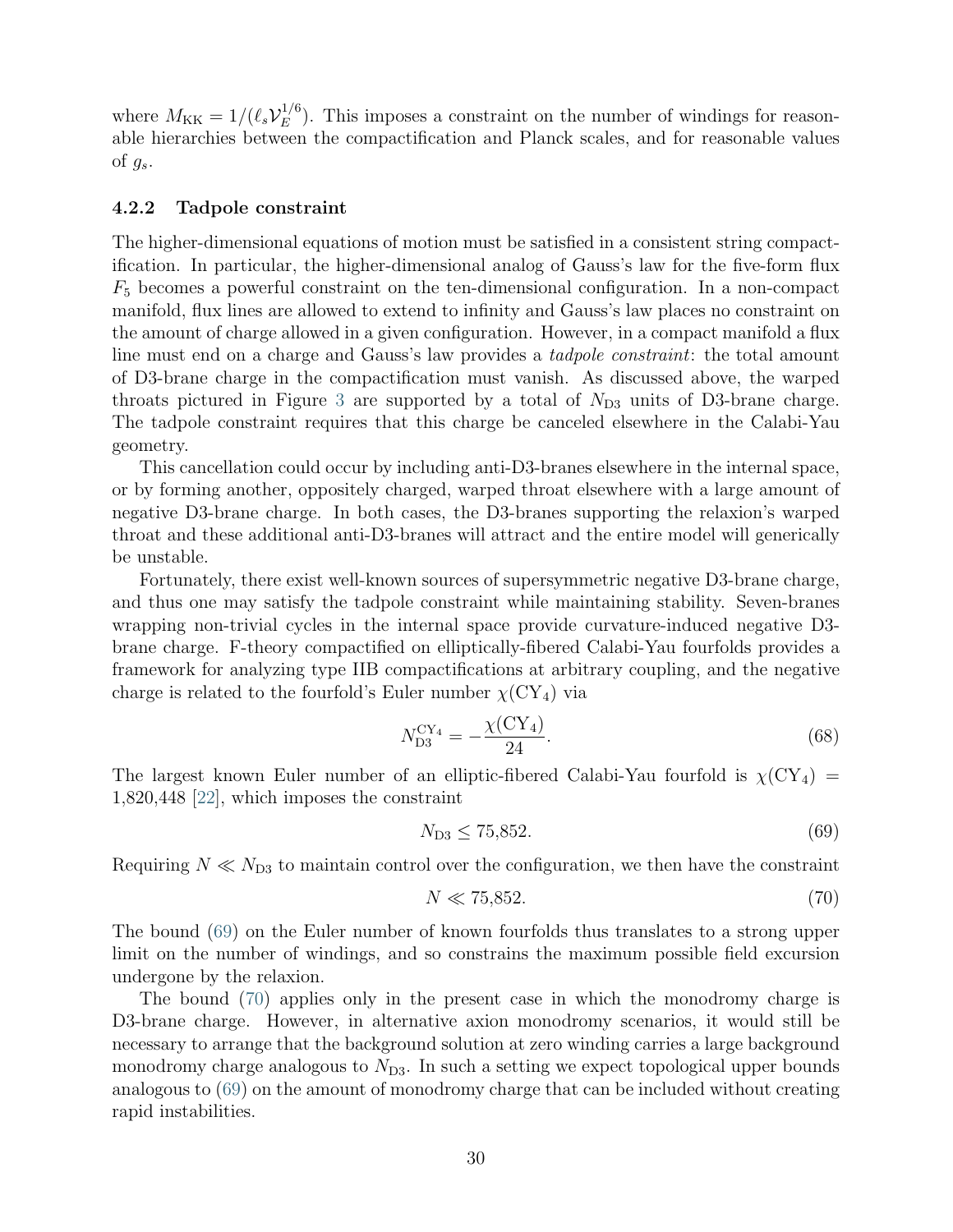where  $M_{KK} = 1/(\ell_s \mathcal{V}_E^{1/6})$  $E^{1/6}$ ). This imposes a constraint on the number of windings for reasonable hierarchies between the compactification and Planck scales, and for reasonable values of  $g_s$ .

#### <span id="page-30-0"></span>4.2.2 Tadpole constraint

The higher-dimensional equations of motion must be satisfied in a consistent string compactification. In particular, the higher-dimensional analog of Gauss's law for the five-form flux  $F<sub>5</sub>$  becomes a powerful constraint on the ten-dimensional configuration. In a non-compact manifold, flux lines are allowed to extend to infinity and Gauss's law places no constraint on the amount of charge allowed in a given configuration. However, in a compact manifold a flux line must end on a charge and Gauss's law provides a tadpole constraint: the total amount of D3-brane charge in the compactification must vanish. As discussed above, the warped throats pictured in Figure [3](#page-18-0) are supported by a total of  $N_{D3}$  units of D3-brane charge. The tadpole constraint requires that this charge be canceled elsewhere in the Calabi-Yau geometry.

This cancellation could occur by including anti-D3-branes elsewhere in the internal space, or by forming another, oppositely charged, warped throat elsewhere with a large amount of negative D3-brane charge. In both cases, the D3-branes supporting the relaxion's warped throat and these additional anti-D3-branes will attract and the entire model will generically be unstable.

Fortunately, there exist well-known sources of supersymmetric negative D3-brane charge, and thus one may satisfy the tadpole constraint while maintaining stability. Seven-branes wrapping non-trivial cycles in the internal space provide curvature-induced negative D3 brane charge. F-theory compactified on elliptically-fibered Calabi-Yau fourfolds provides a framework for analyzing type IIB compactifications at arbitrary coupling, and the negative charge is related to the fourfold's Euler number  $\chi$ (CY<sub>4</sub>) via

$$
N_{\text{D3}}^{\text{CY}_4} = -\frac{\chi(\text{CY}_4)}{24}.\tag{68}
$$

The largest known Euler number of an elliptic-fibered Calabi-Yau fourfold is  $\chi$ (CY<sub>4</sub>) = 1,820,448 [\[22\]](#page-57-4), which imposes the constraint

<span id="page-30-1"></span>
$$
N_{\rm D3} \le 75,852. \tag{69}
$$

Requiring  $N \ll N_{D3}$  to maintain control over the configuration, we then have the constraint

<span id="page-30-2"></span>
$$
N \ll 75,852.\tag{70}
$$

The bound [\(69\)](#page-30-1) on the Euler number of known fourfolds thus translates to a strong upper limit on the number of windings, and so constrains the maximum possible field excursion undergone by the relaxion.

The bound [\(70\)](#page-30-2) applies only in the present case in which the monodromy charge is D3-brane charge. However, in alternative axion monodromy scenarios, it would still be necessary to arrange that the background solution at zero winding carries a large background monodromy charge analogous to  $N_{D3}$ . In such a setting we expect topological upper bounds analogous to [\(69\)](#page-30-1) on the amount of monodromy charge that can be included without creating rapid instabilities.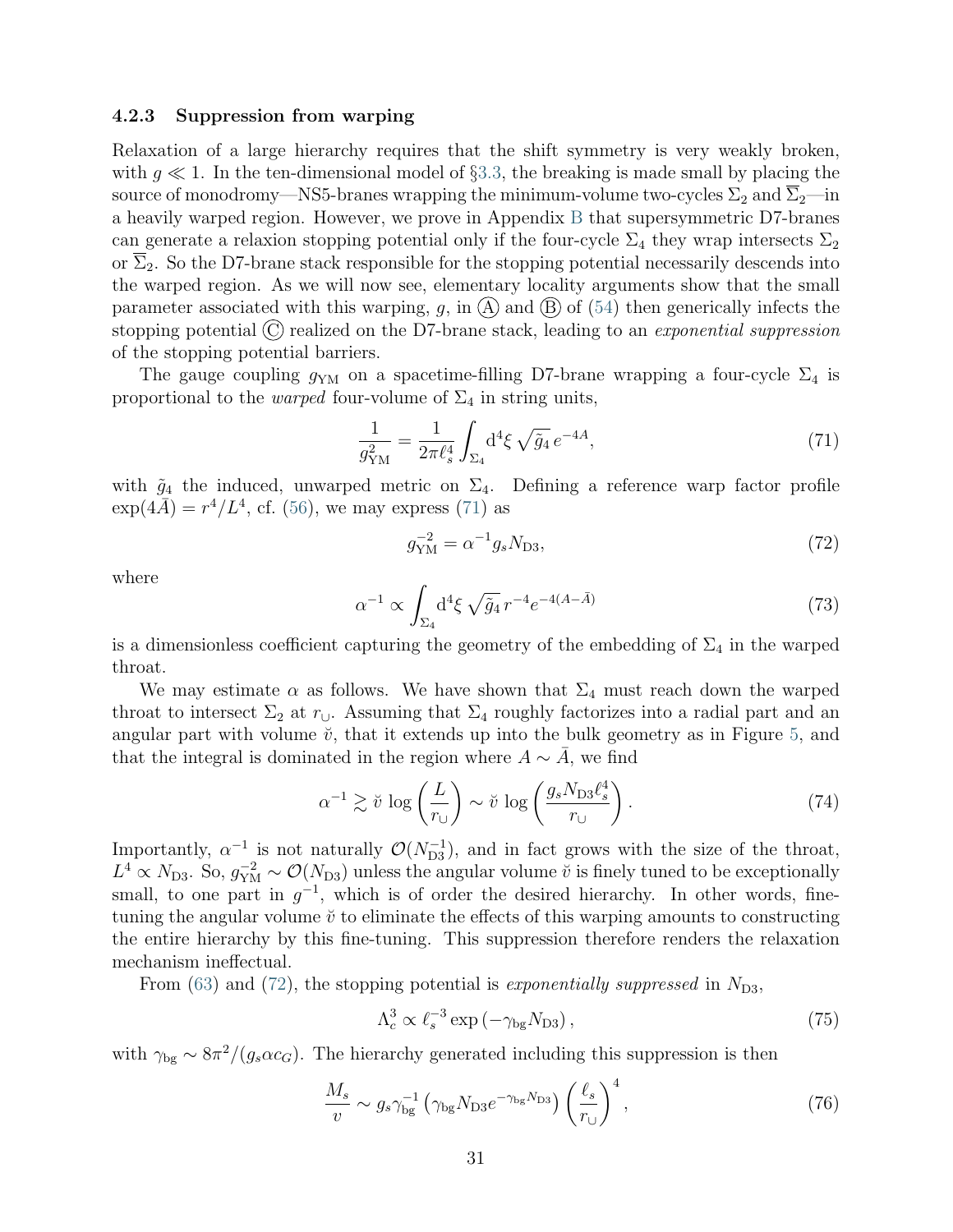#### <span id="page-31-0"></span>4.2.3 Suppression from warping

Relaxation of a large hierarchy requires that the shift symmetry is very weakly broken, with  $g \ll 1$ . In the ten-dimensional model of §[3.3,](#page-23-0) the breaking is made small by placing the source of monodromy—NS5-branes wrapping the minimum-volume two-cycles  $\Sigma_2$  and  $\Sigma_2$ —in a heavily warped region. However, we prove in Appendix [B](#page-47-0) that supersymmetric D7-branes can generate a relaxion stopping potential only if the four-cycle  $\Sigma_4$  they wrap intersects  $\Sigma_2$ or  $\Sigma_2$ . So the D7-brane stack responsible for the stopping potential necessarily descends into the warped region. As we will now see, elementary locality arguments show that the small parameter associated with this warping,  $g$ , in  $(A)$  and  $(B)$  of  $(54)$  then generically infects the stopping potential  $(C)$  realized on the D7-brane stack, leading to an *exponential suppression* of the stopping potential barriers.

The gauge coupling  $g_{YM}$  on a spacetime-filling D7-brane wrapping a four-cycle  $\Sigma_4$  is proportional to the *warped* four-volume of  $\Sigma_4$  in string units,

<span id="page-31-1"></span>
$$
\frac{1}{g_{\rm YM}^2} = \frac{1}{2\pi \ell_s^4} \int_{\Sigma_4} d^4 \xi \sqrt{\tilde{g}_4} e^{-4A},\tag{71}
$$

with  $\tilde{g}_4$  the induced, unwarped metric on  $\Sigma_4$ . Defining a reference warp factor profile  $\exp(4\overline{A}) = r^4/L^4$ , cf. [\(56\)](#page-24-2), we may express [\(71\)](#page-31-1) as

<span id="page-31-2"></span>
$$
g_{\rm YM}^{-2} = \alpha^{-1} g_s N_{\rm D3},\tag{72}
$$

where

$$
\alpha^{-1} \propto \int_{\Sigma_4} d^4 \xi \sqrt{\tilde{g}_4} \, r^{-4} e^{-4(A - \bar{A})} \tag{73}
$$

is a dimensionless coefficient capturing the geometry of the embedding of  $\Sigma_4$  in the warped throat.

We may estimate  $\alpha$  as follows. We have shown that  $\Sigma_4$  must reach down the warped throat to intersect  $\Sigma_2$  at  $r_{\cup}$ . Assuming that  $\Sigma_4$  roughly factorizes into a radial part and an angular part with volume  $\check{v}$ , that it extends up into the bulk geometry as in Figure [5,](#page-25-0) and that the integral is dominated in the region where  $A \sim \overline{A}$ , we find

$$
\alpha^{-1} \gtrsim \breve{v} \, \log \left( \frac{L}{r_{\cup}} \right) \sim \breve{v} \, \log \left( \frac{g_s N_{\text{D3}} \ell_s^4}{r_{\cup}} \right). \tag{74}
$$

Importantly,  $\alpha^{-1}$  is not naturally  $\mathcal{O}(N_{\text{D}3}^{-1})$ , and in fact grows with the size of the throat,  $L^4 \propto N_{\text{D3}}$ . So,  $g_{\text{YM}}^{-2} \sim \mathcal{O}(N_{\text{D3}})$  unless the angular volume  $\tilde{v}$  is finely tuned to be exceptionally small, to one part in  $g^{-1}$ , which is of order the desired hierarchy. In other words, finetuning the angular volume  $\check{v}$  to eliminate the effects of this warping amounts to constructing the entire hierarchy by this fine-tuning. This suppression therefore renders the relaxation mechanism ineffectual.

From [\(63\)](#page-26-2) and [\(72\)](#page-31-2), the stopping potential is *exponentially suppressed* in  $N_{D3}$ ,

<span id="page-31-3"></span>
$$
\Lambda_c^3 \propto \ell_s^{-3} \exp\left(-\gamma_{\text{bg}} N_{\text{D}3}\right),\tag{75}
$$

with  $\gamma_{bg} \sim 8\pi^2/(g_s \alpha c_G)$ . The hierarchy generated including this suppression is then

$$
\frac{M_s}{v} \sim g_s \gamma_{\text{bg}}^{-1} \left( \gamma_{\text{bg}} N_{\text{D3}} e^{-\gamma_{\text{bg}} N_{\text{D3}}} \right) \left( \frac{\ell_s}{r_{\text{u}}} \right)^4,\tag{76}
$$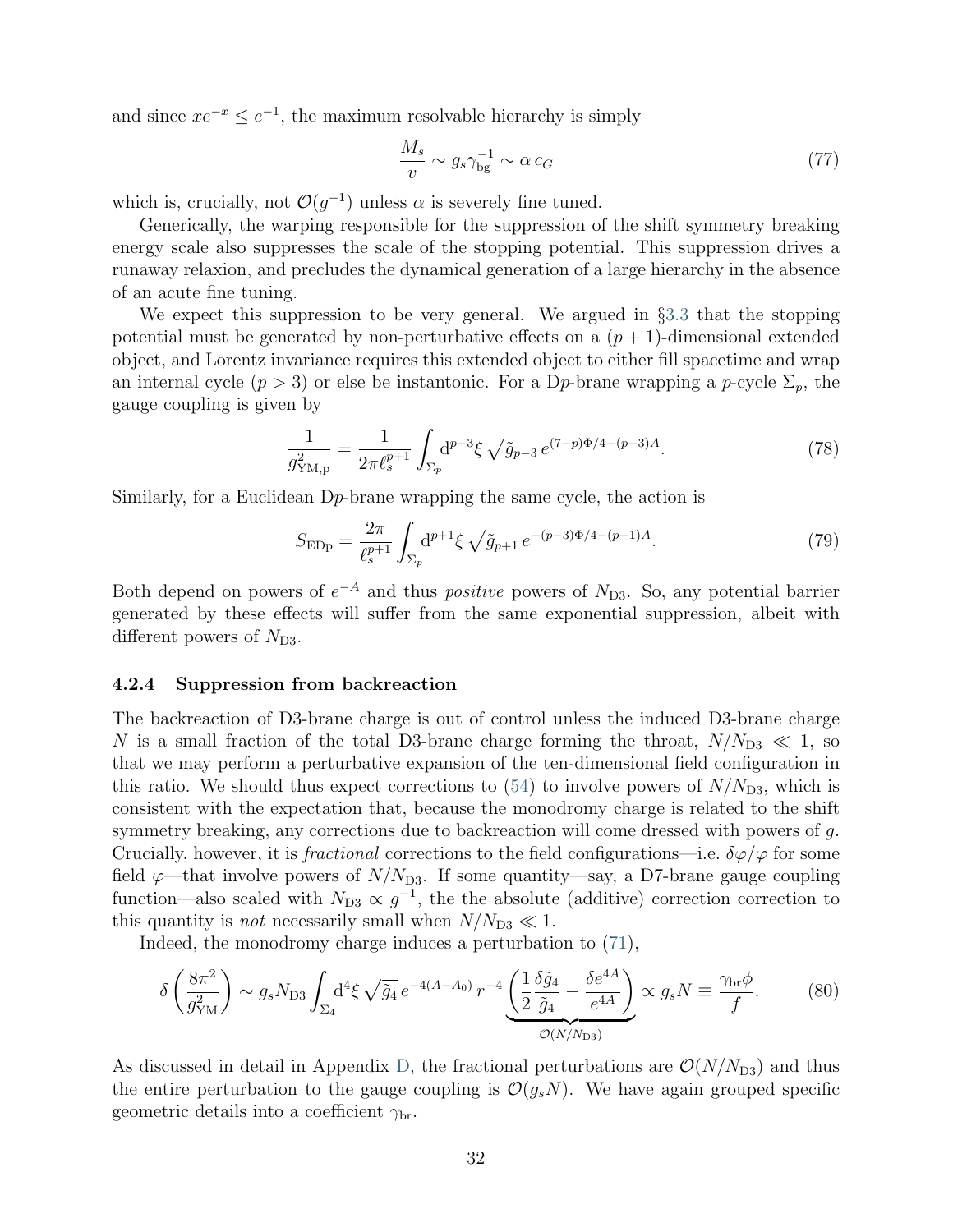and since  $xe^{-x} \le e^{-1}$ , the maximum resolvable hierarchy is simply

$$
\frac{M_s}{v} \sim g_s \gamma_{\text{bg}}^{-1} \sim \alpha c_G \tag{77}
$$

which is, crucially, not  $\mathcal{O}(g^{-1})$  unless  $\alpha$  is severely fine tuned.

Generically, the warping responsible for the suppression of the shift symmetry breaking energy scale also suppresses the scale of the stopping potential. This suppression drives a runaway relaxion, and precludes the dynamical generation of a large hierarchy in the absence of an acute fine tuning.

We expect this suppression to be very general. We argued in §[3.3](#page-23-0) that the stopping potential must be generated by non-perturbative effects on a  $(p + 1)$ -dimensional extended object, and Lorentz invariance requires this extended object to either fill spacetime and wrap an internal cycle  $(p > 3)$  or else be instantonic. For a Dp-brane wrapping a p-cycle  $\Sigma_p$ , the gauge coupling is given by

$$
\frac{1}{g_{\rm YM,p}^2} = \frac{1}{2\pi \ell_s^{p+1}} \int_{\Sigma_p} \mathrm{d}^{p-3} \xi \sqrt{\tilde{g}_{p-3}} \, e^{(7-p)\Phi/4 - (p-3)A} . \tag{78}
$$

Similarly, for a Euclidean D<sub>p</sub>-brane wrapping the same cycle, the action is

$$
S_{\rm EDp} = \frac{2\pi}{\ell_s^{p+1}} \int_{\Sigma_p} d^{p+1} \xi \sqrt{\tilde{g}_{p+1}} \, e^{-(p-3)\Phi/4 - (p+1)A}.
$$
 (79)

Both depend on powers of  $e^{-A}$  and thus *positive* powers of  $N_{D3}$ . So, any potential barrier generated by these effects will suffer from the same exponential suppression, albeit with different powers of  $N_{D3}$ .

#### <span id="page-32-0"></span>4.2.4 Suppression from backreaction

The backreaction of D3-brane charge is out of control unless the induced D3-brane charge N is a small fraction of the total D3-brane charge forming the throat,  $N/N_{D3} \ll 1$ , so that we may perform a perturbative expansion of the ten-dimensional field configuration in this ratio. We should thus expect corrections to  $(54)$  to involve powers of  $N/N_{\text{D3}}$ , which is consistent with the expectation that, because the monodromy charge is related to the shift symmetry breaking, any corrections due to backreaction will come dressed with powers of g. Crucially, however, it is *fractional* corrections to the field configurations—i.e.  $\delta\varphi/\varphi$  for some field  $\varphi$ —that involve powers of  $N/N_{D3}$ . If some quantity—say, a D7-brane gauge coupling function—also scaled with  $N_{D3} \propto g^{-1}$ , the the absolute (additive) correction correction to this quantity is *not* necessarily small when  $N/N_{\text{D3}} \ll 1$ .

Indeed, the monodromy charge induces a perturbation to [\(71\)](#page-31-1),

<span id="page-32-1"></span>
$$
\delta \left( \frac{8\pi^2}{g_{\rm YM}^2} \right) \sim g_s N_{\rm D3} \int_{\Sigma_4} \mathrm{d}^4 \xi \sqrt{\tilde{g}_4} \, e^{-4(A - A_0)} \, r^{-4} \underbrace{\left( \frac{1}{2} \frac{\delta \tilde{g}_4}{\tilde{g}_4} - \frac{\delta e^{4A}}{e^{4A}} \right)}_{\mathcal{O}(N/N_{\rm D3})} \propto g_s N \equiv \frac{\gamma_{\rm br} \phi}{f} . \tag{80}
$$

As discussed in detail in Appendix [D,](#page-53-0) the fractional perturbations are  $\mathcal{O}(N/N_{\text{D}3})$  and thus the entire perturbation to the gauge coupling is  $\mathcal{O}(g_sN)$ . We have again grouped specific geometric details into a coefficient  $\gamma_{\rm br}$ .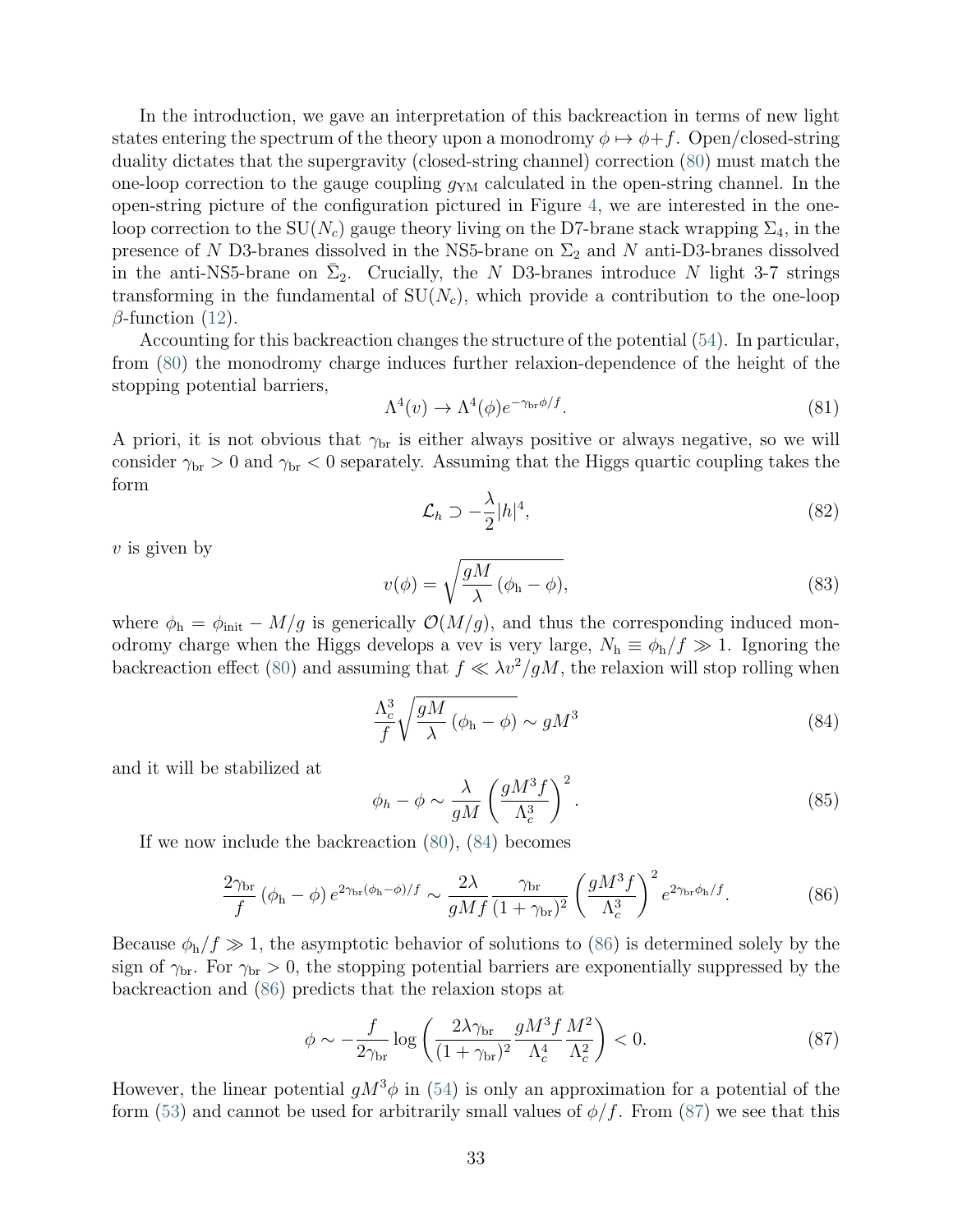In the introduction, we gave an interpretation of this backreaction in terms of new light states entering the spectrum of the theory upon a monodromy  $\phi \mapsto \phi + f$ . Open/closed-string duality dictates that the supergravity (closed-string channel) correction [\(80\)](#page-32-1) must match the one-loop correction to the gauge coupling  $g_{YM}$  calculated in the open-string channel. In the open-string picture of the configuration pictured in Figure [4,](#page-23-2) we are interested in the oneloop correction to the SU( $N_c$ ) gauge theory living on the D7-brane stack wrapping  $\Sigma_4$ , in the presence of N D3-branes dissolved in the NS5-brane on  $\Sigma_2$  and N anti-D3-branes dissolved in the anti-NS5-brane on  $\bar{\Sigma}_2$ . Crucially, the N D3-branes introduce N light 3-7 strings transforming in the fundamental of  $SU(N_c)$ , which provide a contribution to the one-loop  $\beta$ -function [\(12\)](#page-7-3).

Accounting for this backreaction changes the structure of the potential [\(54\)](#page-23-1). In particular, from [\(80\)](#page-32-1) the monodromy charge induces further relaxion-dependence of the height of the stopping potential barriers,

$$
\Lambda^4(v) \to \Lambda^4(\phi) e^{-\gamma_{\rm br}\phi/f}.\tag{81}
$$

A priori, it is not obvious that  $\gamma_{\rm br}$  is either always positive or always negative, so we will consider  $\gamma_{\rm br} > 0$  and  $\gamma_{\rm br} < 0$  separately. Assuming that the Higgs quartic coupling takes the form

$$
\mathcal{L}_h \supset -\frac{\lambda}{2}|h|^4,\tag{82}
$$

 $v$  is given by

$$
v(\phi) = \sqrt{\frac{gM}{\lambda} (\phi_{\rm h} - \phi)},
$$
\n(83)

where  $\phi_{h} = \phi_{\text{init}} - M/g$  is generically  $\mathcal{O}(M/g)$ , and thus the corresponding induced monodromy charge when the Higgs develops a vev is very large,  $N_h \equiv \phi_h/f \gg 1$ . Ignoring the backreaction effect [\(80\)](#page-32-1) and assuming that  $f \ll \lambda v^2/gM$ , the relaxion will stop rolling when

<span id="page-33-0"></span>
$$
\frac{\Lambda_c^3}{f} \sqrt{\frac{gM}{\lambda} \left(\phi_{\rm h} - \phi\right)} \sim gM^3 \tag{84}
$$

and it will be stabilized at

$$
\phi_h - \phi \sim \frac{\lambda}{gM} \left( \frac{gM^3 f}{\Lambda_c^3} \right)^2.
$$
\n(85)

If we now include the backreaction [\(80\)](#page-32-1), [\(84\)](#page-33-0) becomes

<span id="page-33-1"></span>
$$
\frac{2\gamma_{\rm br}}{f} \left(\phi_{\rm h} - \phi\right) e^{2\gamma_{\rm br}(\phi_{\rm h} - \phi)/f} \sim \frac{2\lambda}{gMf} \frac{\gamma_{\rm br}}{(1 + \gamma_{\rm br})^2} \left(\frac{gM^3f}{\Lambda_c^3}\right)^2 e^{2\gamma_{\rm br}\phi_{\rm h}/f}.\tag{86}
$$

Because  $\phi_h/f \gg 1$ , the asymptotic behavior of solutions to [\(86\)](#page-33-1) is determined solely by the sign of  $\gamma_{\rm br}$ . For  $\gamma_{\rm br} > 0$ , the stopping potential barriers are exponentially suppressed by the backreaction and [\(86\)](#page-33-1) predicts that the relaxion stops at

<span id="page-33-2"></span>
$$
\phi \sim -\frac{f}{2\gamma_{\rm br}} \log \left( \frac{2\lambda\gamma_{\rm br}}{(1+\gamma_{\rm br})^2} \frac{gM^3 f}{\Lambda_c^4} \frac{M^2}{\Lambda_c^2} \right) < 0. \tag{87}
$$

However, the linear potential  $qM^3\phi$  in [\(54\)](#page-23-1) is only an approximation for a potential of the form [\(53\)](#page-23-3) and cannot be used for arbitrarily small values of  $\phi/f$ . From [\(87\)](#page-33-2) we see that this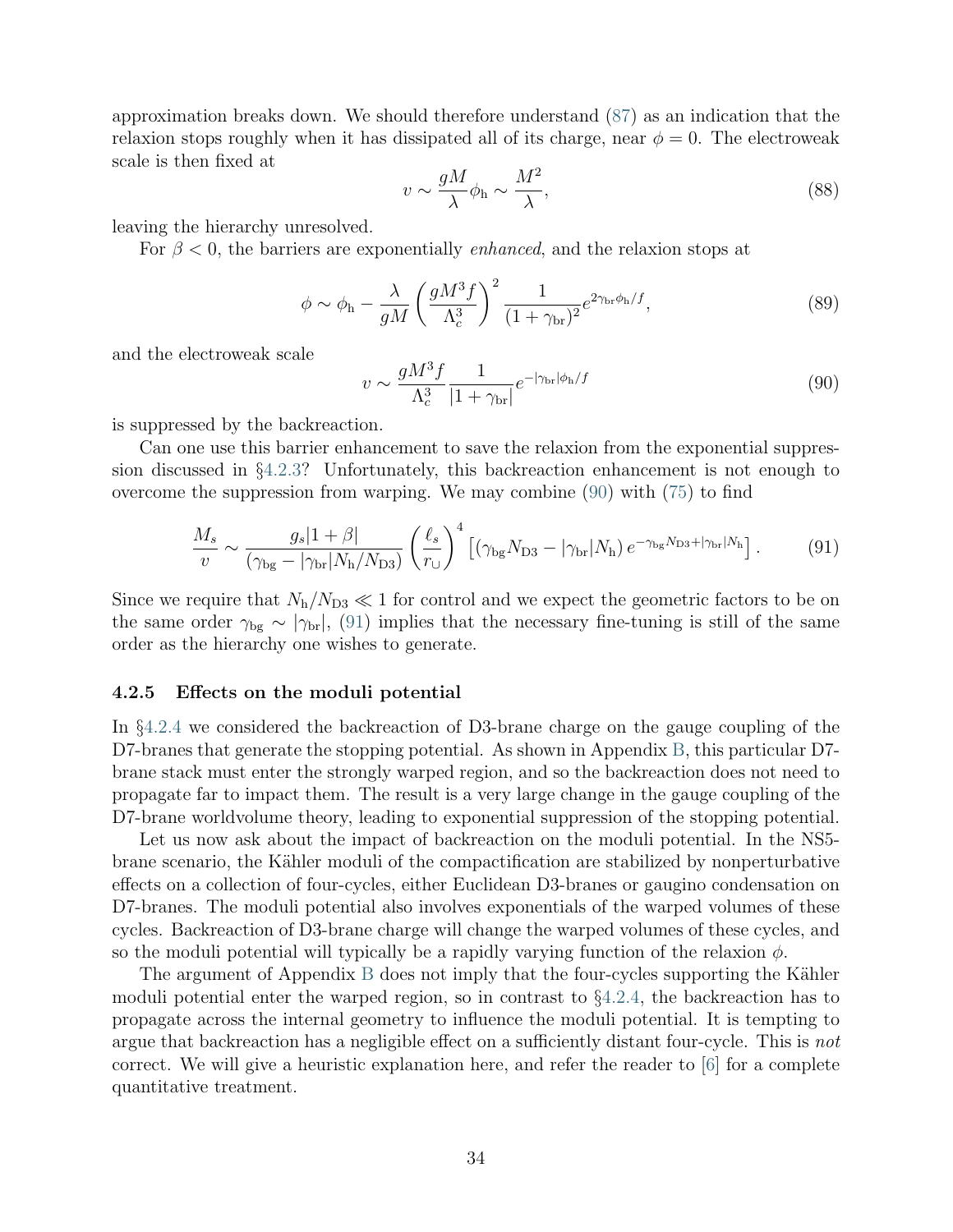approximation breaks down. We should therefore understand [\(87\)](#page-33-2) as an indication that the relaxion stops roughly when it has dissipated all of its charge, near  $\phi = 0$ . The electroweak scale is then fixed at

$$
v \sim \frac{gM}{\lambda} \phi_{\rm h} \sim \frac{M^2}{\lambda},\tag{88}
$$

leaving the hierarchy unresolved.

For  $\beta$  < 0, the barriers are exponentially *enhanced*, and the relaxion stops at

$$
\phi \sim \phi_{\rm h} - \frac{\lambda}{gM} \left( \frac{gM^3 f}{\Lambda_c^3} \right)^2 \frac{1}{(1 + \gamma_{\rm br})^2} e^{2\gamma_{\rm br} \phi_{\rm h} / f},\tag{89}
$$

and the electroweak scale

<span id="page-34-1"></span>
$$
v \sim \frac{gM^3 f}{\Lambda_c^3} \frac{1}{|1 + \gamma_{\rm br}|} e^{-|\gamma_{\rm br}|\phi_{\rm h}/f}
$$
\n(90)

is suppressed by the backreaction.

Can one use this barrier enhancement to save the relaxion from the exponential suppression discussed in §[4.2.3?](#page-31-0) Unfortunately, this backreaction enhancement is not enough to overcome the suppression from warping. We may combine [\(90\)](#page-34-1) with [\(75\)](#page-31-3) to find

<span id="page-34-2"></span>
$$
\frac{M_s}{v} \sim \frac{g_s |1+\beta|}{(\gamma_{\text{bg}} - |\gamma_{\text{br}}| N_{\text{h}}/N_{\text{D3}})} \left(\frac{\ell_s}{r_{\text{U}}}\right)^4 \left[ (\gamma_{\text{bg}} N_{\text{D3}} - |\gamma_{\text{br}}| N_{\text{h}}) e^{-\gamma_{\text{bg}} N_{\text{D3}} + |\gamma_{\text{br}}| N_{\text{h}}} \right]. \tag{91}
$$

Since we require that  $N_{h}/N_{D3} \ll 1$  for control and we expect the geometric factors to be on the same order  $\gamma_{bg} \sim |\gamma_{br}|$ , [\(91\)](#page-34-2) implies that the necessary fine-tuning is still of the same order as the hierarchy one wishes to generate.

#### <span id="page-34-0"></span>4.2.5 Effects on the moduli potential

In §[4.2.4](#page-32-0) we considered the backreaction of D3-brane charge on the gauge coupling of the D7-branes that generate the stopping potential. As shown in Appendix [B,](#page-47-0) this particular D7 brane stack must enter the strongly warped region, and so the backreaction does not need to propagate far to impact them. The result is a very large change in the gauge coupling of the D7-brane worldvolume theory, leading to exponential suppression of the stopping potential.

Let us now ask about the impact of backreaction on the moduli potential. In the NS5 brane scenario, the Kähler moduli of the compactification are stabilized by nonperturbative effects on a collection of four-cycles, either Euclidean D3-branes or gaugino condensation on D7-branes. The moduli potential also involves exponentials of the warped volumes of these cycles. Backreaction of D3-brane charge will change the warped volumes of these cycles, and so the moduli potential will typically be a rapidly varying function of the relaxion  $\phi$ .

The argument of Appendix [B](#page-47-0) does not imply that the four-cycles supporting the Kähler moduli potential enter the warped region, so in contrast to §[4.2.4,](#page-32-0) the backreaction has to propagate across the internal geometry to influence the moduli potential. It is tempting to argue that backreaction has a negligible effect on a sufficiently distant four-cycle. This is not correct. We will give a heuristic explanation here, and refer the reader to [\[6\]](#page-56-4) for a complete quantitative treatment.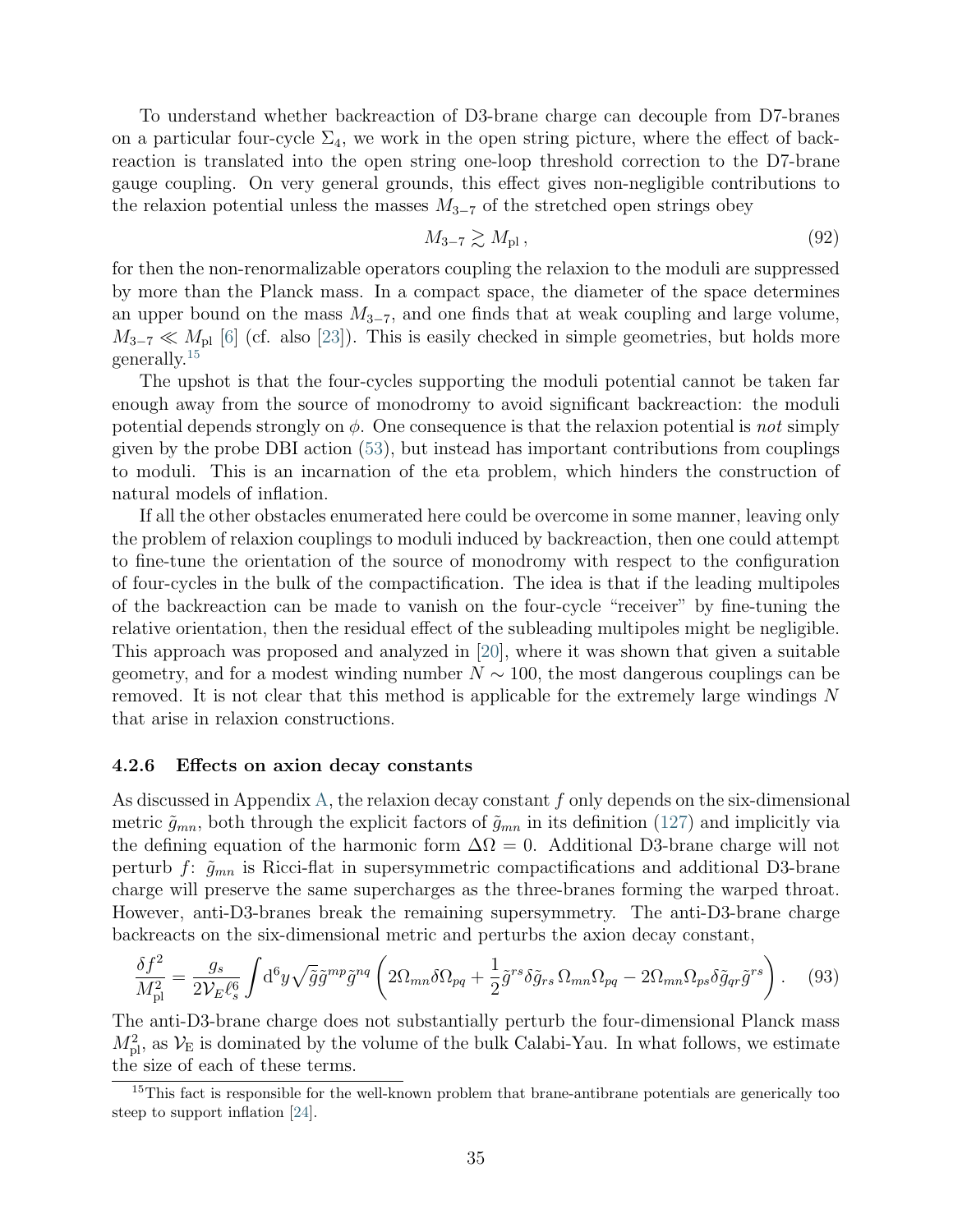To understand whether backreaction of D3-brane charge can decouple from D7-branes on a particular four-cycle  $\Sigma_4$ , we work in the open string picture, where the effect of backreaction is translated into the open string one-loop threshold correction to the D7-brane gauge coupling. On very general grounds, this effect gives non-negligible contributions to the relaxion potential unless the masses  $M_{3-7}$  of the stretched open strings obey

$$
M_{3-7} \gtrsim M_{\rm pl} \,, \tag{92}
$$

for then the non-renormalizable operators coupling the relaxion to the moduli are suppressed by more than the Planck mass. In a compact space, the diameter of the space determines an upper bound on the mass  $M_{3-7}$ , and one finds that at weak coupling and large volume,  $M_{3-7} \ll M_{pl}$  [\[6\]](#page-56-4) (cf. also [\[23\]](#page-57-5)). This is easily checked in simple geometries, but holds more generally.[15](#page-35-1)

The upshot is that the four-cycles supporting the moduli potential cannot be taken far enough away from the source of monodromy to avoid significant backreaction: the moduli potential depends strongly on  $\phi$ . One consequence is that the relaxion potential is not simply given by the probe DBI action [\(53\)](#page-23-3), but instead has important contributions from couplings to moduli. This is an incarnation of the eta problem, which hinders the construction of natural models of inflation.

If all the other obstacles enumerated here could be overcome in some manner, leaving only the problem of relaxion couplings to moduli induced by backreaction, then one could attempt to fine-tune the orientation of the source of monodromy with respect to the configuration of four-cycles in the bulk of the compactification. The idea is that if the leading multipoles of the backreaction can be made to vanish on the four-cycle "receiver" by fine-tuning the relative orientation, then the residual effect of the subleading multipoles might be negligible. This approach was proposed and analyzed in [\[20\]](#page-57-2), where it was shown that given a suitable geometry, and for a modest winding number  $N \sim 100$ , the most dangerous couplings can be removed. It is not clear that this method is applicable for the extremely large windings N that arise in relaxion constructions.

#### <span id="page-35-0"></span>4.2.6 Effects on axion decay constants

As discussed in Appendix [A,](#page-45-0) the relaxion decay constant f only depends on the six-dimensional metric  $\tilde{g}_{mn}$ , both through the explicit factors of  $\tilde{g}_{mn}$  in its definition [\(127\)](#page-45-1) and implicitly via the defining equation of the harmonic form  $\Delta\Omega = 0$ . Additional D3-brane charge will not perturb f:  $\tilde{g}_{mn}$  is Ricci-flat in supersymmetric compactifications and additional D3-brane charge will preserve the same supercharges as the three-branes forming the warped throat. However, anti-D3-branes break the remaining supersymmetry. The anti-D3-brane charge backreacts on the six-dimensional metric and perturbs the axion decay constant,

<span id="page-35-2"></span>
$$
\frac{\delta f^2}{M_{\rm pl}^2} = \frac{g_s}{2\mathcal{V}_E \ell_s^6} \int d^6 y \sqrt{\tilde{g}} \tilde{g}^{mp} \tilde{g}^{nq} \left( 2\Omega_{mn} \delta \Omega_{pq} + \frac{1}{2} \tilde{g}^{rs} \delta \tilde{g}_{rs} \Omega_{mn} \Omega_{pq} - 2\Omega_{mn} \Omega_{ps} \delta \tilde{g}_{qr} \tilde{g}^{rs} \right). \tag{93}
$$

The anti-D3-brane charge does not substantially perturb the four-dimensional Planck mass  $M_{\rm pl}^2$ , as  $\mathcal{V}_{\rm E}$  is dominated by the volume of the bulk Calabi-Yau. In what follows, we estimate the size of each of these terms.

<span id="page-35-1"></span><sup>&</sup>lt;sup>15</sup>This fact is responsible for the well-known problem that brane-antibrane potentials are generically too steep to support inflation [\[24\]](#page-57-6).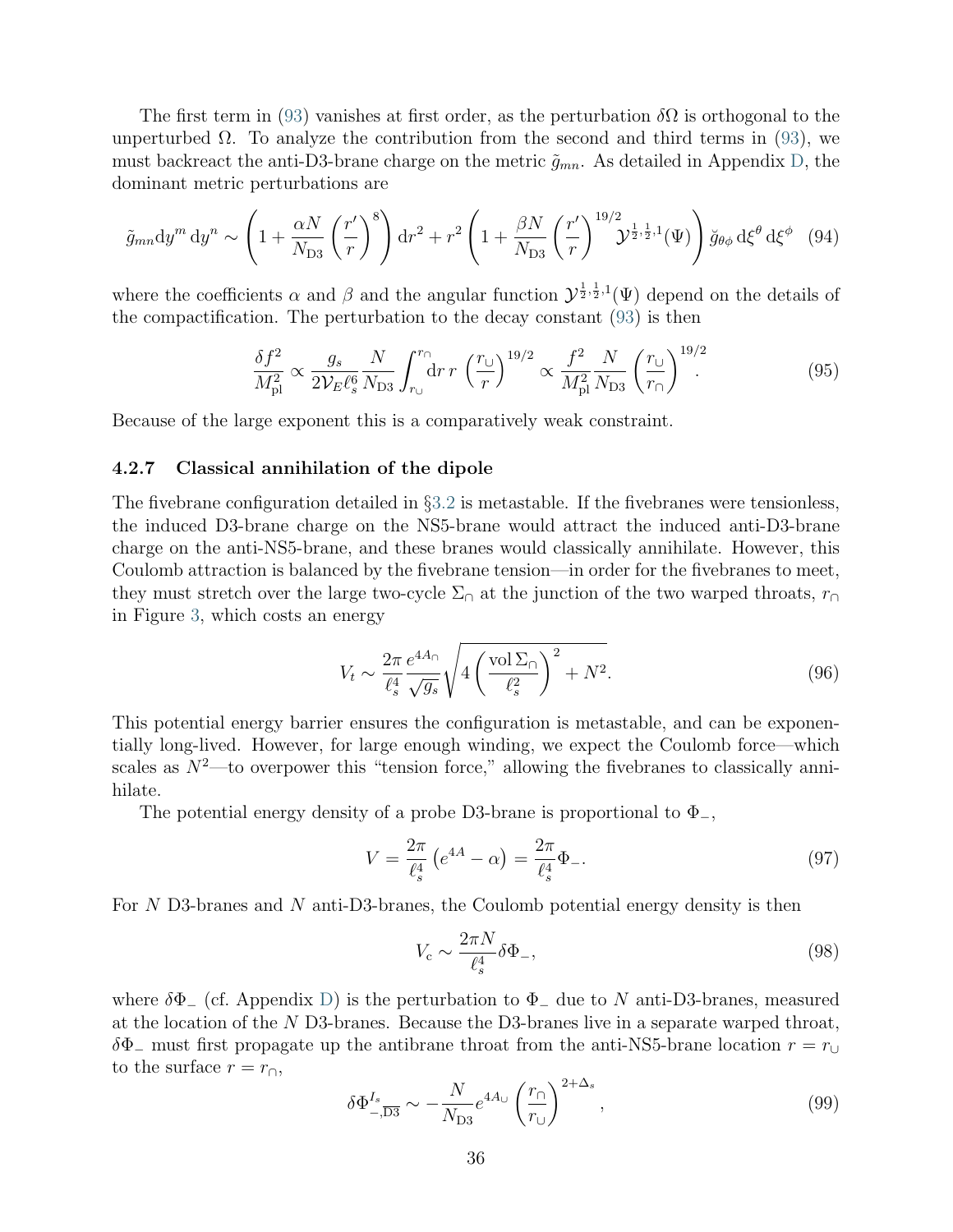The first term in [\(93\)](#page-35-2) vanishes at first order, as the perturbation  $\delta\Omega$  is orthogonal to the unperturbed  $\Omega$ . To analyze the contribution from the second and third terms in [\(93\)](#page-35-2), we must backreact the anti-D3-brane charge on the metric  $\tilde{g}_{mn}$ . As detailed in Appendix [D,](#page-53-0) the dominant metric perturbations are

$$
\tilde{g}_{mn} dy^m dy^n \sim \left(1 + \frac{\alpha N}{N_{\text{D3}}} \left(\frac{r'}{r}\right)^8\right) dr^2 + r^2 \left(1 + \frac{\beta N}{N_{\text{D3}}} \left(\frac{r'}{r}\right)^{19/2} \mathcal{Y}^{\frac{1}{2}, \frac{1}{2}, 1}(\Psi)\right) \breve{g}_{\theta\phi} d\xi^{\theta} d\xi^{\phi} \quad (94)
$$

where the coefficients  $\alpha$  and  $\beta$  and the angular function  $\mathcal{Y}^{\frac{1}{2},\frac{1}{2},1}(\Psi)$  depend on the details of the compactification. The perturbation to the decay constant [\(93\)](#page-35-2) is then

$$
\frac{\delta f^2}{M_{\rm pl}^2} \propto \frac{g_s}{2V_E \ell_s^6} \frac{N}{N_{\rm D3}} \int_{r_{\rm U}}^{r_{\rm \cap}} dr \, r \, \left(\frac{r_{\rm U}}{r}\right)^{19/2} \propto \frac{f^2}{M_{\rm pl}^2} \frac{N}{N_{\rm D3}} \left(\frac{r_{\rm U}}{r_{\rm \cap}}\right)^{19/2} . \tag{95}
$$

Because of the large exponent this is a comparatively weak constraint.

#### <span id="page-36-0"></span>4.2.7 Classical annihilation of the dipole

The fivebrane configuration detailed in §[3.2](#page-19-0) is metastable. If the fivebranes were tensionless, the induced D3-brane charge on the NS5-brane would attract the induced anti-D3-brane charge on the anti-NS5-brane, and these branes would classically annihilate. However, this Coulomb attraction is balanced by the fivebrane tension—in order for the fivebranes to meet, they must stretch over the large two-cycle  $\Sigma_{\cap}$  at the junction of the two warped throats,  $r_{\cap}$ in Figure [3,](#page-18-0) which costs an energy

<span id="page-36-2"></span>
$$
V_t \sim \frac{2\pi}{\ell_s^4} \frac{e^{4A_\cap}}{\sqrt{g_s}} \sqrt{4\left(\frac{\text{vol}\,\Sigma_\cap}{\ell_s^2}\right)^2 + N^2}.\tag{96}
$$

This potential energy barrier ensures the configuration is metastable, and can be exponentially long-lived. However, for large enough winding, we expect the Coulomb force—which scales as  $N^2$ —to overpower this "tension force," allowing the fivebranes to classically annihilate.

The potential energy density of a probe D3-brane is proportional to  $\Phi_-,$ 

$$
V = \frac{2\pi}{\ell_s^4} \left( e^{4A} - \alpha \right) = \frac{2\pi}{\ell_s^4} \Phi_{-}.
$$
 (97)

For N D3-branes and N anti-D3-branes, the Coulomb potential energy density is then

$$
V_c \sim \frac{2\pi N}{\ell_s^4} \delta \Phi_-, \tag{98}
$$

where  $\delta\Phi_{-}$  (cf. Appendix [D\)](#page-53-0) is the perturbation to  $\Phi_{-}$  due to N anti-D3-branes, measured at the location of the N D3-branes. Because the D3-branes live in a separate warped throat,  $\delta\Phi_$  must first propagate up the antibrane throat from the anti-NS5-brane location  $r = r_{\cup}$ to the surface  $r = r_{\cap}$ ,

<span id="page-36-1"></span>
$$
\delta \Phi_{-,\overline{\text{D3}}}^{I_s} \sim -\frac{N}{N_{\text{D3}}} e^{4A_{\cup}} \left(\frac{r_{\cap}}{r_{\cup}}\right)^{2+\Delta_s},\tag{99}
$$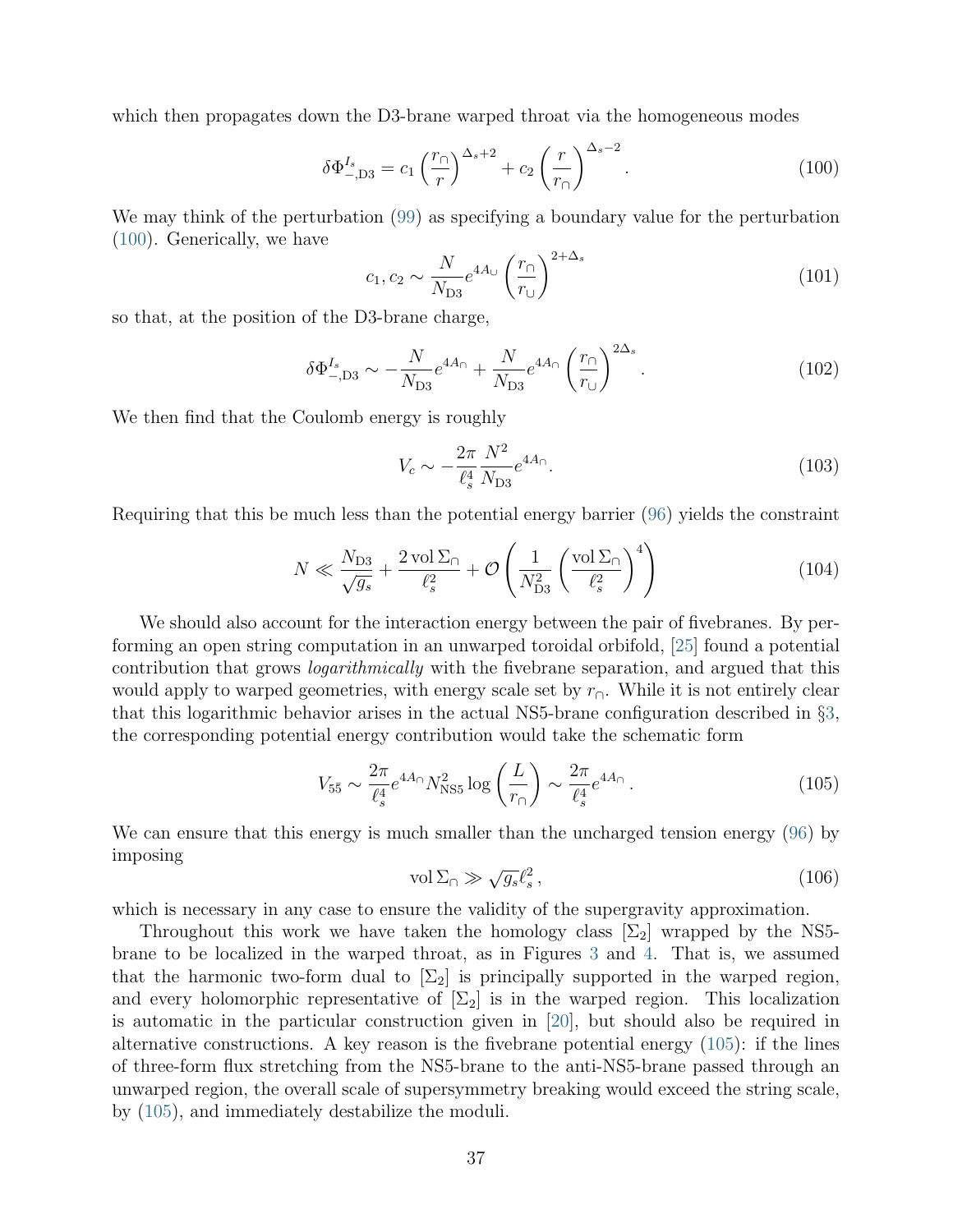which then propagates down the D3-brane warped throat via the homogeneous modes

<span id="page-37-0"></span>
$$
\delta \Phi_{-,D3}^{I_s} = c_1 \left(\frac{r_{\cap}}{r}\right)^{\Delta_s+2} + c_2 \left(\frac{r}{r_{\cap}}\right)^{\Delta_s-2}.\tag{100}
$$

We may think of the perturbation [\(99\)](#page-36-1) as specifying a boundary value for the perturbation [\(100\)](#page-37-0). Generically, we have

$$
c_1, c_2 \sim \frac{N}{N_{\text{D3}}} e^{4A_{\cup}} \left(\frac{r_{\cap}}{r_{\cup}}\right)^{2+\Delta_s} \tag{101}
$$

so that, at the position of the D3-brane charge,

$$
\delta \Phi_{-,D3}^{I_s} \sim -\frac{N}{N_{\text{D3}}} e^{4A_{\cap}} + \frac{N}{N_{\text{D3}}} e^{4A_{\cap}} \left(\frac{r_{\cap}}{r_{\cup}}\right)^{2\Delta_s}.
$$
 (102)

We then find that the Coulomb energy is roughly

$$
V_c \sim -\frac{2\pi}{\ell_s^4} \frac{N^2}{N_{\rm D3}} e^{4A_{\cap}}.\tag{103}
$$

Requiring that this be much less than the potential energy barrier [\(96\)](#page-36-2) yields the constraint

$$
N \ll \frac{N_{\text{D3}}}{\sqrt{g_s}} + \frac{2 \operatorname{vol} \Sigma_{\cap}}{\ell_s^2} + \mathcal{O}\left(\frac{1}{N_{\text{D3}}^2} \left(\frac{\operatorname{vol} \Sigma_{\cap}}{\ell_s^2}\right)^4\right) \tag{104}
$$

We should also account for the interaction energy between the pair of fivebranes. By performing an open string computation in an unwarped toroidal orbifold, [\[25\]](#page-57-7) found a potential contribution that grows logarithmically with the fivebrane separation, and argued that this would apply to warped geometries, with energy scale set by  $r_{\Omega}$ . While it is not entirely clear that this logarithmic behavior arises in the actual NS5-brane configuration described in §[3,](#page-16-0) the corresponding potential energy contribution would take the schematic form

<span id="page-37-1"></span>
$$
V_{5\bar{5}} \sim \frac{2\pi}{\ell_s^4} e^{4A_\cap} N_{\rm NS5}^2 \log\left(\frac{L}{r_\cap}\right) \sim \frac{2\pi}{\ell_s^4} e^{4A_\cap} \,. \tag{105}
$$

We can ensure that this energy is much smaller than the uncharged tension energy [\(96\)](#page-36-2) by imposing

$$
\text{vol}\,\Sigma_{\cap}\gg\sqrt{g_s}\ell_s^2\,,\tag{106}
$$

which is necessary in any case to ensure the validity of the supergravity approximation.

Throughout this work we have taken the homology class  $[\Sigma_2]$  wrapped by the NS5brane to be localized in the warped throat, as in Figures [3](#page-18-0) and [4.](#page-23-2) That is, we assumed that the harmonic two-form dual to  $[\Sigma_2]$  is principally supported in the warped region, and every holomorphic representative of  $[\Sigma_2]$  is in the warped region. This localization is automatic in the particular construction given in [\[20\]](#page-57-2), but should also be required in alternative constructions. A key reason is the fivebrane potential energy [\(105\)](#page-37-1): if the lines of three-form flux stretching from the NS5-brane to the anti-NS5-brane passed through an unwarped region, the overall scale of supersymmetry breaking would exceed the string scale, by [\(105\)](#page-37-1), and immediately destabilize the moduli.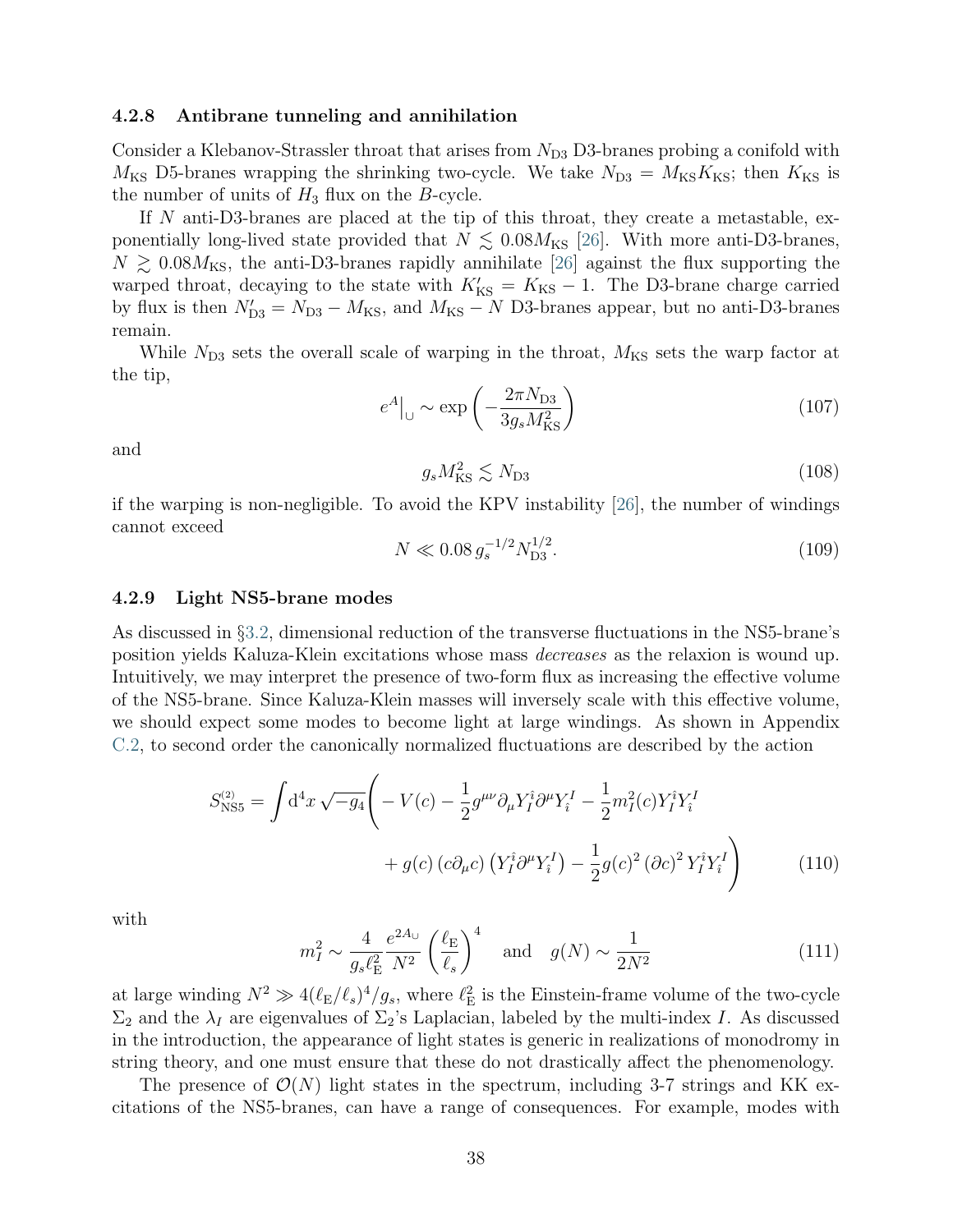#### <span id="page-38-0"></span>4.2.8 Antibrane tunneling and annihilation

Consider a Klebanov-Strassler throat that arises from  $N_{D3}$  D3-branes probing a conifold with  $M_{\text{KS}}$  D5-branes wrapping the shrinking two-cycle. We take  $N_{\text{D3}} = M_{\text{KS}} K_{\text{KS}}$ ; then  $K_{\text{KS}}$  is the number of units of  $H_3$  flux on the B-cycle.

If N anti-D3-branes are placed at the tip of this throat, they create a metastable, exponentially long-lived state provided that  $N \lesssim 0.08 M_{KS}$  [\[26\]](#page-57-8). With more anti-D3-branes,  $N \gtrsim 0.08 M_{\rm KS}$ , the anti-D3-branes rapidly annihilate [\[26\]](#page-57-8) against the flux supporting the warped throat, decaying to the state with  $K'_{\text{KS}} = K_{\text{KS}} - 1$ . The D3-brane charge carried by flux is then  $N'_{D3} = N_{D3} - M_{KS}$ , and  $M_{KS} - N$  D3-branes appear, but no anti-D3-branes remain.

While  $N_{D3}$  sets the overall scale of warping in the throat,  $M_{KS}$  sets the warp factor at the tip,

$$
e^A|_{\cup} \sim \exp\left(-\frac{2\pi N_{\text{D3}}}{3g_s M_{\text{KS}}^2}\right) \tag{107}
$$

and

$$
g_s M_{\rm KS}^2 \lesssim N_{\rm D3} \tag{108}
$$

if the warping is non-negligible. To avoid the KPV instability [\[26\]](#page-57-8), the number of windings cannot exceed

$$
N \ll 0.08 \, g_s^{-1/2} N_{\text{D3}}^{1/2}.\tag{109}
$$

#### <span id="page-38-1"></span>4.2.9 Light NS5-brane modes

As discussed in §[3.2,](#page-19-0) dimensional reduction of the transverse fluctuations in the NS5-brane's position yields Kaluza-Klein excitations whose mass decreases as the relaxion is wound up. Intuitively, we may interpret the presence of two-form flux as increasing the effective volume of the NS5-brane. Since Kaluza-Klein masses will inversely scale with this effective volume, we should expect some modes to become light at large windings. As shown in Appendix [C.2,](#page-49-1) to second order the canonically normalized fluctuations are described by the action

$$
S_{\text{NS5}}^{(2)} = \int d^4x \sqrt{-g_4} \left( -V(c) - \frac{1}{2} g^{\mu\nu} \partial_{\mu} Y_I^{\hat{i}} \partial^{\mu} Y_i^I - \frac{1}{2} m_I^2(c) Y_I^{\hat{i}} Y_i^I + g(c) (c \partial_{\mu} c) (Y_I^{\hat{i}} \partial^{\mu} Y_i^I) - \frac{1}{2} g(c)^2 (\partial c)^2 Y_I^{\hat{i}} Y_i^I \right) \tag{110}
$$

with

<span id="page-38-2"></span>
$$
m_I^2 \sim \frac{4}{g_s \ell_{\rm E}^2} \frac{e^{2A_{\rm U}}}{N^2} \left(\frac{\ell_{\rm E}}{\ell_s}\right)^4
$$
 and  $g(N) \sim \frac{1}{2N^2}$  (111)

at large winding  $N^2 \gg 4(\ell_{\rm E}/\ell_s)^4/g_s$ , where  $\ell_{\rm E}^2$  is the Einstein-frame volume of the two-cycle  $\Sigma_2$  and the  $\lambda_I$  are eigenvalues of  $\Sigma_2$ 's Laplacian, labeled by the multi-index I. As discussed in the introduction, the appearance of light states is generic in realizations of monodromy in string theory, and one must ensure that these do not drastically affect the phenomenology.

The presence of  $\mathcal{O}(N)$  light states in the spectrum, including 3-7 strings and KK excitations of the NS5-branes, can have a range of consequences. For example, modes with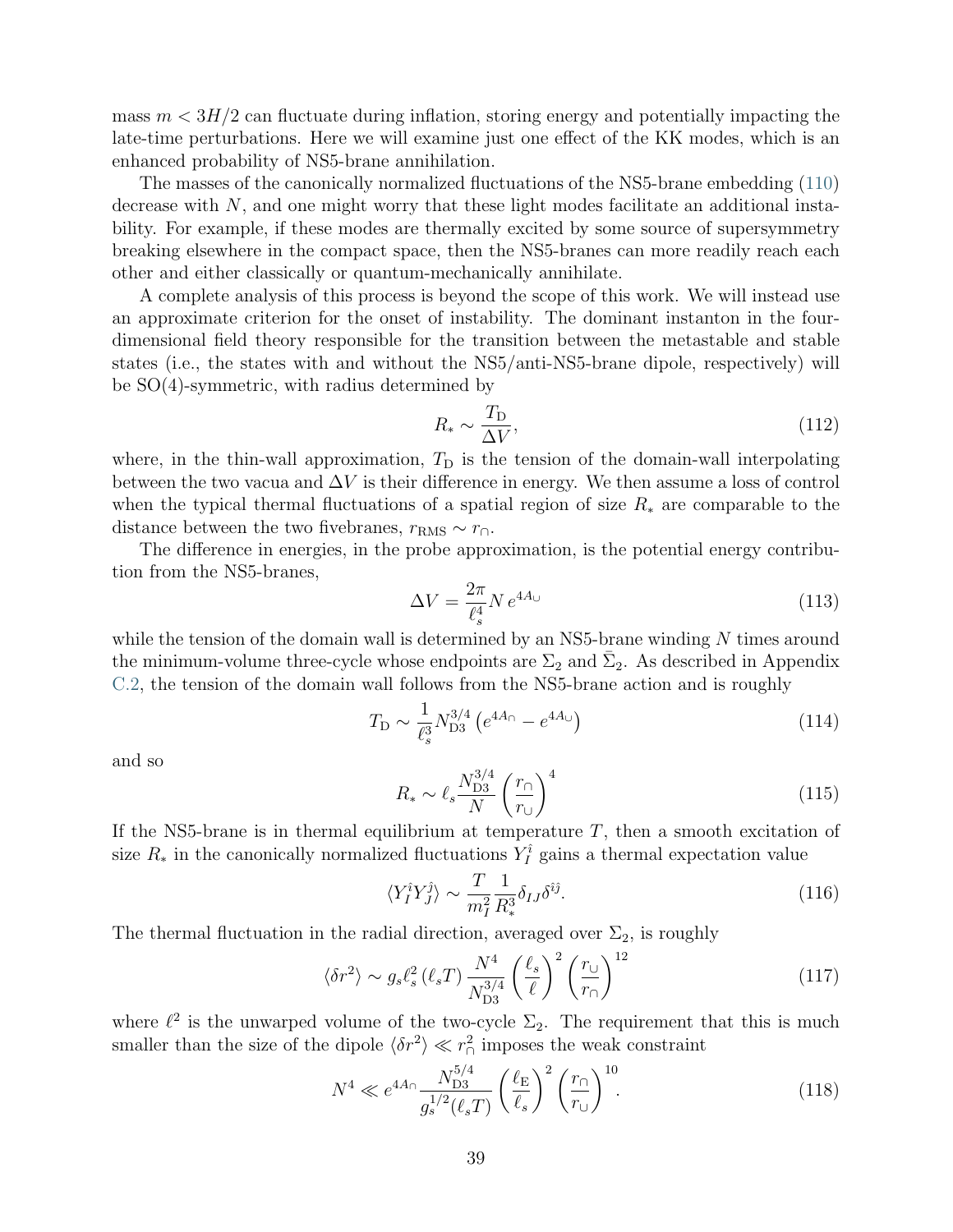mass  $m < 3H/2$  can fluctuate during inflation, storing energy and potentially impacting the late-time perturbations. Here we will examine just one effect of the KK modes, which is an enhanced probability of NS5-brane annihilation.

The masses of the canonically normalized fluctuations of the NS5-brane embedding [\(110\)](#page-38-2) decrease with N, and one might worry that these light modes facilitate an additional instability. For example, if these modes are thermally excited by some source of supersymmetry breaking elsewhere in the compact space, then the NS5-branes can more readily reach each other and either classically or quantum-mechanically annihilate.

A complete analysis of this process is beyond the scope of this work. We will instead use an approximate criterion for the onset of instability. The dominant instanton in the fourdimensional field theory responsible for the transition between the metastable and stable states (i.e., the states with and without the NS5/anti-NS5-brane dipole, respectively) will be SO(4)-symmetric, with radius determined by

$$
R_* \sim \frac{T_D}{\Delta V},\tag{112}
$$

where, in the thin-wall approximation,  $T<sub>D</sub>$  is the tension of the domain-wall interpolating between the two vacua and  $\Delta V$  is their difference in energy. We then assume a loss of control when the typical thermal fluctuations of a spatial region of size  $R_*$  are comparable to the distance between the two fivebranes,  $r_{RMS} \sim r_{\Omega}$ .

The difference in energies, in the probe approximation, is the potential energy contribution from the NS5-branes,

$$
\Delta V = \frac{2\pi}{\ell_s^4} N e^{4A_\cup} \tag{113}
$$

while the tension of the domain wall is determined by an NS5-brane winding  $N$  times around the minimum-volume three-cycle whose endpoints are  $\Sigma_2$  and  $\bar{\Sigma}_2$ . As described in Appendix [C.2,](#page-49-1) the tension of the domain wall follows from the NS5-brane action and is roughly

$$
T_{\rm D} \sim \frac{1}{\ell_s^3} N_{\rm D3}^{3/4} \left( e^{4A_{\cap}} - e^{4A_{\cup}} \right) \tag{114}
$$

and so

$$
R_* \sim \ell_s \frac{N_{\text{D3}}^{3/4}}{N} \left(\frac{r_{\text{c}}}{r_{\text{U}}}\right)^4 \tag{115}
$$

If the NS5-brane is in thermal equilibrium at temperature  $T$ , then a smooth excitation of size  $R_*$  in the canonically normalized fluctuations  $Y_I^{\hat{i}}$  gains a thermal expectation value

$$
\langle Y_I^{\hat{i}} Y_J^{\hat{j}} \rangle \sim \frac{T}{m_I^2} \frac{1}{R_*^3} \delta_{IJ} \delta^{\hat{i}\hat{j}}.
$$
\n(116)

The thermal fluctuation in the radial direction, averaged over  $\Sigma_2$ , is roughly

$$
\langle \delta r^2 \rangle \sim g_s \ell_s^2 \left(\ell_s T\right) \frac{N^4}{N_{\text{D3}}^{3/4}} \left(\frac{\ell_s}{\ell}\right)^2 \left(\frac{r_{\text{U}}}{r_{\text{D}}}\right)^{12} \tag{117}
$$

where  $\ell^2$  is the unwarped volume of the two-cycle  $\Sigma_2$ . The requirement that this is much smaller than the size of the dipole  $\langle \delta r^2 \rangle \ll r_\cap^2$  imposes the weak constraint

$$
N^4 \ll e^{4A_0} \frac{N_{\rm D3}^{5/4}}{g_s^{1/2}(\ell_s T)} \left(\frac{\ell_{\rm E}}{\ell_s}\right)^2 \left(\frac{r_0}{r_{\rm U}}\right)^{10}.\tag{118}
$$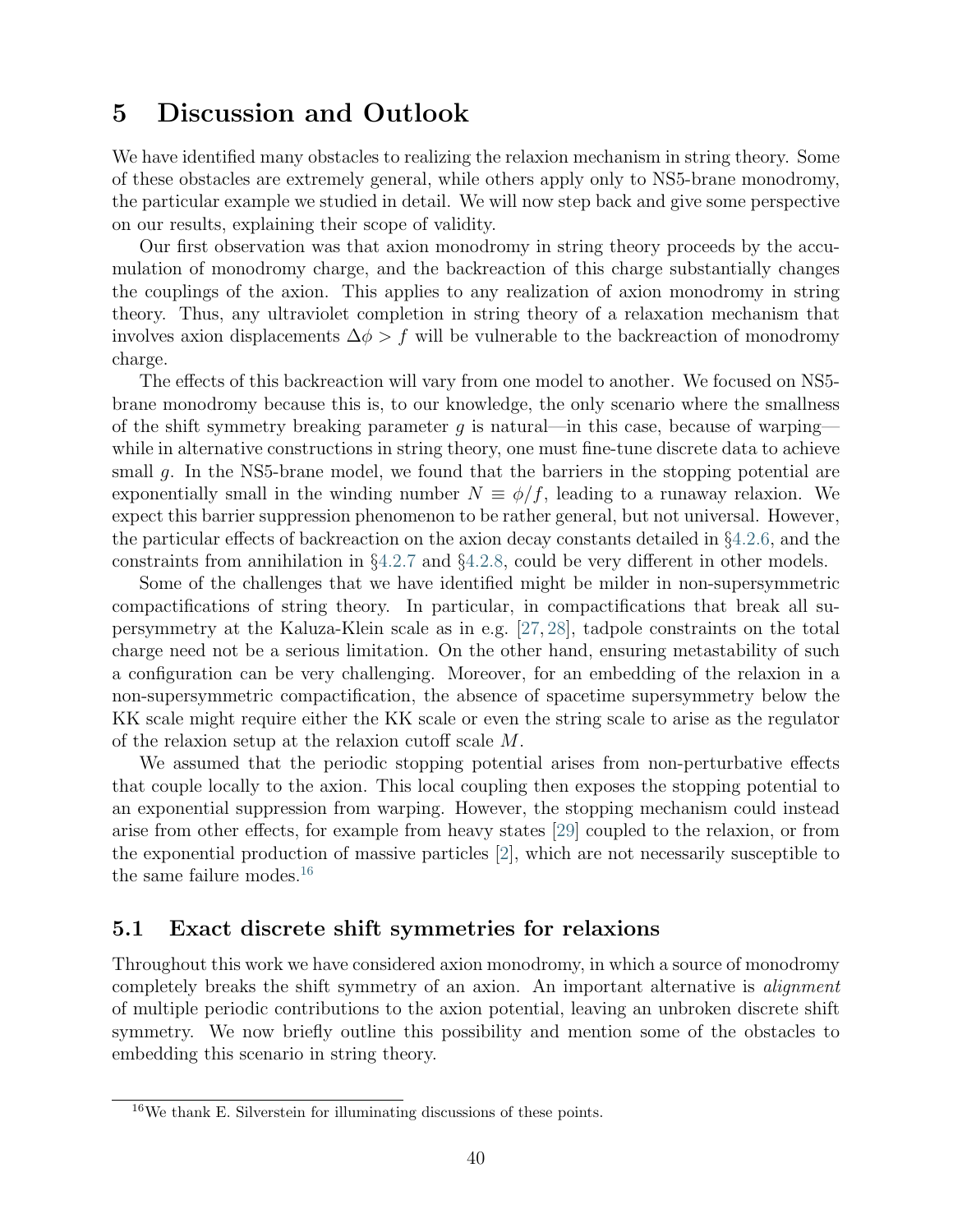# <span id="page-40-0"></span>5 Discussion and Outlook

We have identified many obstacles to realizing the relaxion mechanism in string theory. Some of these obstacles are extremely general, while others apply only to NS5-brane monodromy, the particular example we studied in detail. We will now step back and give some perspective on our results, explaining their scope of validity.

Our first observation was that axion monodromy in string theory proceeds by the accumulation of monodromy charge, and the backreaction of this charge substantially changes the couplings of the axion. This applies to any realization of axion monodromy in string theory. Thus, any ultraviolet completion in string theory of a relaxation mechanism that involves axion displacements  $\Delta \phi > f$  will be vulnerable to the backreaction of monodromy charge.

The effects of this backreaction will vary from one model to another. We focused on NS5 brane monodromy because this is, to our knowledge, the only scenario where the smallness of the shift symmetry breaking parameter  $g$  is natural—in this case, because of warping while in alternative constructions in string theory, one must fine-tune discrete data to achieve small g. In the NS5-brane model, we found that the barriers in the stopping potential are exponentially small in the winding number  $N \equiv \phi/f$ , leading to a runaway relaxion. We expect this barrier suppression phenomenon to be rather general, but not universal. However, the particular effects of backreaction on the axion decay constants detailed in §[4.2.6,](#page-35-0) and the constraints from annihilation in §[4.2.7](#page-36-0) and §[4.2.8,](#page-38-0) could be very different in other models.

Some of the challenges that we have identified might be milder in non-supersymmetric compactifications of string theory. In particular, in compactifications that break all supersymmetry at the Kaluza-Klein scale as in e.g. [\[27,](#page-57-9) [28\]](#page-57-10), tadpole constraints on the total charge need not be a serious limitation. On the other hand, ensuring metastability of such a configuration can be very challenging. Moreover, for an embedding of the relaxion in a non-supersymmetric compactification, the absence of spacetime supersymmetry below the KK scale might require either the KK scale or even the string scale to arise as the regulator of the relaxion setup at the relaxion cutoff scale M.

We assumed that the periodic stopping potential arises from non-perturbative effects that couple locally to the axion. This local coupling then exposes the stopping potential to an exponential suppression from warping. However, the stopping mechanism could instead arise from other effects, for example from heavy states [\[29\]](#page-57-11) coupled to the relaxion, or from the exponential production of massive particles [\[2\]](#page-56-1), which are not necessarily susceptible to the same failure modes.<sup>[16](#page-40-2)</sup>

### <span id="page-40-1"></span>5.1 Exact discrete shift symmetries for relaxions

Throughout this work we have considered axion monodromy, in which a source of monodromy completely breaks the shift symmetry of an axion. An important alternative is *alignment* of multiple periodic contributions to the axion potential, leaving an unbroken discrete shift symmetry. We now briefly outline this possibility and mention some of the obstacles to embedding this scenario in string theory.

<span id="page-40-2"></span><sup>16</sup>We thank E. Silverstein for illuminating discussions of these points.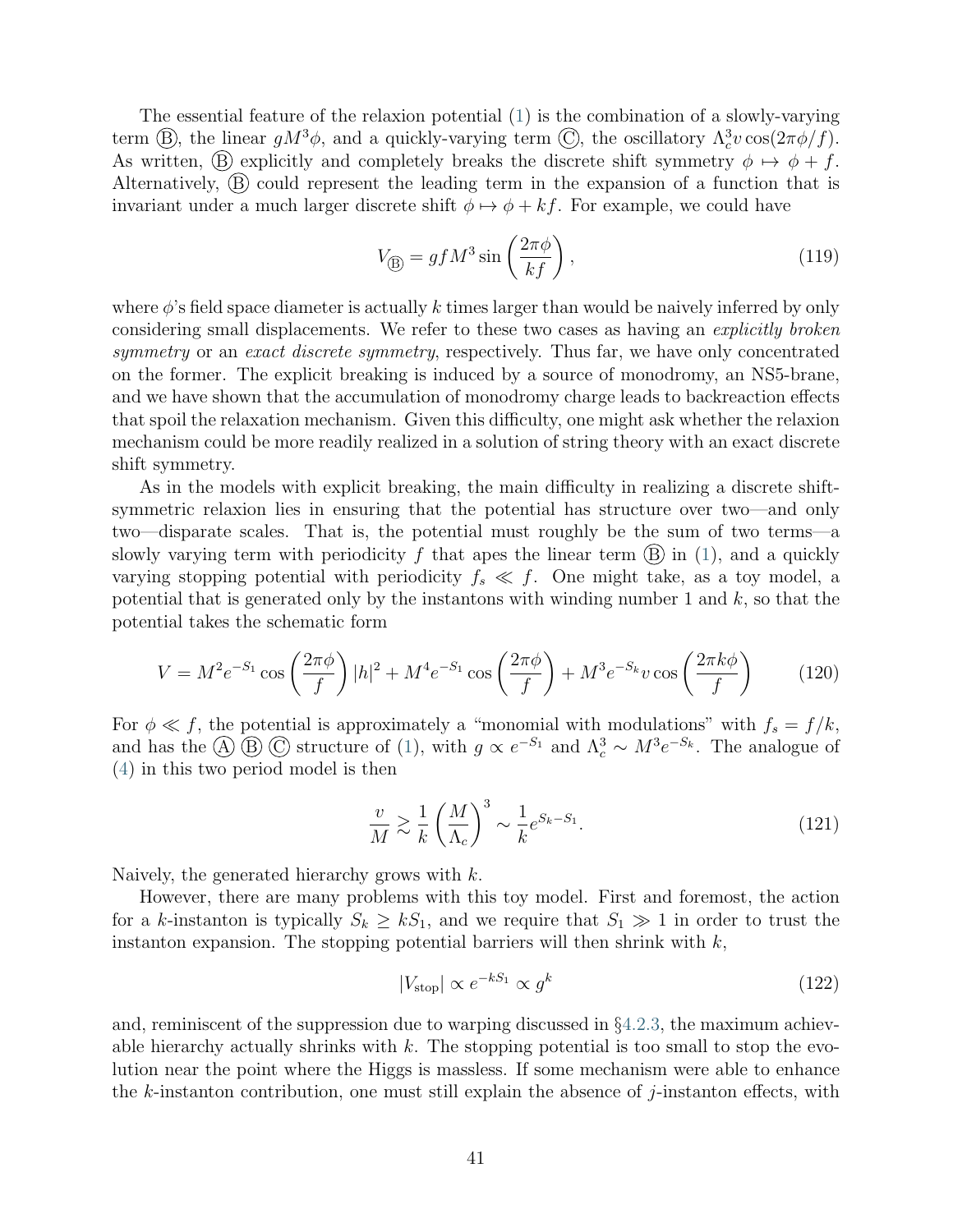The essential feature of the relaxion potential [\(1\)](#page-3-0) is the combination of a slowly-varying term  $\textcircled{B}$ , the linear  $gM^3\phi$ , and a quickly-varying term  $\textcircled{C}$ , the oscillatory  $\Lambda_c^3 v \cos(2\pi\phi/f)$ . As written,  $(\widehat{B})$  explicitly and completely breaks the discrete shift symmetry  $\phi \mapsto \phi + f$ . Alternatively, (B) could represent the leading term in the expansion of a function that is invariant under a much larger discrete shift  $\phi \mapsto \phi + kf$ . For example, we could have

$$
V_{\textcircled{B}} = gfM^3 \sin\left(\frac{2\pi\phi}{kf}\right),\tag{119}
$$

where  $\phi$ 's field space diameter is actually k times larger than would be naively inferred by only considering small displacements. We refer to these two cases as having an explicitly broken symmetry or an exact discrete symmetry, respectively. Thus far, we have only concentrated on the former. The explicit breaking is induced by a source of monodromy, an NS5-brane, and we have shown that the accumulation of monodromy charge leads to backreaction effects that spoil the relaxation mechanism. Given this difficulty, one might ask whether the relaxion mechanism could be more readily realized in a solution of string theory with an exact discrete shift symmetry.

As in the models with explicit breaking, the main difficulty in realizing a discrete shiftsymmetric relaxion lies in ensuring that the potential has structure over two—and only two—disparate scales. That is, the potential must roughly be the sum of two terms—a slowly varying term with periodicity f that apes the linear term  $(B)$  in  $(1)$ , and a quickly varying stopping potential with periodicity  $f_s \ll f$ . One might take, as a toy model, a potential that is generated only by the instantons with winding number 1 and  $k$ , so that the potential takes the schematic form

$$
V = M^2 e^{-S_1} \cos\left(\frac{2\pi\phi}{f}\right) |h|^2 + M^4 e^{-S_1} \cos\left(\frac{2\pi\phi}{f}\right) + M^3 e^{-S_k} v \cos\left(\frac{2\pi k\phi}{f}\right) \tag{120}
$$

For  $\phi \ll f$ , the potential is approximately a "monomial with modulations" with  $f_s = f/k$ , and has the  $\textcircled{A} \times \textcircled{B} \textcircled{C}$  structure of [\(1\)](#page-3-0), with  $g \propto e^{-S_1}$  and  $\Lambda_c^3 \sim M^3 e^{-S_k}$ . The analogue of [\(4\)](#page-4-1) in this two period model is then

$$
\frac{v}{M} \gtrsim \frac{1}{k} \left(\frac{M}{\Lambda_c}\right)^3 \sim \frac{1}{k} e^{S_k - S_1}.\tag{121}
$$

Naively, the generated hierarchy grows with  $k$ .

However, there are many problems with this toy model. First and foremost, the action for a k-instanton is typically  $S_k \geq kS_1$ , and we require that  $S_1 \gg 1$  in order to trust the instanton expansion. The stopping potential barriers will then shrink with  $k$ ,

$$
|V_{\text{stop}}| \propto e^{-kS_1} \propto g^k \tag{122}
$$

and, reminiscent of the suppression due to warping discussed in §[4.2.3,](#page-31-0) the maximum achievable hierarchy actually shrinks with  $k$ . The stopping potential is too small to stop the evolution near the point where the Higgs is massless. If some mechanism were able to enhance the k-instanton contribution, one must still explain the absence of j-instanton effects, with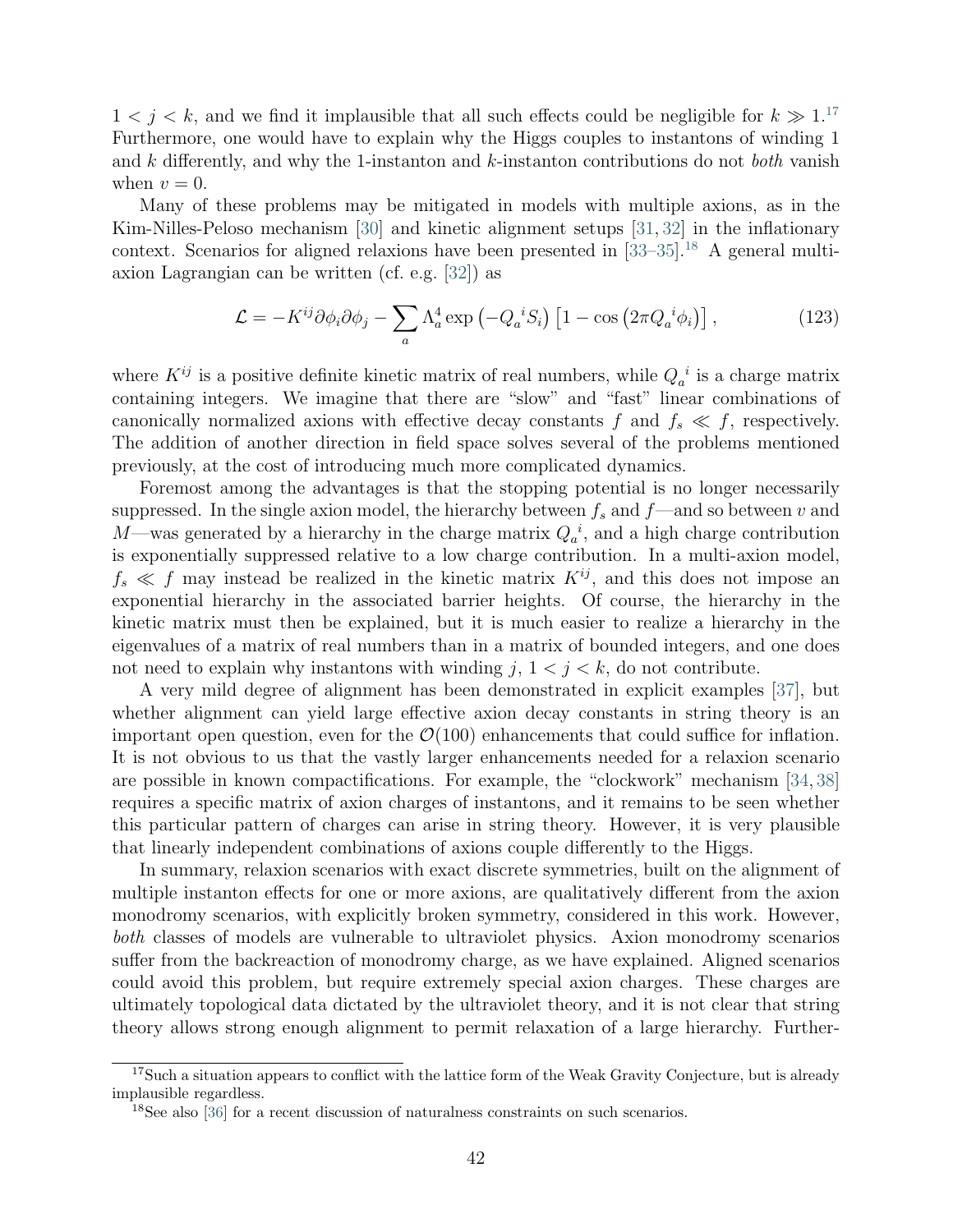$1 < j < k$ , and we find it implausible that all such effects could be negligible for  $k \gg 1$ .<sup>[17](#page-42-0)</sup> Furthermore, one would have to explain why the Higgs couples to instantons of winding 1 and k differently, and why the 1-instanton and k-instanton contributions do not *both* vanish when  $v = 0$ .

Many of these problems may be mitigated in models with multiple axions, as in the Kim-Nilles-Peloso mechanism [\[30\]](#page-57-12) and kinetic alignment setups [\[31,](#page-57-13) [32\]](#page-57-14) in the inflationary context. Scenarios for aligned relaxions have been presented in  $[33-35]$  $[33-35]$ <sup>[18](#page-42-1)</sup> A general multiaxion Lagrangian can be written (cf. e.g. [\[32\]](#page-57-14)) as

$$
\mathcal{L} = -K^{ij}\partial\phi_i\partial\phi_j - \sum_a \Lambda_a^4 \exp\left(-Q_a{}^i S_i\right) \left[1 - \cos\left(2\pi Q_a{}^i \phi_i\right)\right],\tag{123}
$$

where  $K^{ij}$  is a positive definite kinetic matrix of real numbers, while  $Q_a^i$  is a charge matrix containing integers. We imagine that there are "slow" and "fast" linear combinations of canonically normalized axions with effective decay constants f and  $f_s \ll f$ , respectively. The addition of another direction in field space solves several of the problems mentioned previously, at the cost of introducing much more complicated dynamics.

Foremost among the advantages is that the stopping potential is no longer necessarily suppressed. In the single axion model, the hierarchy between  $f_s$  and  $f$ —and so between v and  $M$ —was generated by a hierarchy in the charge matrix  $Q_a^i$ , and a high charge contribution is exponentially suppressed relative to a low charge contribution. In a multi-axion model,  $f_s \ll f$  may instead be realized in the kinetic matrix  $K^{ij}$ , and this does not impose an exponential hierarchy in the associated barrier heights. Of course, the hierarchy in the kinetic matrix must then be explained, but it is much easier to realize a hierarchy in the eigenvalues of a matrix of real numbers than in a matrix of bounded integers, and one does not need to explain why instantons with winding  $j, 1 \leq j \leq k$ , do not contribute.

A very mild degree of alignment has been demonstrated in explicit examples [\[37\]](#page-58-1), but whether alignment can yield large effective axion decay constants in string theory is an important open question, even for the  $\mathcal{O}(100)$  enhancements that could suffice for inflation. It is not obvious to us that the vastly larger enhancements needed for a relaxion scenario are possible in known compactifications. For example, the "clockwork" mechanism [\[34,](#page-57-16) [38\]](#page-58-2) requires a specific matrix of axion charges of instantons, and it remains to be seen whether this particular pattern of charges can arise in string theory. However, it is very plausible that linearly independent combinations of axions couple differently to the Higgs.

In summary, relaxion scenarios with exact discrete symmetries, built on the alignment of multiple instanton effects for one or more axions, are qualitatively different from the axion monodromy scenarios, with explicitly broken symmetry, considered in this work. However, both classes of models are vulnerable to ultraviolet physics. Axion monodromy scenarios suffer from the backreaction of monodromy charge, as we have explained. Aligned scenarios could avoid this problem, but require extremely special axion charges. These charges are ultimately topological data dictated by the ultraviolet theory, and it is not clear that string theory allows strong enough alignment to permit relaxation of a large hierarchy. Further-

<span id="page-42-0"></span><sup>&</sup>lt;sup>17</sup>Such a situation appears to conflict with the lattice form of the Weak Gravity Conjecture, but is already implausible regardless.

<span id="page-42-1"></span><sup>18</sup>See also [\[36\]](#page-58-3) for a recent discussion of naturalness constraints on such scenarios.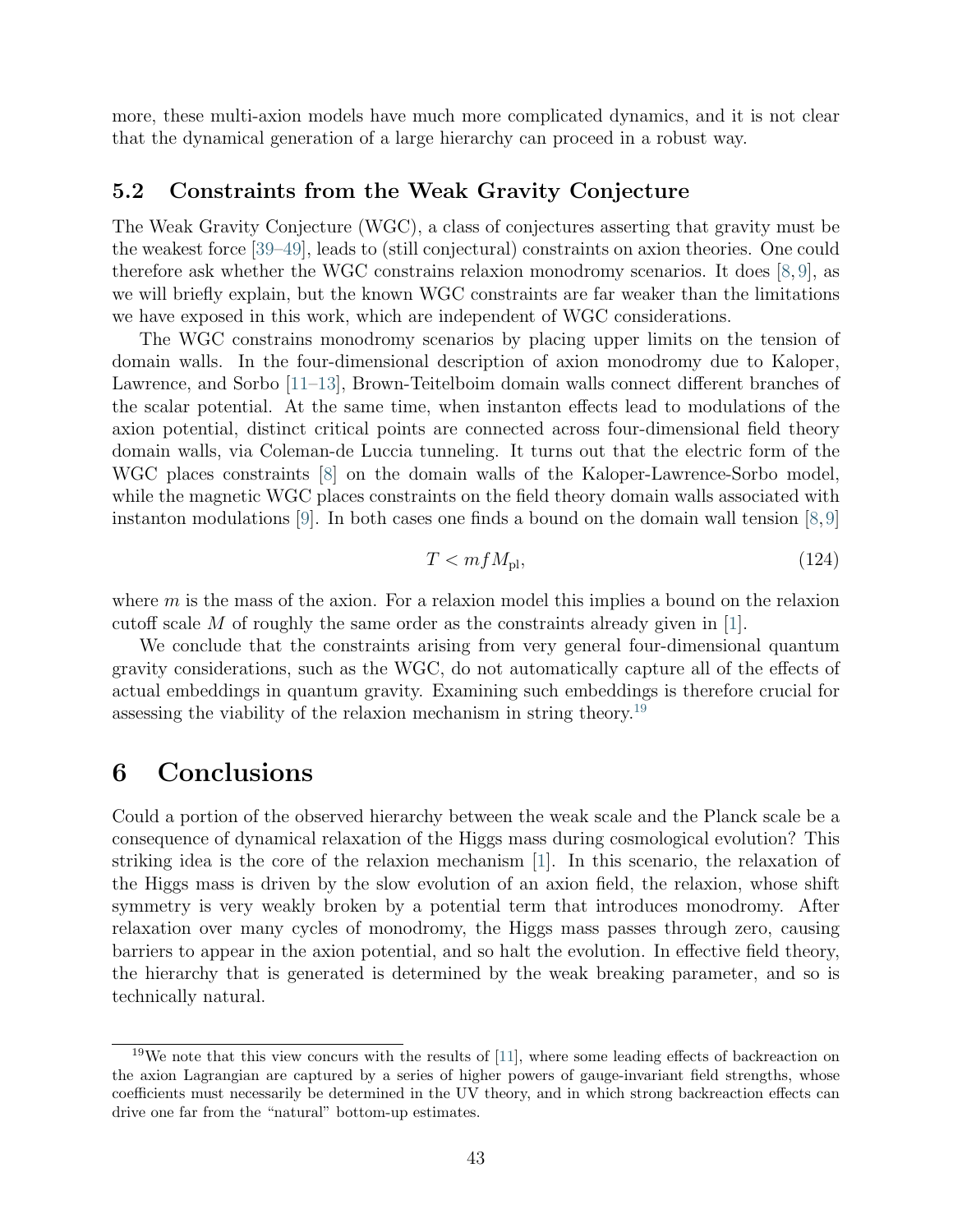more, these multi-axion models have much more complicated dynamics, and it is not clear that the dynamical generation of a large hierarchy can proceed in a robust way.

### <span id="page-43-0"></span>5.2 Constraints from the Weak Gravity Conjecture

The Weak Gravity Conjecture (WGC), a class of conjectures asserting that gravity must be the weakest force [\[39](#page-58-4)[–49\]](#page-58-5), leads to (still conjectural) constraints on axion theories. One could therefore ask whether the WGC constrains relaxion monodromy scenarios. It does [\[8,](#page-56-6) [9\]](#page-56-7), as we will briefly explain, but the known WGC constraints are far weaker than the limitations we have exposed in this work, which are independent of WGC considerations.

The WGC constrains monodromy scenarios by placing upper limits on the tension of domain walls. In the four-dimensional description of axion monodromy due to Kaloper, Lawrence, and Sorbo [\[11](#page-56-9)[–13\]](#page-56-15), Brown-Teitelboim domain walls connect different branches of the scalar potential. At the same time, when instanton effects lead to modulations of the axion potential, distinct critical points are connected across four-dimensional field theory domain walls, via Coleman-de Luccia tunneling. It turns out that the electric form of the WGC places constraints [\[8\]](#page-56-6) on the domain walls of the Kaloper-Lawrence-Sorbo model, while the magnetic WGC places constraints on the field theory domain walls associated with instanton modulations [\[9\]](#page-56-7). In both cases one finds a bound on the domain wall tension [\[8,](#page-56-6)[9\]](#page-56-7)

$$
T < mfM_{\rm pl},\tag{124}
$$

where m is the mass of the axion. For a relaxion model this implies a bound on the relaxion cutoff scale M of roughly the same order as the constraints already given in  $[1]$ .

We conclude that the constraints arising from very general four-dimensional quantum gravity considerations, such as the WGC, do not automatically capture all of the effects of actual embeddings in quantum gravity. Examining such embeddings is therefore crucial for assessing the viability of the relaxion mechanism in string theory.<sup>[19](#page-43-2)</sup>

## <span id="page-43-1"></span>6 Conclusions

Could a portion of the observed hierarchy between the weak scale and the Planck scale be a consequence of dynamical relaxation of the Higgs mass during cosmological evolution? This striking idea is the core of the relaxion mechanism [\[1\]](#page-56-0). In this scenario, the relaxation of the Higgs mass is driven by the slow evolution of an axion field, the relaxion, whose shift symmetry is very weakly broken by a potential term that introduces monodromy. After relaxation over many cycles of monodromy, the Higgs mass passes through zero, causing barriers to appear in the axion potential, and so halt the evolution. In effective field theory, the hierarchy that is generated is determined by the weak breaking parameter, and so is technically natural.

<span id="page-43-2"></span><sup>&</sup>lt;sup>19</sup>We note that this view concurs with the results of [\[11\]](#page-56-9), where some leading effects of backreaction on the axion Lagrangian are captured by a series of higher powers of gauge-invariant field strengths, whose coefficients must necessarily be determined in the UV theory, and in which strong backreaction effects can drive one far from the "natural" bottom-up estimates.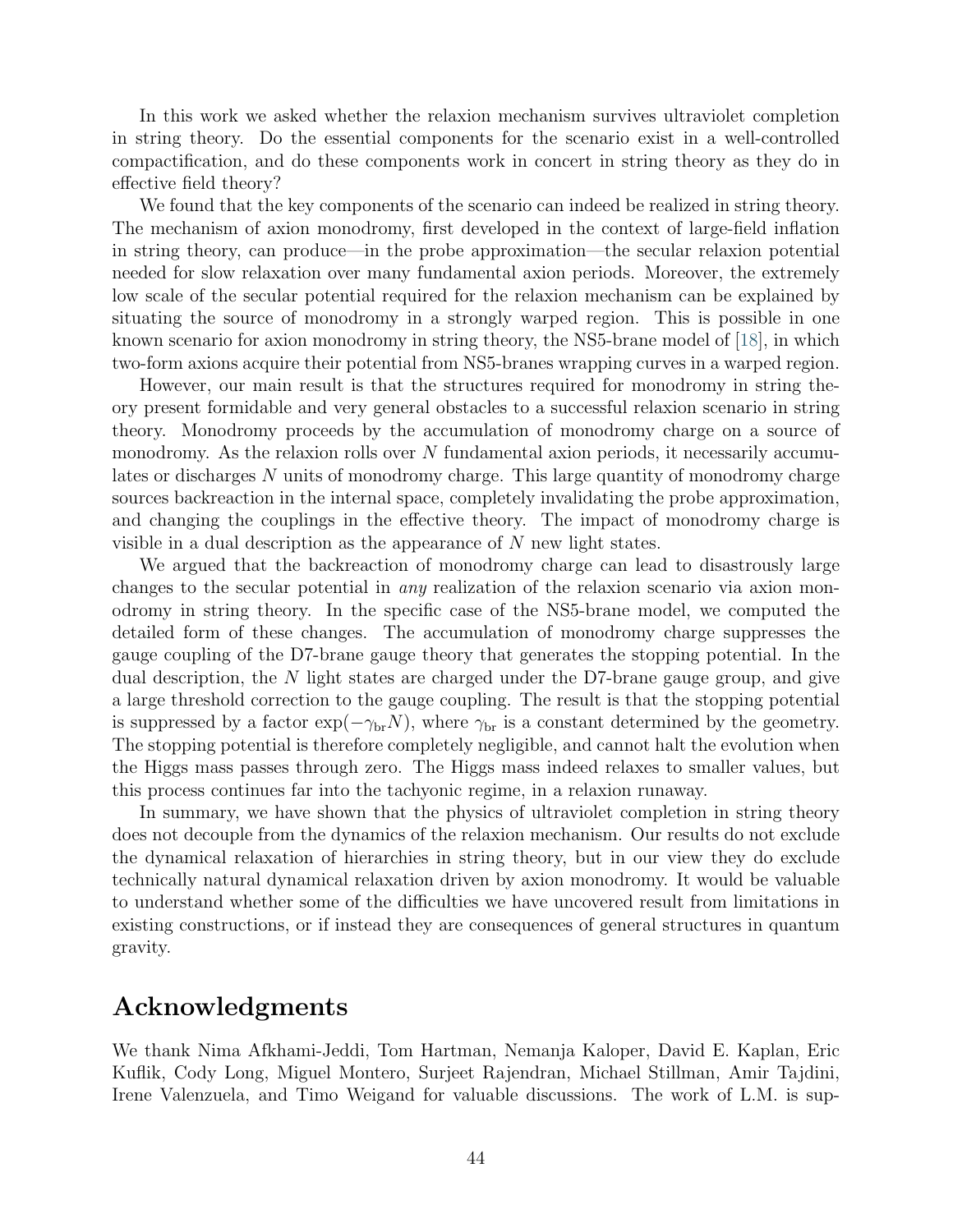In this work we asked whether the relaxion mechanism survives ultraviolet completion in string theory. Do the essential components for the scenario exist in a well-controlled compactification, and do these components work in concert in string theory as they do in effective field theory?

We found that the key components of the scenario can indeed be realized in string theory. The mechanism of axion monodromy, first developed in the context of large-field inflation in string theory, can produce—in the probe approximation—the secular relaxion potential needed for slow relaxation over many fundamental axion periods. Moreover, the extremely low scale of the secular potential required for the relaxion mechanism can be explained by situating the source of monodromy in a strongly warped region. This is possible in one known scenario for axion monodromy in string theory, the NS5-brane model of [\[18\]](#page-57-0), in which two-form axions acquire their potential from NS5-branes wrapping curves in a warped region.

However, our main result is that the structures required for monodromy in string theory present formidable and very general obstacles to a successful relaxion scenario in string theory. Monodromy proceeds by the accumulation of monodromy charge on a source of monodromy. As the relaxion rolls over  $N$  fundamental axion periods, it necessarily accumulates or discharges N units of monodromy charge. This large quantity of monodromy charge sources backreaction in the internal space, completely invalidating the probe approximation, and changing the couplings in the effective theory. The impact of monodromy charge is visible in a dual description as the appearance of  $N$  new light states.

We argued that the backreaction of monodromy charge can lead to disastrously large changes to the secular potential in any realization of the relaxion scenario via axion monodromy in string theory. In the specific case of the NS5-brane model, we computed the detailed form of these changes. The accumulation of monodromy charge suppresses the gauge coupling of the D7-brane gauge theory that generates the stopping potential. In the dual description, the N light states are charged under the D7-brane gauge group, and give a large threshold correction to the gauge coupling. The result is that the stopping potential is suppressed by a factor  $\exp(-\gamma_{\rm br}N)$ , where  $\gamma_{\rm br}$  is a constant determined by the geometry. The stopping potential is therefore completely negligible, and cannot halt the evolution when the Higgs mass passes through zero. The Higgs mass indeed relaxes to smaller values, but this process continues far into the tachyonic regime, in a relaxion runaway.

In summary, we have shown that the physics of ultraviolet completion in string theory does not decouple from the dynamics of the relaxion mechanism. Our results do not exclude the dynamical relaxation of hierarchies in string theory, but in our view they do exclude technically natural dynamical relaxation driven by axion monodromy. It would be valuable to understand whether some of the difficulties we have uncovered result from limitations in existing constructions, or if instead they are consequences of general structures in quantum gravity.

## Acknowledgments

We thank Nima Afkhami-Jeddi, Tom Hartman, Nemanja Kaloper, David E. Kaplan, Eric Kuflik, Cody Long, Miguel Montero, Surjeet Rajendran, Michael Stillman, Amir Tajdini, Irene Valenzuela, and Timo Weigand for valuable discussions. The work of L.M. is sup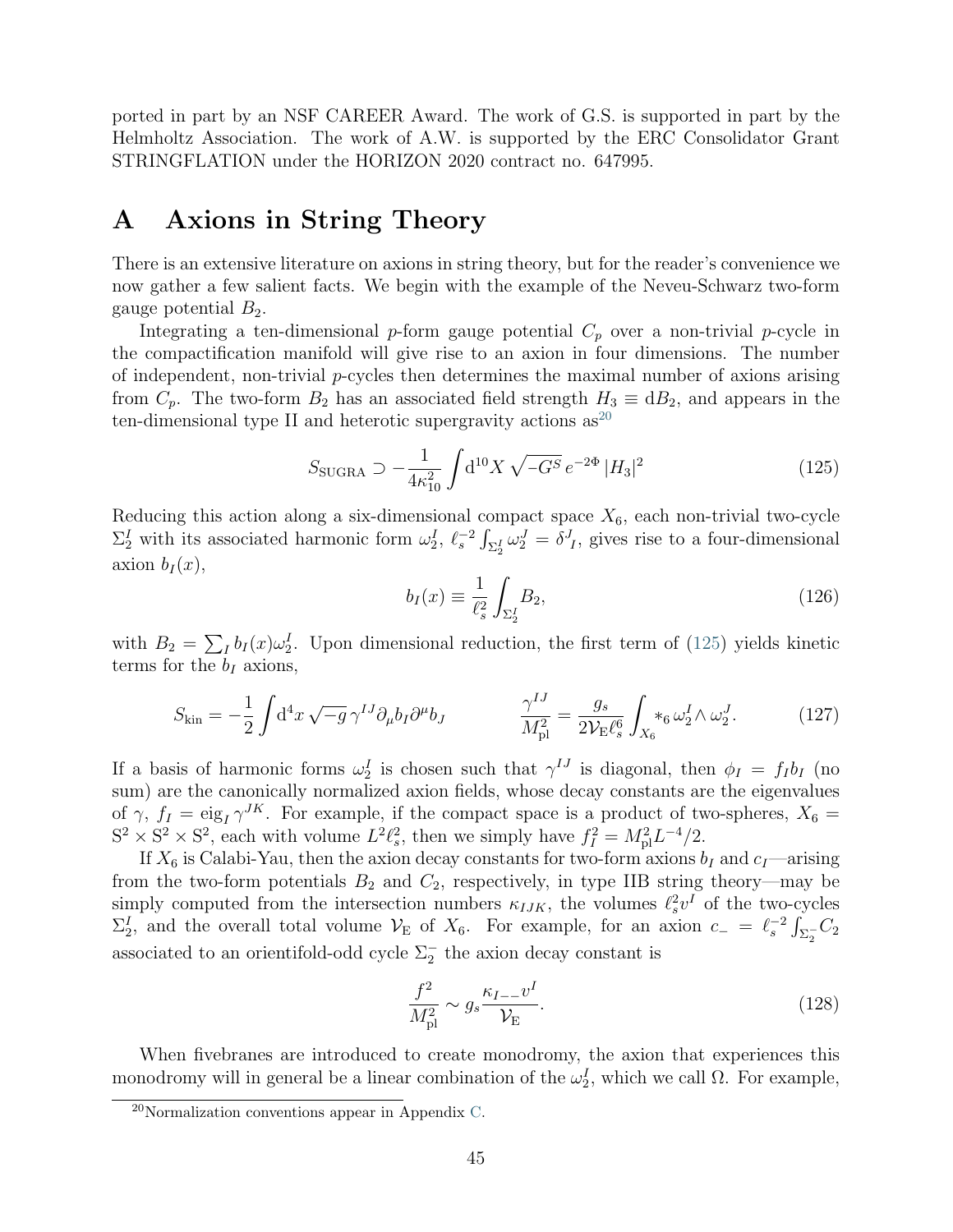ported in part by an NSF CAREER Award. The work of G.S. is supported in part by the Helmholtz Association. The work of A.W. is supported by the ERC Consolidator Grant STRINGFLATION under the HORIZON 2020 contract no. 647995.

# <span id="page-45-0"></span>A Axions in String Theory

There is an extensive literature on axions in string theory, but for the reader's convenience we now gather a few salient facts. We begin with the example of the Neveu-Schwarz two-form gauge potential  $B_2$ .

Integrating a ten-dimensional p-form gauge potential  $C_p$  over a non-trivial p-cycle in the compactification manifold will give rise to an axion in four dimensions. The number of independent, non-trivial p-cycles then determines the maximal number of axions arising from  $C_p$ . The two-form  $B_2$  has an associated field strength  $H_3 \equiv dB_2$ , and appears in the ten-dimensional type II and heterotic supergravity actions  $as^{20}$  $as^{20}$  $as^{20}$ 

$$
S_{\text{SUGRA}} \supset -\frac{1}{4\kappa_{10}^2} \int \mathrm{d}^{10} X \sqrt{-G^S} \, e^{-2\Phi} \, |H_3|^2 \tag{125}
$$

Reducing this action along a six-dimensional compact space  $X_6$ , each non-trivial two-cycle  $\Sigma_2^I$  with its associated harmonic form  $\omega_2^I$ ,  $\ell_s^{-2} \int_{\Sigma_2^I} \omega_2^J = \delta^J_{I}$ , gives rise to a four-dimensional axion  $b_I(x)$ ,

<span id="page-45-3"></span>
$$
b_I(x) \equiv \frac{1}{\ell_s^2} \int_{\Sigma_2^I} B_2,\tag{126}
$$

with  $B_2 = \sum_I b_I(x) \omega_2^I$ . Upon dimensional reduction, the first term of [\(125\)](#page-45-3) yields kinetic terms for the  $b_I$  axions,

<span id="page-45-1"></span>
$$
S_{\rm kin} = -\frac{1}{2} \int d^4 x \sqrt{-g} \gamma^{IJ} \partial_{\mu} b_I \partial^{\mu} b_J \qquad \frac{\gamma^{IJ}}{M_{\rm pl}^2} = \frac{g_s}{2 \mathcal{V}_{\rm E} \ell_s^6} \int_{X_6} *_{6} \omega_2^I \wedge \omega_2^J. \tag{127}
$$

If a basis of harmonic forms  $\omega_2^I$  is chosen such that  $\gamma^{IJ}$  is diagonal, then  $\phi_I = f_I b_I$  (no sum) are the canonically normalized axion fields, whose decay constants are the eigenvalues of  $\gamma$ ,  $f_I = \text{eig}_I \gamma^{JK}$ . For example, if the compact space is a product of two-spheres,  $X_6 =$  $S^2 \times S^2 \times S^2$ , each with volume  $L^2 \ell_s^2$ , then we simply have  $f_I^2 = M_{\rm pl}^2 L^{-4} / 2$ .

If  $X_6$  is Calabi-Yau, then the axion decay constants for two-form axions  $b_I$  and  $c_I$ —arising from the two-form potentials  $B_2$  and  $C_2$ , respectively, in type IIB string theory—may be simply computed from the intersection numbers  $\kappa_{IJK}$ , the volumes  $\ell_s^2 v^I$  of the two-cycles  $\Sigma_2^I$ , and the overall total volume  $\mathcal{V}_E$  of  $X_6$ . For example, for an axion  $c_- = \ell_s^{-2} \int_{\Sigma_2^-} C_2$ associated to an orientifold-odd cycle  $\Sigma_2^-$  the axion decay constant is

$$
\frac{f^2}{M_{\rm pl}^2} \sim g_s \frac{\kappa_{I-}-v^I}{\mathcal{V}_{\rm E}}.\tag{128}
$$

When fivebranes are introduced to create monodromy, the axion that experiences this monodromy will in general be a linear combination of the  $\omega_2^I$ , which we call  $\Omega$ . For example,

<span id="page-45-2"></span><sup>20</sup>Normalization conventions appear in Appendix [C.](#page-49-0)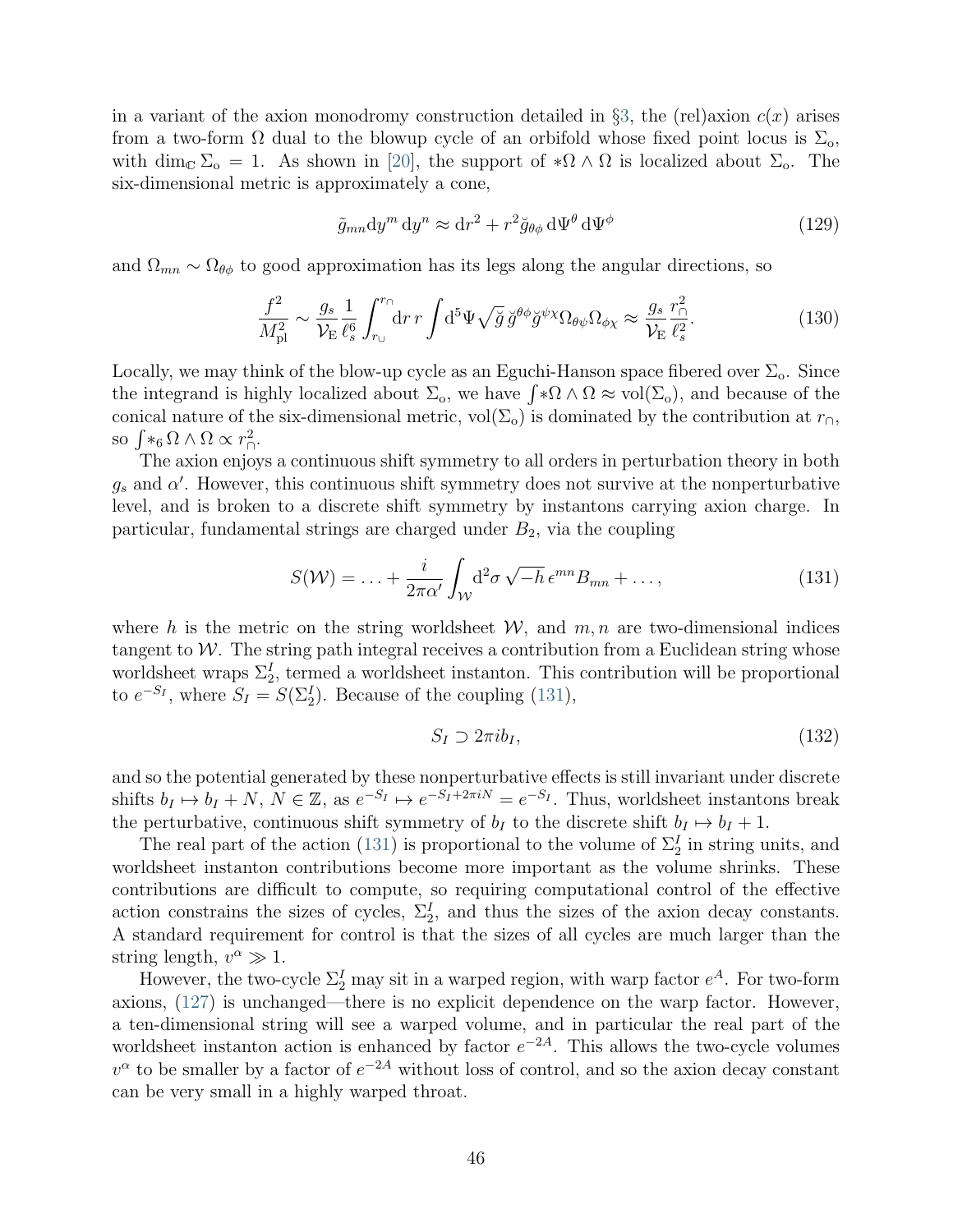in a variant of the axion monodromy construction detailed in  $\S$ [3,](#page-16-0) the (rel)axion  $c(x)$  arises from a two-form  $\Omega$  dual to the blowup cycle of an orbifold whose fixed point locus is  $\Sigma_0$ , with dim<sub>C</sub>  $\Sigma_{\rm o} = 1$ . As shown in [\[20\]](#page-57-2), the support of  $*\Omega \wedge \Omega$  is localized about  $\Sigma_{\rm o}$ . The six-dimensional metric is approximately a cone,

$$
\tilde{g}_{mn} \mathrm{d}y^m \mathrm{d}y^n \approx \mathrm{d}r^2 + r^2 \tilde{g}_{\theta\phi} \mathrm{d}\Psi^{\theta} \mathrm{d}\Psi^{\phi}
$$
\n(129)

and  $\Omega_{mn} \sim \Omega_{\theta\phi}$  to good approximation has its legs along the angular directions, so

$$
\frac{f^2}{M_{\rm pl}^2} \sim \frac{g_s}{\mathcal{V}_{\rm E}} \frac{1}{\ell_s^6} \int_{r_{\rm U}}^{r_{\rm \cap}} \mathrm{d}r \, r \int \mathrm{d}^5 \Psi \sqrt{\tilde{g}} \, \tilde{g}^{\theta \phi} \breve{g}^{\psi \chi} \Omega_{\theta \psi} \Omega_{\phi \chi} \approx \frac{g_s}{\mathcal{V}_{\rm E}} \frac{r_{\rm \cap}^2}{\ell_s^2}.
$$
\n(130)

Locally, we may think of the blow-up cycle as an Eguchi-Hanson space fibered over  $\Sigma_{\rm o}$ . Since the integrand is highly localized about  $\Sigma_o$ , we have  $\int * \Omega \wedge \Omega \approx \text{vol}(\Sigma_o)$ , and because of the conical nature of the six-dimensional metric, vol( $\Sigma_o$ ) is dominated by the contribution at  $r_{\Omega}$ , so  $\int *_{6} \Omega \wedge \Omega \propto r_{\cap}^{2}$ .

The axion enjoys a continuous shift symmetry to all orders in perturbation theory in both  $g_s$  and  $\alpha'$ . However, this continuous shift symmetry does not survive at the nonperturbative level, and is broken to a discrete shift symmetry by instantons carrying axion charge. In particular, fundamental strings are charged under  $B_2$ , via the coupling

<span id="page-46-0"></span>
$$
S(\mathcal{W}) = \ldots + \frac{i}{2\pi\alpha'} \int_{\mathcal{W}} d^2\sigma \sqrt{-h} \,\epsilon^{mn} B_{mn} + \ldots,\tag{131}
$$

where h is the metric on the string worldsheet  $W$ , and  $m, n$  are two-dimensional indices tangent to  $W$ . The string path integral receives a contribution from a Euclidean string whose worldsheet wraps  $\Sigma_2^I$ , termed a worldsheet instanton. This contribution will be proportional to  $e^{-S_I}$ , where  $S_I = S(\Sigma_2^I)$ . Because of the coupling [\(131\)](#page-46-0),

$$
S_I \supset 2\pi i b_I,\tag{132}
$$

and so the potential generated by these nonperturbative effects is still invariant under discrete shifts  $b_I \mapsto b_I + N$ ,  $N \in \mathbb{Z}$ , as  $e^{-S_I} \mapsto e^{-S_I + 2\pi i N} = e^{-S_I}$ . Thus, worldsheet instantons break the perturbative, continuous shift symmetry of  $b_I$  to the discrete shift  $b_I \mapsto b_I + 1$ .

The real part of the action [\(131\)](#page-46-0) is proportional to the volume of  $\Sigma_2^I$  in string units, and worldsheet instanton contributions become more important as the volume shrinks. These contributions are difficult to compute, so requiring computational control of the effective action constrains the sizes of cycles,  $\Sigma_2^I$ , and thus the sizes of the axion decay constants. A standard requirement for control is that the sizes of all cycles are much larger than the string length,  $v^{\alpha} \gg 1$ .

However, the two-cycle  $\Sigma_2^I$  may sit in a warped region, with warp factor  $e^A$ . For two-form axions, [\(127\)](#page-45-1) is unchanged—there is no explicit dependence on the warp factor. However, a ten-dimensional string will see a warped volume, and in particular the real part of the worldsheet instanton action is enhanced by factor  $e^{-2A}$ . This allows the two-cycle volumes  $v^{\alpha}$  to be smaller by a factor of  $e^{-2A}$  without loss of control, and so the axion decay constant can be very small in a highly warped throat.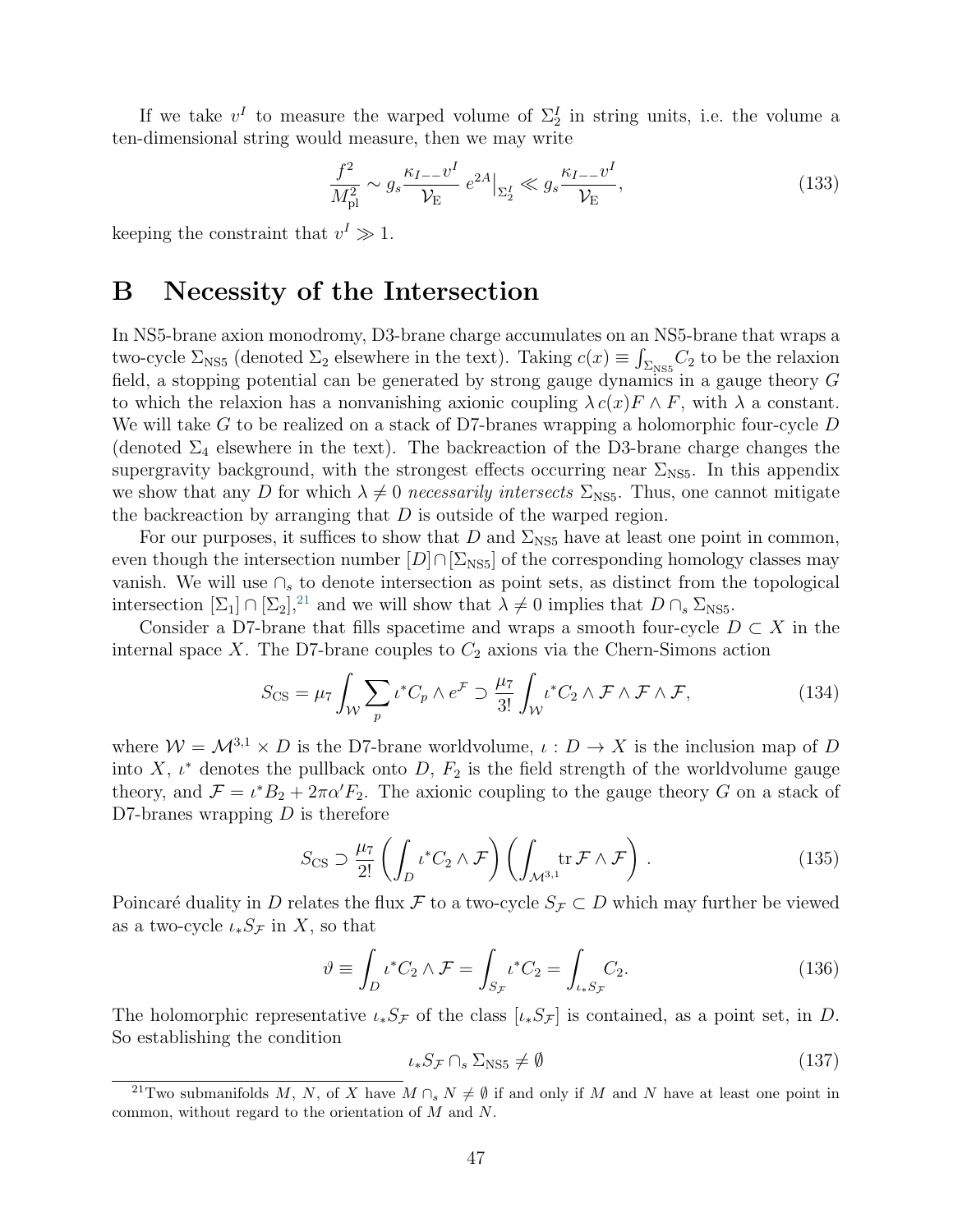If we take  $v^I$  to measure the warped volume of  $\Sigma_2^I$  in string units, i.e. the volume a ten-dimensional string would measure, then we may write

$$
\frac{f^2}{M_{\rm pl}^2} \sim g_s \frac{\kappa_{I-}-v^I}{\mathcal{V}_{\rm E}} e^{2A} |_{\Sigma_2^I} \ll g_s \frac{\kappa_{I-}-v^I}{\mathcal{V}_{\rm E}},\tag{133}
$$

keeping the constraint that  $v^I \gg 1$ .

# <span id="page-47-0"></span>B Necessity of the Intersection

In NS5-brane axion monodromy, D3-brane charge accumulates on an NS5-brane that wraps a two-cycle  $\Sigma_{\text{NS5}}$  (denoted  $\Sigma_2$  elsewhere in the text). Taking  $c(x) \equiv \int_{\Sigma_{\text{NS5}}} C_2$  to be the relaxion field, a stopping potential can be generated by strong gauge dynamics in a gauge theory  $G$ to which the relaxion has a nonvanishing axionic coupling  $\lambda c(x) F \wedge F$ , with  $\lambda$  a constant. We will take G to be realized on a stack of D7-branes wrapping a holomorphic four-cycle D (denoted  $\Sigma_4$  elsewhere in the text). The backreaction of the D3-brane charge changes the supergravity background, with the strongest effects occurring near  $\Sigma_{\text{NS5}}$ . In this appendix we show that any D for which  $\lambda \neq 0$  necessarily intersects  $\Sigma_{\text{NS5}}$ . Thus, one cannot mitigate the backreaction by arranging that  $D$  is outside of the warped region.

For our purposes, it suffices to show that D and  $\Sigma_{\text{NS5}}$  have at least one point in common, even though the intersection number  $[D] \cap \Sigma_{\text{NS5}}$  of the corresponding homology classes may vanish. We will use  $\cap_s$  to denote intersection as point sets, as distinct from the topological intersection  $[\Sigma_1] \cap [\Sigma_2]$ ,<sup>[21](#page-47-1)</sup> and we will show that  $\lambda \neq 0$  implies that  $D \cap_s \Sigma_{\text{NS5}}$ .

Consider a D7-brane that fills spacetime and wraps a smooth four-cycle  $D \subset X$  in the internal space X. The D7-brane couples to  $C_2$  axions via the Chern-Simons action

$$
S_{\text{CS}} = \mu_7 \int_{\mathcal{W}} \sum_p \iota^* C_p \wedge e^{\mathcal{F}} \supset \frac{\mu_7}{3!} \int_{\mathcal{W}} \iota^* C_2 \wedge \mathcal{F} \wedge \mathcal{F} \wedge \mathcal{F}, \tag{134}
$$

where  $W = \mathcal{M}^{3,1} \times D$  is the D7-brane worldvolume,  $\iota: D \to X$  is the inclusion map of D into X,  $\iota^*$  denotes the pullback onto D,  $F_2$  is the field strength of the worldvolume gauge theory, and  $\mathcal{F} = \iota^* B_2 + 2\pi \alpha' F_2$ . The axionic coupling to the gauge theory G on a stack of D7-branes wrapping  $D$  is therefore

$$
S_{\rm CS} \supset \frac{\mu_7}{2!} \left( \int_D \iota^* C_2 \wedge \mathcal{F} \right) \left( \int_{\mathcal{M}^{3,1}} \text{tr} \, \mathcal{F} \wedge \mathcal{F} \right) . \tag{135}
$$

Poincaré duality in D relates the flux F to a two-cycle  $S_{\mathcal{F}} \subset D$  which may further be viewed as a two-cycle  $\iota_* S_{\mathcal{F}}$  in X, so that

<span id="page-47-2"></span>
$$
\vartheta \equiv \int_D \iota^* C_2 \wedge \mathcal{F} = \int_{S_{\mathcal{F}}} \iota^* C_2 = \int_{\iota_* S_{\mathcal{F}}} C_2. \tag{136}
$$

The holomorphic representative  $\iota_* S_{\mathcal{F}}$  of the class  $[\iota_* S_{\mathcal{F}}]$  is contained, as a point set, in D. So establishing the condition

<span id="page-47-3"></span>
$$
\iota_* S_{\mathcal{F}} \cap_s \Sigma_{\text{NS5}} \neq \emptyset \tag{137}
$$

<span id="page-47-1"></span><sup>&</sup>lt;sup>21</sup>Two submanifolds M, N, of X have  $M \cap_s N \neq \emptyset$  if and only if M and N have at least one point in common, without regard to the orientation of M and N.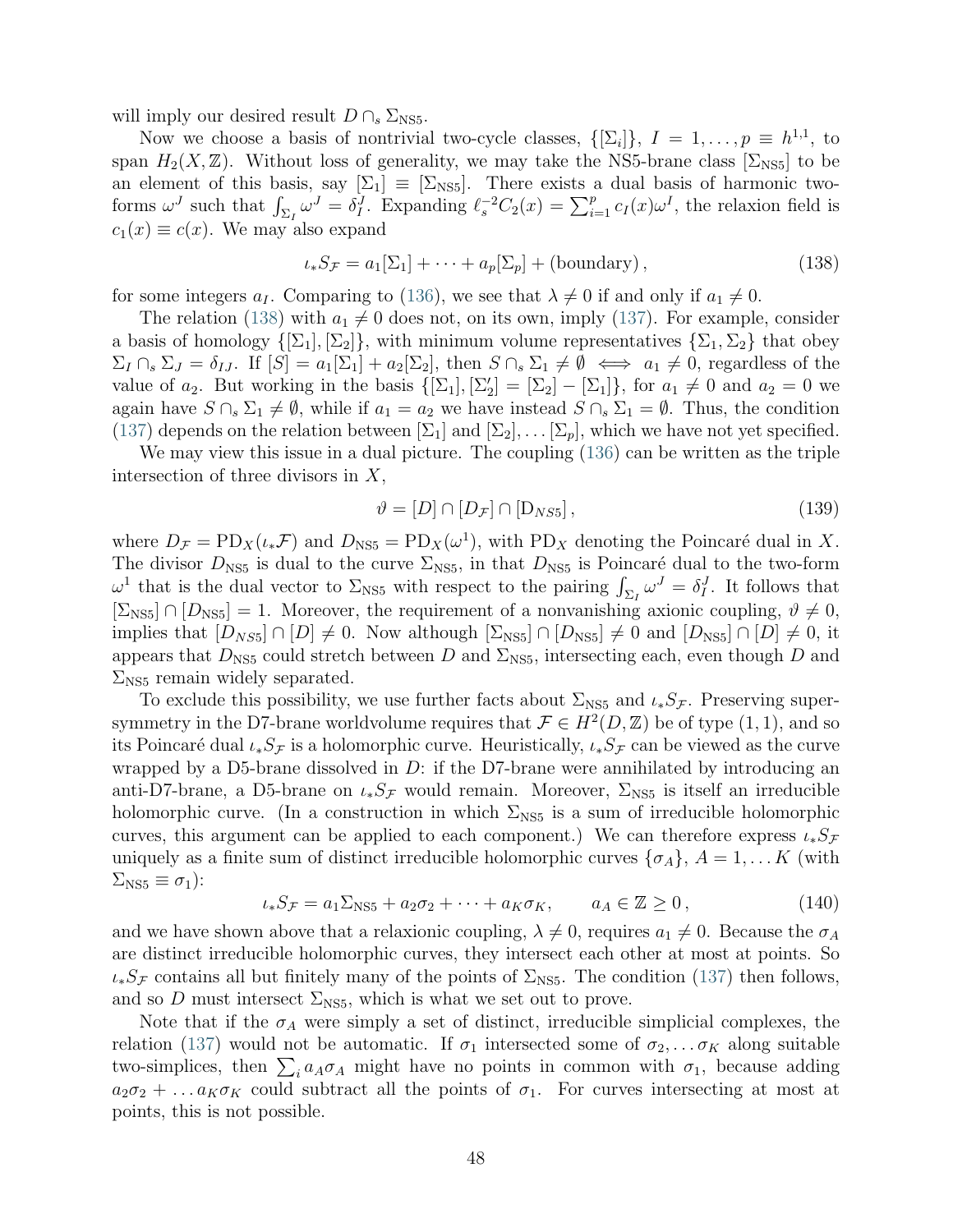will imply our desired result  $D \cap_s \Sigma_{\text{NS5}}$ .

Now we choose a basis of nontrivial two-cycle classes,  $\{[\Sigma_i]\}, I = 1, \ldots, p \equiv h^{1,1}$ , to span  $H_2(X,\mathbb{Z})$ . Without loss of generality, we may take the NS5-brane class  $[\Sigma_{\text{NS5}}]$  to be an element of this basis, say  $[\Sigma_1] \equiv [\Sigma_{\text{NS5}}]$ . There exists a dual basis of harmonic twoforms  $\omega^J$  such that  $\int_{\Sigma_I} \omega^J = \delta_I^J$ . Expanding  $\ell_s^{-2}C_2(x) = \sum_{i=1}^p c_I(x)\omega^I$ , the relaxion field is  $c_1(x) \equiv c(x)$ . We may also expand

<span id="page-48-0"></span>
$$
\iota_* S_{\mathcal{F}} = a_1[\Sigma_1] + \dots + a_p[\Sigma_p] + \text{(boundary)},\tag{138}
$$

for some integers  $a_I$ . Comparing to [\(136\)](#page-47-2), we see that  $\lambda \neq 0$  if and only if  $a_1 \neq 0$ .

The relation [\(138\)](#page-48-0) with  $a_1 \neq 0$  does not, on its own, imply [\(137\)](#page-47-3). For example, consider a basis of homology  $\{[\Sigma_1], [\Sigma_2]\}$ , with minimum volume representatives  $\{\Sigma_1, \Sigma_2\}$  that obey  $\Sigma_I \cap_s \Sigma_J = \delta_{IJ}$ . If  $[S] = a_1[\Sigma_1] + a_2[\Sigma_2]$ , then  $S \cap_s \Sigma_1 \neq \emptyset \iff a_1 \neq 0$ , regardless of the value of  $a_2$ . But working in the basis  $\{[\Sigma_1], [\Sigma_2'] = [\Sigma_2] - [\Sigma_1]\}\$ , for  $a_1 \neq 0$  and  $a_2 = 0$  we again have  $S \cap_s \Sigma_1 \neq \emptyset$ , while if  $a_1 = a_2$  we have instead  $S \cap_s \Sigma_1 = \emptyset$ . Thus, the condition [\(137\)](#page-47-3) depends on the relation between  $[\Sigma_1]$  and  $[\Sigma_2], \dots [\Sigma_p]$ , which we have not yet specified.

We may view this issue in a dual picture. The coupling [\(136\)](#page-47-2) can be written as the triple intersection of three divisors in  $X$ ,

$$
\vartheta = [D] \cap [D_{\mathcal{F}}] \cap [D_{NS5}], \qquad (139)
$$

where  $D_{\mathcal{F}} = \text{PD}_X(\iota_* \mathcal{F})$  and  $D_{\text{NS5}} = \text{PD}_X(\omega^1)$ , with  $\text{PD}_X$  denoting the Poincaré dual in X. The divisor  $D_{\text{NS5}}$  is dual to the curve  $\Sigma_{\text{NS5}}$ , in that  $D_{\text{NS5}}$  is Poincaré dual to the two-form  $\omega^1$  that is the dual vector to  $\Sigma_{\text{NS5}}$  with respect to the pairing  $\int_{\Sigma_I} \omega^J = \delta_I^J$ . It follows that  $[\Sigma_{\text{NS5}}] \cap [D_{\text{NS5}}] = 1$ . Moreover, the requirement of a nonvanishing axionic coupling,  $\vartheta \neq 0$ , implies that  $[D_{NS5}] \cap [D] \neq 0$ . Now although  $[\Sigma_{NS5}] \cap [D_{NS5}] \neq 0$  and  $[D_{NS5}] \cap [D] \neq 0$ , it appears that  $D_{\text{NS5}}$  could stretch between D and  $\Sigma_{\text{NS5}}$ , intersecting each, even though D and  $\Sigma_{\text{NS5}}$  remain widely separated.

To exclude this possibility, we use further facts about  $\Sigma_{\text{NS5}}$  and  $\iota_* S_{\mathcal{F}}$ . Preserving supersymmetry in the D7-brane worldvolume requires that  $\mathcal{F} \in H^2(D, \mathbb{Z})$  be of type  $(1, 1)$ , and so its Poincaré dual  $\iota_* S_{\mathcal{F}}$  is a holomorphic curve. Heuristically,  $\iota_* S_{\mathcal{F}}$  can be viewed as the curve wrapped by a D5-brane dissolved in  $D$ : if the D7-brane were annihilated by introducing an anti-D7-brane, a D5-brane on  $\iota_* S_{\mathcal{F}}$  would remain. Moreover,  $\Sigma_{\text{NS}5}$  is itself an irreducible holomorphic curve. (In a construction in which  $\Sigma_{\text{NS5}}$  is a sum of irreducible holomorphic curves, this argument can be applied to each component.) We can therefore express  $\iota_* S_{\mathcal{F}}$ uniquely as a finite sum of distinct irreducible holomorphic curves  $\{\sigma_A\}, A = 1, \ldots K$  (with  $\Sigma_{\text{NS5}} \equiv \sigma_1$ :

$$
\iota_* S_{\mathcal{F}} = a_1 \Sigma_{\text{NS5}} + a_2 \sigma_2 + \dots + a_K \sigma_K, \qquad a_A \in \mathbb{Z} \ge 0, \tag{140}
$$

and we have shown above that a relaxionic coupling,  $\lambda \neq 0$ , requires  $a_1 \neq 0$ . Because the  $\sigma_A$ are distinct irreducible holomorphic curves, they intersect each other at most at points. So  $\iota_* S_{\mathcal{F}}$  contains all but finitely many of the points of  $\Sigma_{\text{NS5}}$ . The condition [\(137\)](#page-47-3) then follows, and so D must intersect  $\Sigma_{\text{NS5}}$ , which is what we set out to prove.

Note that if the  $\sigma_A$  were simply a set of distinct, irreducible simplicial complexes, the relation [\(137\)](#page-47-3) would not be automatic. If  $\sigma_1$  intersected some of  $\sigma_2, \ldots, \sigma_K$  along suitable two-simplices, then  $\sum_i a_A \sigma_A$  might have no points in common with  $\sigma_1$ , because adding  $a_2\sigma_2 + \ldots a_K\sigma_K$  could subtract all the points of  $\sigma_1$ . For curves intersecting at most at points, this is not possible.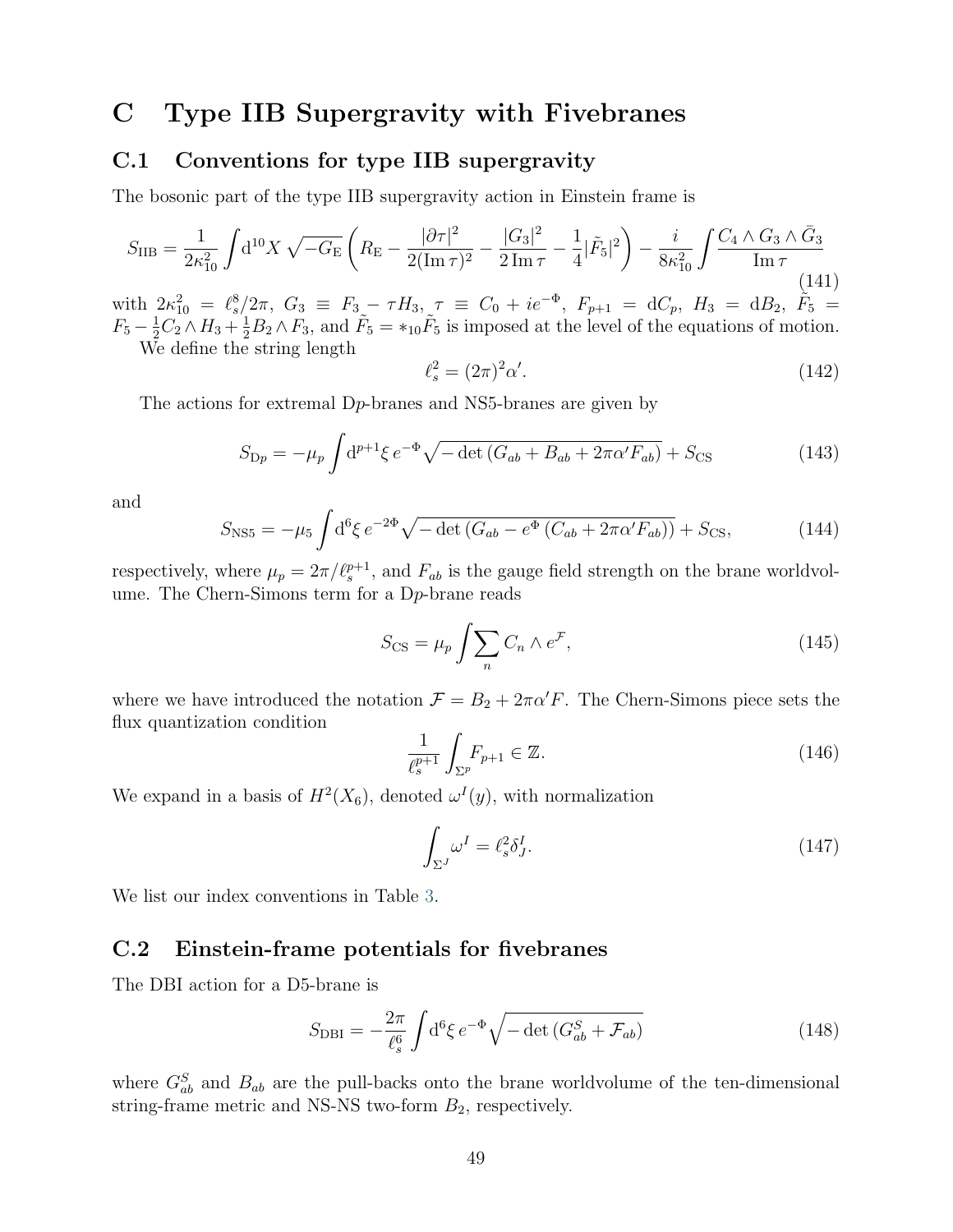# <span id="page-49-0"></span>C Type IIB Supergravity with Fivebranes

### C.1 Conventions for type IIB supergravity

The bosonic part of the type IIB supergravity action in Einstein frame is

$$
S_{\rm IIB} = \frac{1}{2\kappa_{10}^2} \int d^{10}X \sqrt{-G_{\rm E}} \left( R_{\rm E} - \frac{|\partial \tau|^2}{2(\text{Im}\,\tau)^2} - \frac{|G_3|^2}{2\,\text{Im}\,\tau} - \frac{1}{4} |\tilde{F}_5|^2 \right) - \frac{i}{8\kappa_{10}^2} \int \frac{C_4 \wedge G_3 \wedge \bar{G}_3}{\text{Im}\,\tau} \tag{141}
$$

with  $2\kappa_{10}^2 = \ell_s^8/2\pi$ ,  $G_3 \equiv F_3 - \tau H_3$ ,  $\tau \equiv C_0 + i e^{-\Phi}$ ,  $F_{p+1} = dC_p$ ,  $H_3 = dB_2$ ,  $\tilde{F}_5 =$  $F_5 - \frac{1}{2}C_2 \wedge H_3 + \frac{1}{2}B_2 \wedge F_3$ , and  $\tilde{F}_5 = *_{10}\tilde{F}_5$  is imposed at the level of the equations of motion. We define the string length

$$
\ell_s^2 = (2\pi)^2 \alpha'.\tag{142}
$$

The actions for extremal Dp-branes and NS5-branes are given by

$$
S_{\text{D}p} = -\mu_p \int d^{p+1} \xi \, e^{-\Phi} \sqrt{-\det(G_{ab} + B_{ab} + 2\pi\alpha' F_{ab})} + S_{\text{CS}}
$$
 (143)

and

$$
S_{\rm NS5} = -\mu_5 \int d^6 \xi \, e^{-2\Phi} \sqrt{-\det(G_{ab} - e^{\Phi} (C_{ab} + 2\pi \alpha' F_{ab}))} + S_{\rm CS},\tag{144}
$$

respectively, where  $\mu_p = 2\pi/\ell_s^{p+1}$ , and  $F_{ab}$  is the gauge field strength on the brane worldvolume. The Chern-Simons term for a Dp-brane reads

$$
S_{\text{CS}} = \mu_p \int \sum_n C_n \wedge e^{\mathcal{F}}, \qquad (145)
$$

where we have introduced the notation  $\mathcal{F} = B_2 + 2\pi \alpha' F$ . The Chern-Simons piece sets the flux quantization condition

$$
\frac{1}{\ell_s^{p+1}} \int_{\Sigma^p} F_{p+1} \in \mathbb{Z}.\tag{146}
$$

We expand in a basis of  $H^2(X_6)$ , denoted  $\omega^I(y)$ , with normalization

$$
\int_{\Sigma^J} \omega^I = \ell_s^2 \delta^I_J. \tag{147}
$$

We list our index conventions in Table [3.](#page-50-0)

### <span id="page-49-1"></span>C.2 Einstein-frame potentials for fivebranes

The DBI action for a D5-brane is

$$
S_{\rm DBI} = -\frac{2\pi}{\ell_s^6} \int d^6 \xi \, e^{-\Phi} \sqrt{-\det\left(G_{ab}^S + \mathcal{F}_{ab}\right)} \tag{148}
$$

where  $G_{ab}^S$  and  $B_{ab}$  are the pull-backs onto the brane worldvolume of the ten-dimensional string-frame metric and NS-NS two-form  $B_2$ , respectively.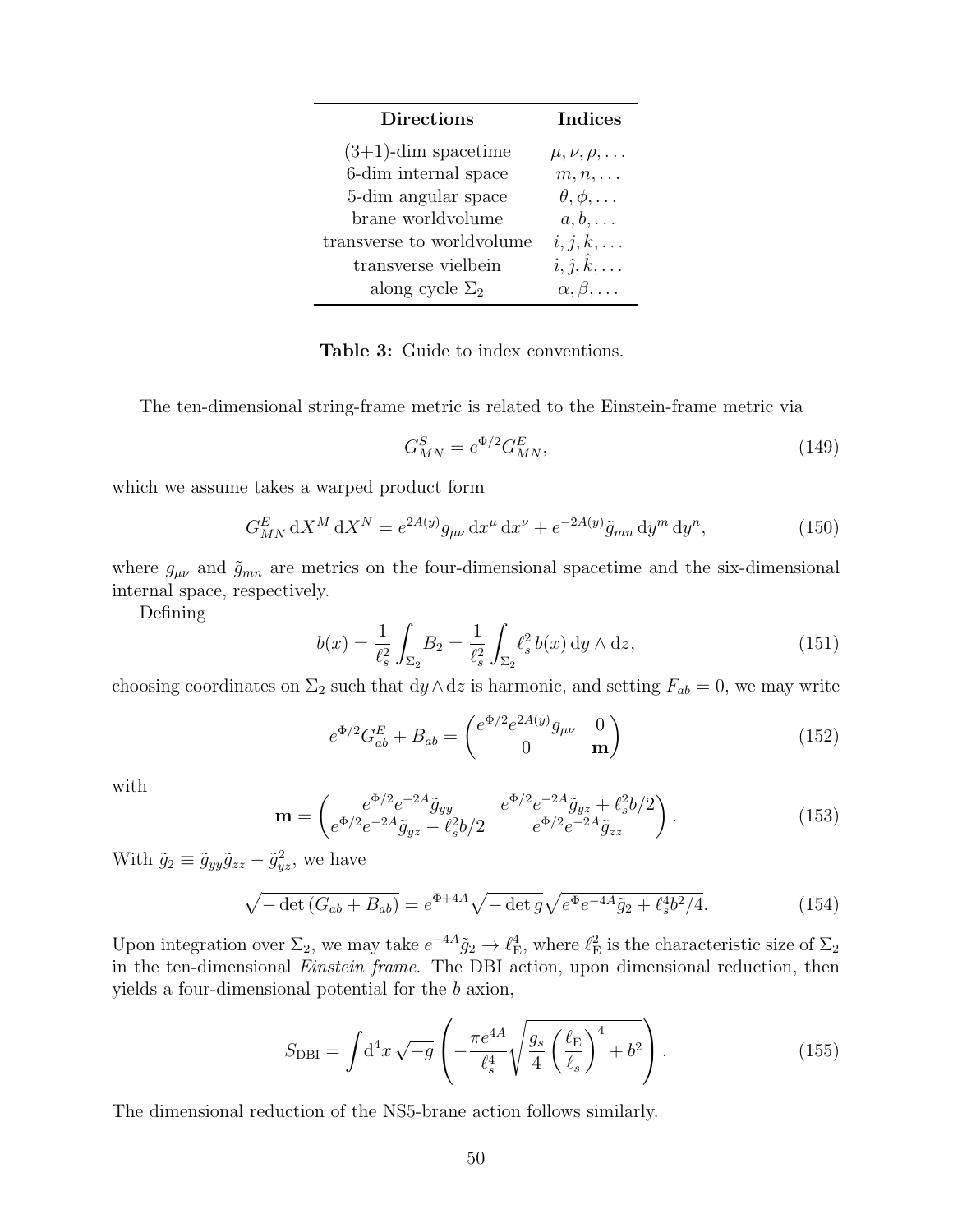<span id="page-50-0"></span>

| <b>Directions</b>         | <b>Indices</b>                     |
|---------------------------|------------------------------------|
| $(3+1)$ -dim spacetime    | $\mu, \nu, \rho, \ldots$           |
| 6-dim internal space      | $m, n, \ldots$                     |
| 5-dim angular space       | $\theta, \phi, \ldots$             |
| brane worldvolume         | $a, b, \ldots$                     |
| transverse to worldvolume | $i, j, k, \ldots$                  |
| transverse vielbein       | $\hat{i}, \hat{j}, \hat{k}, \dots$ |
| along cycle $\Sigma_2$    | $\alpha, \beta, \ldots$            |

Table 3: Guide to index conventions.

The ten-dimensional string-frame metric is related to the Einstein-frame metric via

$$
G_{MN}^S = e^{\Phi/2} G_{MN}^E,\tag{149}
$$

which we assume takes a warped product form

$$
G_{MN}^{E} dX^{M} dX^{N} = e^{2A(y)} g_{\mu\nu} dx^{\mu} dx^{\nu} + e^{-2A(y)} \tilde{g}_{mn} dy^{m} dy^{n}, \qquad (150)
$$

where  $g_{\mu\nu}$  and  $\tilde{g}_{mn}$  are metrics on the four-dimensional spacetime and the six-dimensional internal space, respectively.

Defining

$$
b(x) = \frac{1}{\ell_s^2} \int_{\Sigma_2} B_2 = \frac{1}{\ell_s^2} \int_{\Sigma_2} \ell_s^2 b(x) \, dy \wedge dz,
$$
 (151)

choosing coordinates on  $\Sigma_2$  such that  $dy \wedge dz$  is harmonic, and setting  $F_{ab} = 0$ , we may write

$$
e^{\Phi/2} G_{ab}^E + B_{ab} = \begin{pmatrix} e^{\Phi/2} e^{2A(y)} g_{\mu\nu} & 0\\ 0 & \mathbf{m} \end{pmatrix}
$$
 (152)

with

$$
\mathbf{m} = \begin{pmatrix} e^{\Phi/2} e^{-2A} \tilde{g}_{yy} & e^{\Phi/2} e^{-2A} \tilde{g}_{yz} + \ell_s^2 b/2 \\ e^{\Phi/2} e^{-2A} \tilde{g}_{yz} - \ell_s^2 b/2 & e^{\Phi/2} e^{-2A} \tilde{g}_{zz} \end{pmatrix} . \tag{153}
$$

With  $\tilde{g}_2 \equiv \tilde{g}_{yy}\tilde{g}_{zz} - \tilde{g}_{yz}^2$ , we have

$$
\sqrt{-\det(G_{ab} + B_{ab})} = e^{\Phi + 4A} \sqrt{-\det g} \sqrt{e^{\Phi} e^{-4A} \tilde{g}_2 + \ell_s^4 b^2 / 4}.
$$
 (154)

Upon integration over  $\Sigma_2$ , we may take  $e^{-4A}\tilde{g}_2 \to \ell_{\rm E}^4$ , where  $\ell_{\rm E}^2$  is the characteristic size of  $\Sigma_2$ in the ten-dimensional Einstein frame. The DBI action, upon dimensional reduction, then yields a four-dimensional potential for the b axion,

$$
S_{\rm DBI} = \int d^4x \sqrt{-g} \left( -\frac{\pi e^{4A}}{\ell_s^4} \sqrt{\frac{g_s}{4} \left(\frac{\ell_{\rm E}}{\ell_s}\right)^4 + b^2} \right). \tag{155}
$$

The dimensional reduction of the NS5-brane action follows similarly.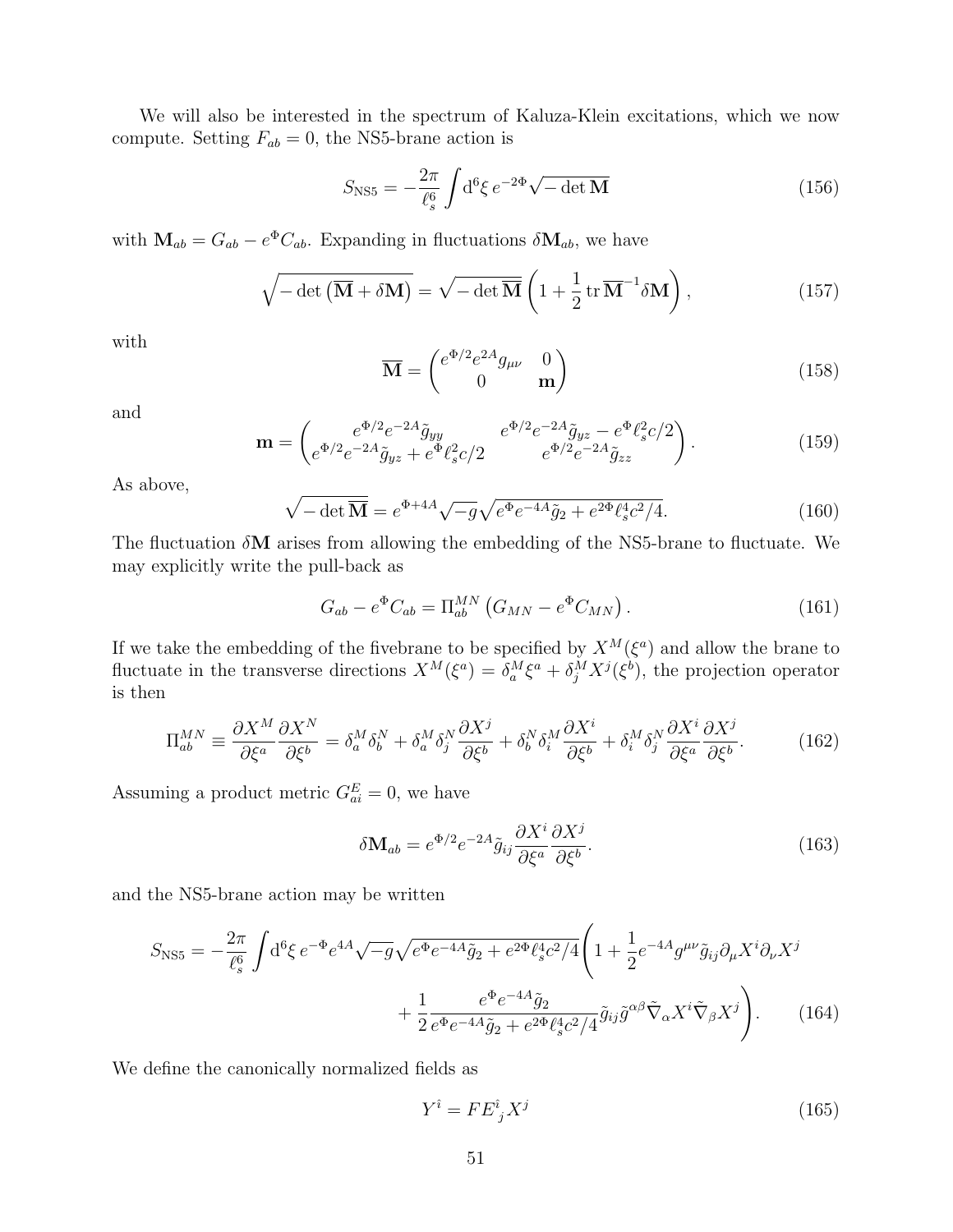We will also be interested in the spectrum of Kaluza-Klein excitations, which we now compute. Setting  $F_{ab} = 0$ , the NS5-brane action is

$$
S_{\rm NS5} = -\frac{2\pi}{\ell_s^6} \int d^6 \xi \, e^{-2\Phi} \sqrt{-\det \mathbf{M}} \tag{156}
$$

with  $\mathbf{M}_{ab} = G_{ab} - e^{\Phi} C_{ab}$ . Expanding in fluctuations  $\delta \mathbf{M}_{ab}$ , we have

$$
\sqrt{-\det\left(\overline{\mathbf{M}} + \delta \mathbf{M}\right)} = \sqrt{-\det\overline{\mathbf{M}}}\left(1 + \frac{1}{2}\operatorname{tr}\overline{\mathbf{M}}^{-1}\delta \mathbf{M}\right),\tag{157}
$$

with

$$
\overline{\mathbf{M}} = \begin{pmatrix} e^{\Phi/2} e^{2A} g_{\mu\nu} & 0\\ 0 & \mathbf{m} \end{pmatrix} \tag{158}
$$

and

$$
\mathbf{m} = \begin{pmatrix} e^{\Phi/2} e^{-2A} \tilde{g}_{yy} & e^{\Phi/2} e^{-2A} \tilde{g}_{yz} - e^{\Phi} \ell_s^2 c/2 \\ e^{\Phi/2} e^{-2A} \tilde{g}_{yz} + e^{\Phi} \ell_s^2 c/2 & e^{\Phi/2} e^{-2A} \tilde{g}_{zz} \end{pmatrix} . \tag{159}
$$

As above,

$$
\sqrt{-\det \overline{M}} = e^{\Phi + 4A} \sqrt{-g} \sqrt{e^{\Phi} e^{-4A} \tilde{g}_2 + e^{2\Phi} \ell_s^4 c^2 / 4}.
$$
 (160)

The fluctuation  $\delta M$  arises from allowing the embedding of the NS5-brane to fluctuate. We may explicitly write the pull-back as

$$
G_{ab} - e^{\Phi} C_{ab} = \Pi_{ab}^{MN} \left( G_{MN} - e^{\Phi} C_{MN} \right). \tag{161}
$$

If we take the embedding of the fivebrane to be specified by  $X^M(\xi^a)$  and allow the brane to fluctuate in the transverse directions  $X^M(\xi^a) = \delta_a^M \xi^a + \delta_j^M X^j(\xi^b)$ , the projection operator is then

$$
\Pi_{ab}^{MN} \equiv \frac{\partial X^M}{\partial \xi^a} \frac{\partial X^N}{\partial \xi^b} = \delta_a^M \delta_b^N + \delta_a^M \delta_j^N \frac{\partial X^j}{\partial \xi^b} + \delta_b^N \delta_i^M \frac{\partial X^i}{\partial \xi^b} + \delta_i^M \delta_j^N \frac{\partial X^i}{\partial \xi^a} \frac{\partial X^j}{\partial \xi^b}.
$$
 (162)

Assuming a product metric  $G_{ai}^E = 0$ , we have

$$
\delta \mathbf{M}_{ab} = e^{\Phi/2} e^{-2A} \tilde{g}_{ij} \frac{\partial X^i}{\partial \xi^a} \frac{\partial X^j}{\partial \xi^b}.
$$
\n(163)

and the NS5-brane action may be written

$$
S_{\rm NS5} = -\frac{2\pi}{\ell_s^6} \int d^6\xi \, e^{-\Phi} e^{4A} \sqrt{-g} \sqrt{e^{\Phi} e^{-4A} \tilde{g}_2 + e^{2\Phi} \ell_s^4 c^2/4} \left( 1 + \frac{1}{2} e^{-4A} g^{\mu\nu} \tilde{g}_{ij} \partial_{\mu} X^i \partial_{\nu} X^j \right. \\
\left. + \frac{1}{2} \frac{e^{\Phi} e^{-4A} \tilde{g}_2}{e^{\Phi} e^{-4A} \tilde{g}_2 + e^{2\Phi} \ell_s^4 c^2/4} \tilde{g}_{ij} \tilde{g}^{\alpha\beta} \tilde{\nabla}_{\alpha} X^i \tilde{\nabla}_{\beta} X^j \right). \tag{164}
$$

We define the canonically normalized fields as

$$
Y^{\hat{i}} = FE^{\hat{i}}_{\ j}X^j\tag{165}
$$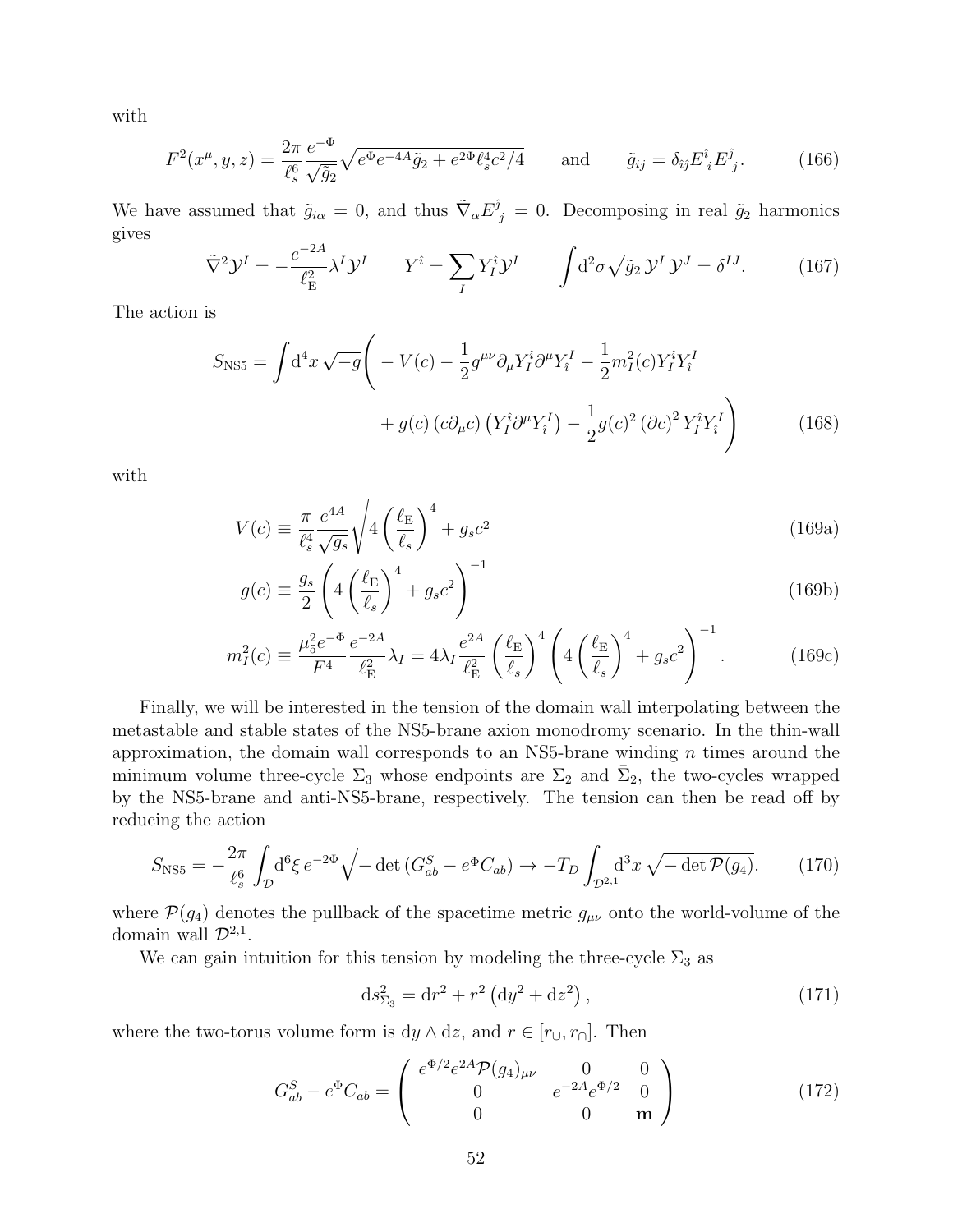with

$$
F^{2}(x^{\mu}, y, z) = \frac{2\pi}{\ell_{s}^{6}} \frac{e^{-\Phi}}{\sqrt{\tilde{g}_{2}}} \sqrt{e^{\Phi}e^{-4A}\tilde{g}_{2} + e^{2\Phi}\ell_{s}^{4}c^{2}/4} \quad \text{and} \quad \tilde{g}_{ij} = \delta_{\hat{i}\hat{j}}E^{\hat{i}}_{\;i}E^{\hat{j}}_{\;j}.\tag{166}
$$

We have assumed that  $\tilde{g}_{i\alpha} = 0$ , and thus  $\tilde{\nabla}_{\alpha} E^{\hat{j}}_{j} = 0$ . Decomposing in real  $\tilde{g}_2$  harmonics gives

$$
\tilde{\nabla}^2 \mathcal{Y}^I = -\frac{e^{-2A}}{\ell_{\rm E}^2} \lambda^I \mathcal{Y}^I \qquad Y^{\hat{\imath}} = \sum_I Y_I^{\hat{\imath}} \mathcal{Y}^I \qquad \int d^2 \sigma \sqrt{\tilde{g}_2} \mathcal{Y}^I \mathcal{Y}^J = \delta^{IJ}.
$$
 (167)

The action is

$$
S_{\text{NS5}} = \int \mathrm{d}^4 x \sqrt{-g} \Bigg( -V(c) - \frac{1}{2} g^{\mu\nu} \partial_{\mu} Y_I^{\hat{\imath}} \partial^{\mu} Y_i^I - \frac{1}{2} m_I^2(c) Y_I^{\hat{\imath}} Y_i^I + g(c) \left( c \partial_{\mu} c \right) \left( Y_I^{\hat{\imath}} \partial^{\mu} Y_i^I \right) - \frac{1}{2} g(c)^2 \left( \partial c \right)^2 Y_I^{\hat{\imath}} Y_i^I \Bigg) \tag{168}
$$

with

$$
V(c) \equiv \frac{\pi}{\ell_s^4} \frac{e^{4A}}{\sqrt{g_s}} \sqrt{4 \left(\frac{\ell_E}{\ell_s}\right)^4 + g_s c^2}
$$
 (169a)

$$
g(c) \equiv \frac{g_s}{2} \left( 4 \left( \frac{\ell_{\rm E}}{\ell_s} \right)^4 + g_s c^2 \right)^{-1} \tag{169b}
$$

$$
m_I^2(c) \equiv \frac{\mu_5^2 e^{-\Phi}}{F^4} \frac{e^{-2A}}{\ell_{\rm E}^2} \lambda_I = 4\lambda_I \frac{e^{2A}}{\ell_{\rm E}^2} \left(\frac{\ell_{\rm E}}{\ell_s}\right)^4 \left(4\left(\frac{\ell_{\rm E}}{\ell_s}\right)^4 + g_s c^2\right)^{-1}.\tag{169c}
$$

Finally, we will be interested in the tension of the domain wall interpolating between the metastable and stable states of the NS5-brane axion monodromy scenario. In the thin-wall approximation, the domain wall corresponds to an NS5-brane winding  $n$  times around the minimum volume three-cycle  $\Sigma_3$  whose endpoints are  $\Sigma_2$  and  $\overline{\Sigma}_2$ , the two-cycles wrapped by the NS5-brane and anti-NS5-brane, respectively. The tension can then be read off by reducing the action

$$
S_{\rm NS5} = -\frac{2\pi}{\ell_s^6} \int_{\mathcal{D}} d^6 \xi \, e^{-2\Phi} \sqrt{-\det(G_{ab}^S - e^{\Phi} C_{ab})} \to -T_D \int_{\mathcal{D}^{2,1}} d^3 x \sqrt{-\det(\mathcal{P}(g_4))}. \tag{170}
$$

where  $\mathcal{P}(g_4)$  denotes the pullback of the spacetime metric  $g_{\mu\nu}$  onto the world-volume of the domain wall  $\mathcal{D}^{2,1}$ .

We can gain intuition for this tension by modeling the three-cycle  $\Sigma_3$  as

$$
ds_{\Sigma_3}^2 = dr^2 + r^2 (dy^2 + dz^2), \qquad (171)
$$

where the two-torus volume form is  $dy \wedge dz$ , and  $r \in [r_{\cup}, r_{\cap}]$ . Then

$$
G_{ab}^S - e^{\Phi} C_{ab} = \begin{pmatrix} e^{\Phi/2} e^{2A} \mathcal{P}(g_4)_{\mu\nu} & 0 & 0 \\ 0 & e^{-2A} e^{\Phi/2} & 0 \\ 0 & 0 & \mathbf{m} \end{pmatrix}
$$
(172)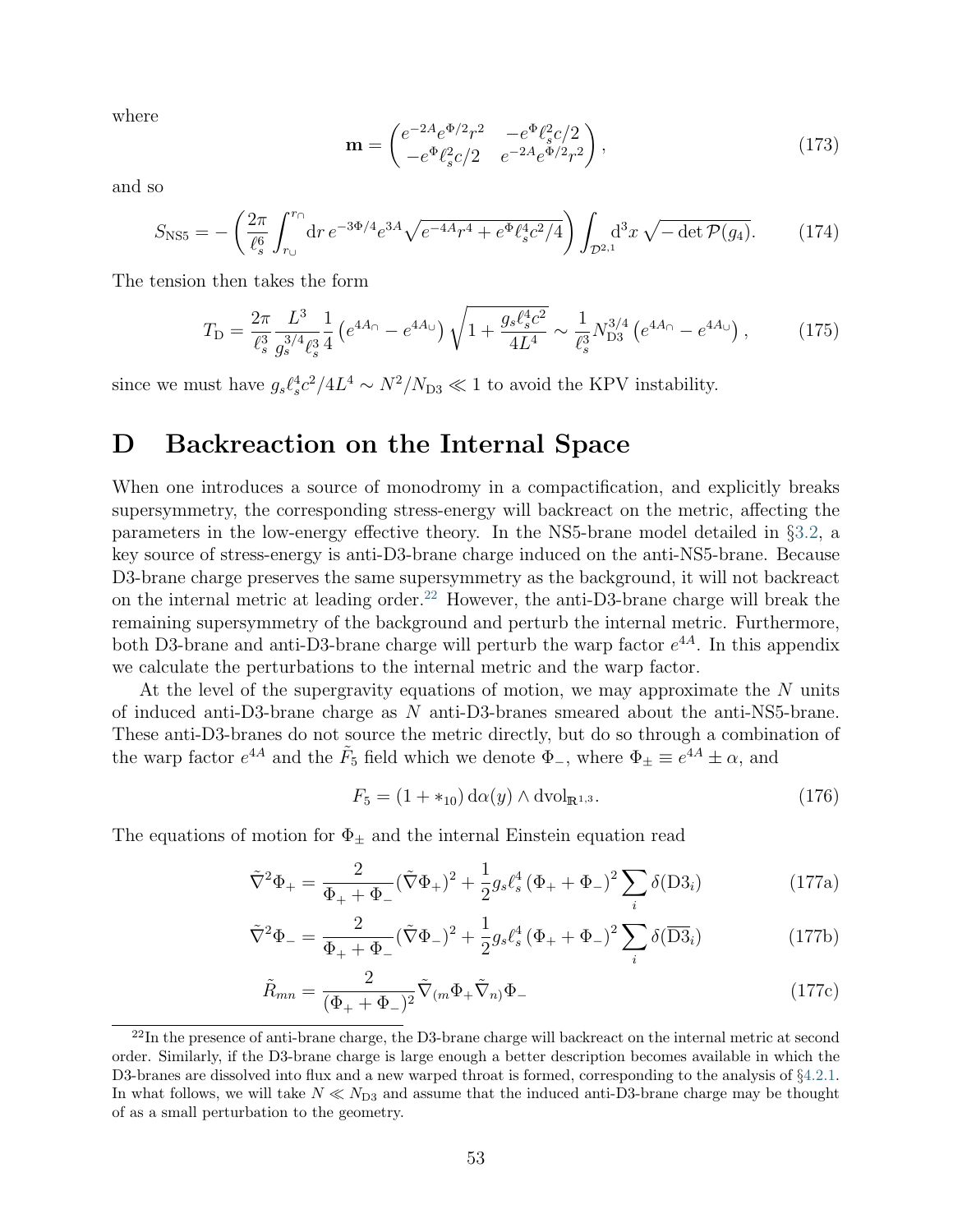where

$$
\mathbf{m} = \begin{pmatrix} e^{-2A} e^{\Phi/2} r^2 & -e^{\Phi} \ell_s^2 c/2 \\ -e^{\Phi} \ell_s^2 c/2 & e^{-2A} e^{\Phi/2} r^2 \end{pmatrix},
$$
(173)

and so

$$
S_{\rm NS5} = -\left(\frac{2\pi}{\ell_s^6} \int_{r_{\rm U}}^{r_{\rm C}} dr \, e^{-3\Phi/4} e^{3A} \sqrt{e^{-4A}r^4 + e^{\Phi}\ell_s^4 c^2/4}\right) \int_{\mathcal{D}^{2,1}} d^3x \sqrt{-\det \mathcal{P}(g_4)}.\tag{174}
$$

The tension then takes the form

$$
T_{\rm D} = \frac{2\pi}{\ell_s^3} \frac{L^3}{g_s^{3/4} \ell_s^3} \frac{1}{4} \left( e^{4A_{\cap}} - e^{4A_{\cup}} \right) \sqrt{1 + \frac{g_s \ell_s^4 c^2}{4L^4}} \sim \frac{1}{\ell_s^3} N_{\rm D3}^{3/4} \left( e^{4A_{\cap}} - e^{4A_{\cup}} \right),\tag{175}
$$

since we must have  $g_s \ell_s^4 c^2 / 4L^4 \sim N^2 / N_{\text{D3}} \ll 1$  to avoid the KPV instability.

# <span id="page-53-0"></span>D Backreaction on the Internal Space

When one introduces a source of monodromy in a compactification, and explicitly breaks supersymmetry, the corresponding stress-energy will backreact on the metric, affecting the parameters in the low-energy effective theory. In the NS5-brane model detailed in §[3.2,](#page-19-0) a key source of stress-energy is anti-D3-brane charge induced on the anti-NS5-brane. Because D3-brane charge preserves the same supersymmetry as the background, it will not backreact on the internal metric at leading order.<sup>[22](#page-53-1)</sup> However, the anti-D3-brane charge will break the remaining supersymmetry of the background and perturb the internal metric. Furthermore, both D3-brane and anti-D3-brane charge will perturb the warp factor  $e^{4A}$ . In this appendix we calculate the perturbations to the internal metric and the warp factor.

At the level of the supergravity equations of motion, we may approximate the  $N$  units of induced anti-D3-brane charge as N anti-D3-branes smeared about the anti-NS5-brane. These anti-D3-branes do not source the metric directly, but do so through a combination of the warp factor  $e^{4A}$  and the  $\tilde{F}_5$  field which we denote  $\Phi_{-}$ , where  $\Phi_{\pm} \equiv e^{4A} \pm \alpha$ , and

<span id="page-53-2"></span>
$$
F_5 = (1 + *_{10}) \, d\alpha(y) \wedge d\text{vol}_{\mathbb{R}^{1,3}}.
$$
 (176)

The equations of motion for  $\Phi_{\pm}$  and the internal Einstein equation read

$$
\tilde{\nabla}^2 \Phi_+ = \frac{2}{\Phi_+ + \Phi_-} (\tilde{\nabla} \Phi_+)^2 + \frac{1}{2} g_s \ell_s^4 (\Phi_+ + \Phi_-)^2 \sum_i \delta(D3_i) \tag{177a}
$$

$$
\tilde{\nabla}^2 \Phi_{-} = \frac{2}{\Phi_{+} + \Phi_{-}} (\tilde{\nabla} \Phi_{-})^2 + \frac{1}{2} g_s \ell_s^4 (\Phi_{+} + \Phi_{-})^2 \sum_{i} \delta(\overline{\text{D3}}_i)
$$
(177b)

$$
\tilde{R}_{mn} = \frac{2}{(\Phi_+ + \Phi_-)^2} \tilde{\nabla}_{(m} \Phi_+ \tilde{\nabla}_{n)} \Phi_- \tag{177c}
$$

<span id="page-53-1"></span> $^{22}$ In the presence of anti-brane charge, the D3-brane charge will backreact on the internal metric at second order. Similarly, if the D3-brane charge is large enough a better description becomes available in which the D3-branes are dissolved into flux and a new warped throat is formed, corresponding to the analysis of  $\S 4.2.1$ . In what follows, we will take  $N \ll N_{D3}$  and assume that the induced anti-D3-brane charge may be thought of as a small perturbation to the geometry.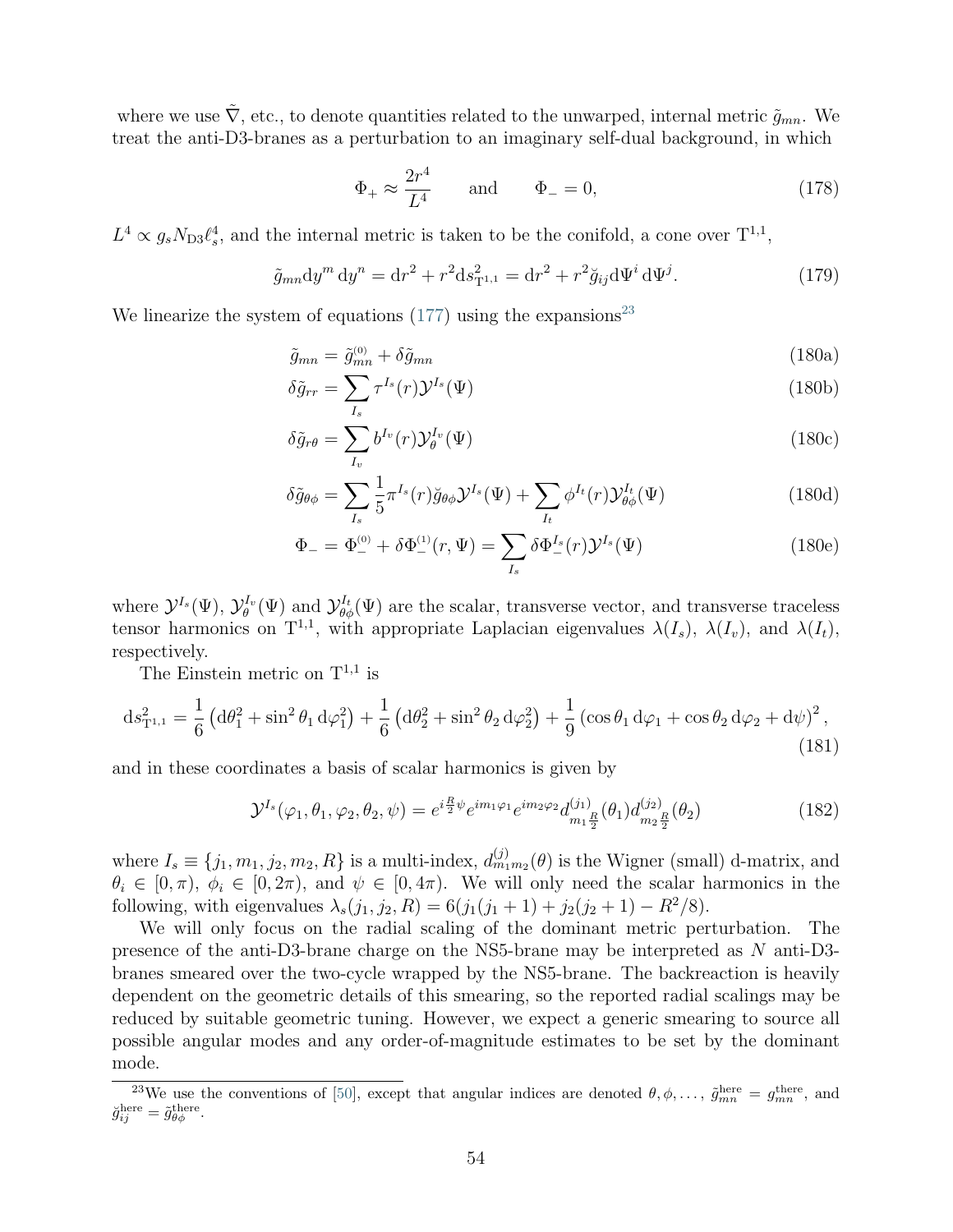where we use  $\tilde{\nabla}$ , etc., to denote quantities related to the unwarped, internal metric  $\tilde{g}_{mn}$ . We treat the anti-D3-branes as a perturbation to an imaginary self-dual background, in which

<span id="page-54-1"></span>
$$
\Phi_+ \approx \frac{2r^4}{L^4} \qquad \text{and} \qquad \Phi_- = 0,\tag{178}
$$

 $L^4 \propto g_s N_{\text{D3}} \ell_s^4$ , and the internal metric is taken to be the conifold, a cone over  $T^{1,1}$ ,

$$
\tilde{g}_{mn} dy^m dy^n = dr^2 + r^2 ds_{T^{1,1}}^2 = dr^2 + r^2 \tilde{g}_{ij} d\Psi^i d\Psi^j.
$$
 (179)

We linearize the system of equations  $(177)$  using the expansions<sup>[23](#page-54-0)</sup>

$$
\tilde{g}_{mn} = \tilde{g}_{mn}^{(0)} + \delta \tilde{g}_{mn} \tag{180a}
$$

$$
\delta \tilde{g}_{rr} = \sum_{I_s} \tau^{I_s}(r) \mathcal{Y}^{I_s}(\Psi)
$$
\n(180b)

$$
\delta \tilde{g}_{r\theta} = \sum_{I_v} b^{I_v}(r) \mathcal{Y}_{\theta}^{I_v}(\Psi)
$$
\n(180c)

$$
\delta \tilde{g}_{\theta\phi} = \sum_{I_s} \frac{1}{5} \pi^{I_s}(r) \breve{g}_{\theta\phi} \mathcal{Y}^{I_s}(\Psi) + \sum_{I_t} \phi^{I_t}(r) \mathcal{Y}^{I_t}_{\theta\phi}(\Psi)
$$
(180d)

$$
\Phi_{-} = \Phi_{-}^{(0)} + \delta \Phi_{-}^{(1)}(r, \Psi) = \sum_{I_s} \delta \Phi_{-}^{I_s}(r) \mathcal{Y}^{I_s}(\Psi)
$$
\n(180e)

where  $\mathcal{Y}^{I_s}(\Psi)$ ,  $\mathcal{Y}_{\theta}^{I_t}(\Psi)$  and  $\mathcal{Y}_{\theta\phi}^{I_t}(\Psi)$  are the scalar, transverse vector, and transverse traceless tensor harmonics on  $T^{1,1}$ , with appropriate Laplacian eigenvalues  $\lambda(I_s)$ ,  $\lambda(I_v)$ , and  $\lambda(I_t)$ , respectively.

The Einstein metric on  $T^{1,1}$  is

$$
ds_{T^{1,1}}^2 = \frac{1}{6} \left( d\theta_1^2 + \sin^2 \theta_1 d\varphi_1^2 \right) + \frac{1}{6} \left( d\theta_2^2 + \sin^2 \theta_2 d\varphi_2^2 \right) + \frac{1}{9} \left( \cos \theta_1 d\varphi_1 + \cos \theta_2 d\varphi_2 + d\psi \right)^2, \tag{181}
$$

and in these coordinates a basis of scalar harmonics is given by

$$
\mathcal{Y}^{I_s}(\varphi_1, \theta_1, \varphi_2, \theta_2, \psi) = e^{i\frac{R}{2}\psi} e^{im_1\varphi_1} e^{im_2\varphi_2} d_{m_1\frac{R}{2}}^{(j_1)}(\theta_1) d_{m_2\frac{R}{2}}^{(j_2)}(\theta_2)
$$
(182)

where  $I_s \equiv \{j_1, m_1, j_2, m_2, R\}$  is a multi-index,  $d_{m_1m_2}^{(j)}(\theta)$  is the Wigner (small) d-matrix, and  $\theta_i \in [0, \pi)$ ,  $\phi_i \in [0, 2\pi)$ , and  $\psi \in [0, 4\pi)$ . We will only need the scalar harmonics in the following, with eigenvalues  $\lambda_s(j_1, j_2, R) = 6(j_1(j_1 + 1) + j_2(j_2 + 1) - R^2/8)$ .

We will only focus on the radial scaling of the dominant metric perturbation. The presence of the anti-D3-brane charge on the NS5-brane may be interpreted as N anti-D3 branes smeared over the two-cycle wrapped by the NS5-brane. The backreaction is heavily dependent on the geometric details of this smearing, so the reported radial scalings may be reduced by suitable geometric tuning. However, we expect a generic smearing to source all possible angular modes and any order-of-magnitude estimates to be set by the dominant mode.

<span id="page-54-0"></span><sup>&</sup>lt;sup>23</sup>We use the conventions of [\[50\]](#page-58-6), except that angular indices are denoted  $\theta, \phi, \ldots, \tilde{g}_{mn}^{\text{here}} = g_{mn}^{\text{there}}$ , and  $\breve{g}_{ij}^{\text{here}} = \tilde{g}_{\theta\phi}^{\text{there}}.$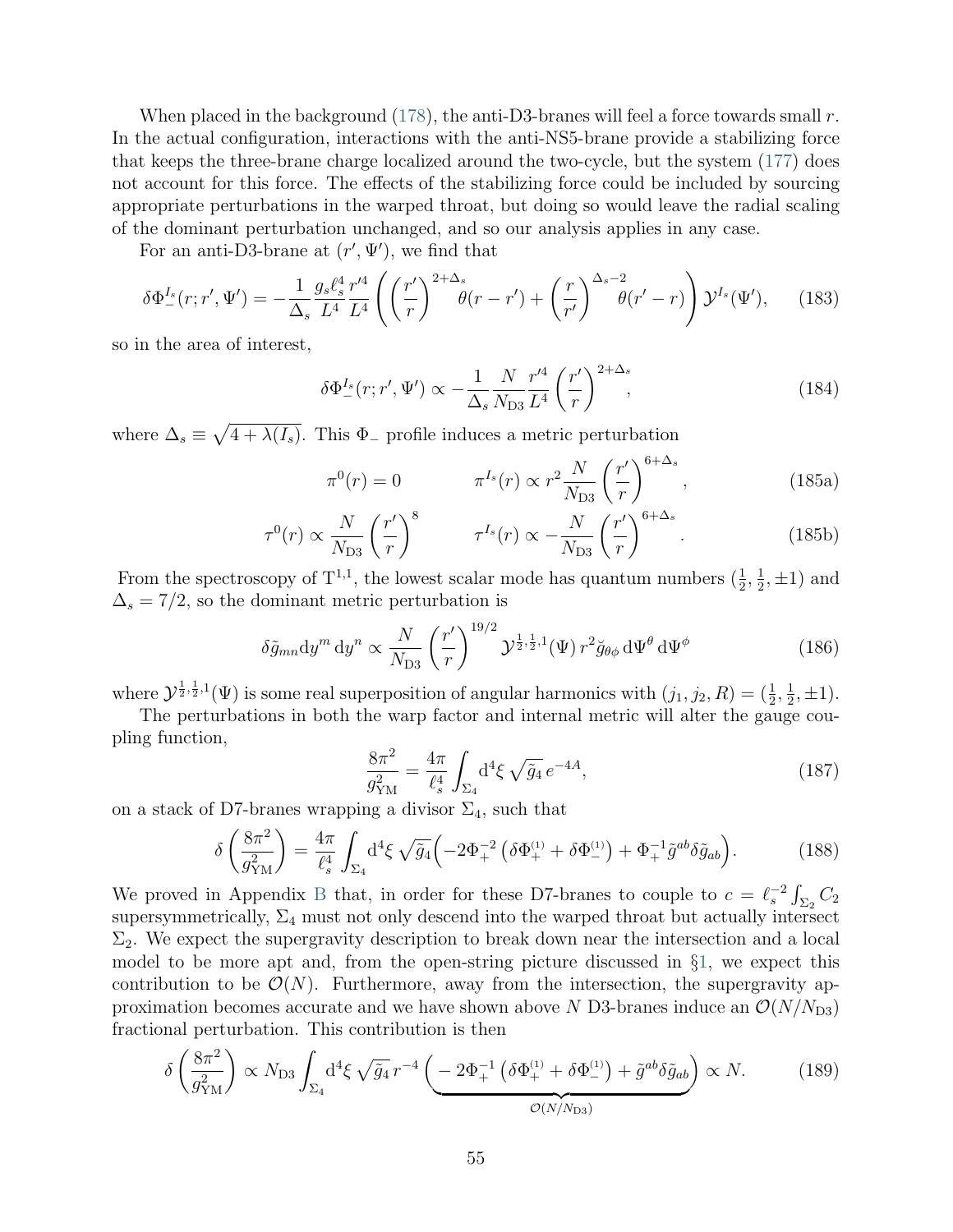When placed in the background [\(178\)](#page-54-1), the anti-D3-branes will feel a force towards small  $r$ . In the actual configuration, interactions with the anti-NS5-brane provide a stabilizing force that keeps the three-brane charge localized around the two-cycle, but the system [\(177\)](#page-53-2) does not account for this force. The effects of the stabilizing force could be included by sourcing appropriate perturbations in the warped throat, but doing so would leave the radial scaling of the dominant perturbation unchanged, and so our analysis applies in any case.

For an anti-D3-brane at  $(r', \Psi')$ , we find that

$$
\delta \Phi_-^{I_s}(r; r', \Psi') = -\frac{1}{\Delta_s} \frac{g_s \ell_s^4}{L^4} \frac{r'^4}{L^4} \left( \left( \frac{r'}{r} \right)^{2+\Delta_s} \theta(r - r') + \left( \frac{r}{r'} \right)^{\Delta_s - 2} \theta(r' - r) \right) \mathcal{Y}^{I_s}(\Psi'), \tag{183}
$$

so in the area of interest,

$$
\delta \Phi_-^{I_s}(r; r', \Psi') \propto -\frac{1}{\Delta_s} \frac{N}{N_{\text{D3}}} \frac{r'^4}{L^4} \left(\frac{r'}{r}\right)^{2+\Delta_s},\tag{184}
$$

where  $\Delta_s \equiv \sqrt{4 + \lambda(I_s)}$ . This  $\Phi$ <sub>-</sub> profile induces a metric perturbation

$$
\pi^0(r) = 0 \qquad \qquad \pi^{I_s}(r) \propto r^2 \frac{N}{N_{\text{D3}}} \left(\frac{r'}{r}\right)^{6+\Delta_s},\tag{185a}
$$

$$
\tau^0(r) \propto \frac{N}{N_{\text{D3}}} \left(\frac{r'}{r}\right)^8 \qquad \tau^{I_s}(r) \propto -\frac{N}{N_{\text{D3}}} \left(\frac{r'}{r}\right)^{6+\Delta_s}.\tag{185b}
$$

From the spectroscopy of  $T^{1,1}$ , the lowest scalar mode has quantum numbers  $(\frac{1}{2}, \frac{1}{2})$  $(\frac{1}{2}, \pm 1)$  and  $\Delta_s = 7/2$ , so the dominant metric perturbation is

$$
\delta \tilde{g}_{mn} \mathrm{d}y^m \mathrm{d}y^n \propto \frac{N}{N_{\mathrm{D3}}} \left(\frac{r'}{r}\right)^{19/2} \mathcal{Y}^{\frac{1}{2}, \frac{1}{2}, 1}(\Psi) r^2 \breve{g}_{\theta\phi} \mathrm{d}\Psi^{\theta} \mathrm{d}\Psi^{\phi}
$$
(186)

where  $\mathcal{Y}^{\frac{1}{2},\frac{1}{2},1}(\Psi)$  is some real superposition of angular harmonics with  $(j_1, j_2, R) = (\frac{1}{2}, \frac{1}{2})$  $\frac{1}{2}, \pm 1$ ).

The perturbations in both the warp factor and internal metric will alter the gauge coupling function,

$$
\frac{8\pi^2}{g_{\rm YM}^2} = \frac{4\pi}{\ell_s^4} \int_{\Sigma_4} d^4\xi \sqrt{\tilde{g}_4} e^{-4A},\tag{187}
$$

on a stack of D7-branes wrapping a divisor  $\Sigma_4$ , such that

$$
\delta \left( \frac{8\pi^2}{g_{\rm YM}^2} \right) = \frac{4\pi}{\ell_s^4} \int_{\Sigma_4} {\rm d}^4 \xi \sqrt{\tilde{g}_4} \left( -2\Phi_+^{-2} \left( \delta \Phi_+^{(1)} + \delta \Phi_-^{(1)} \right) + \Phi_+^{-1} \tilde{g}^{ab} \delta \tilde{g}_{ab} \right). \tag{188}
$$

We proved in Appendix [B](#page-47-0) that, in order for these D7-branes to couple to  $c = \ell_s^{-2} \int_{\Sigma_2} C_2$ supersymmetrically,  $\Sigma_4$  must not only descend into the warped throat but actually intersect  $\Sigma_2$ . We expect the supergravity description to break down near the intersection and a local model to be more apt and, from the open-string picture discussed in §[1,](#page-2-0) we expect this contribution to be  $\mathcal{O}(N)$ . Furthermore, away from the intersection, the supergravity approximation becomes accurate and we have shown above N D3-branes induce an  $\mathcal{O}(N/N_{\text{D3}})$ fractional perturbation. This contribution is then

$$
\delta \left( \frac{8\pi^2}{g_{\rm YM}^2} \right) \propto N_{\rm D3} \int_{\Sigma_4} {\rm d}^4 \xi \sqrt{\tilde{g}_4} \, r^{-4} \left( -2\Phi_+^{-1} \left( \delta \Phi_+^{(1)} + \delta \Phi_-^{(1)} \right) + \tilde{g}^{ab} \delta \tilde{g}_{ab} \right) \propto N. \tag{189}
$$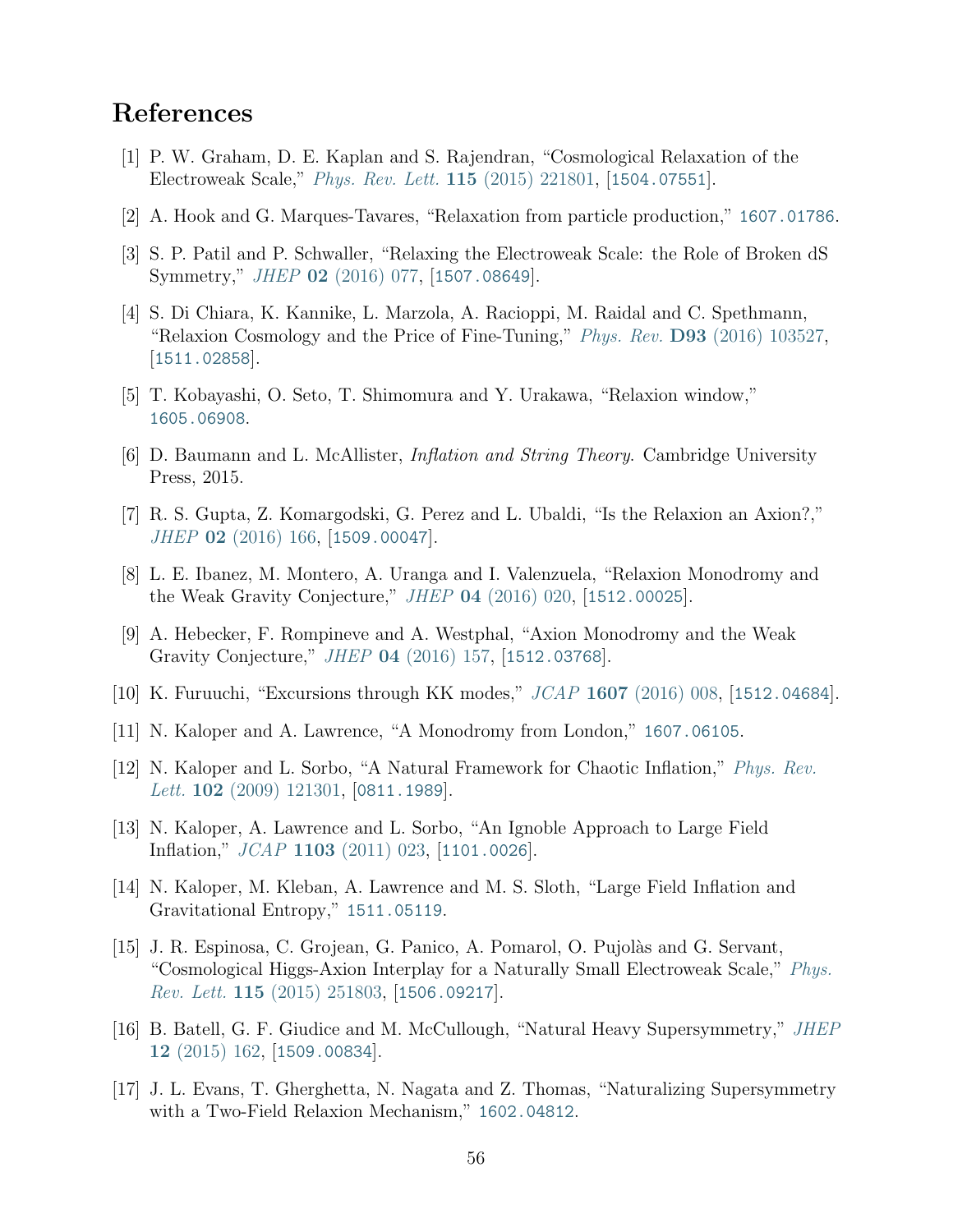# References

- <span id="page-56-0"></span>[1] P. W. Graham, D. E. Kaplan and S. Rajendran, "Cosmological Relaxation of the Electroweak Scale," [Phys. Rev. Lett.](http://dx.doi.org/10.1103/PhysRevLett.115.221801) 115 (2015) 221801, [[1504.07551](http://arxiv.org/abs/1504.07551)].
- <span id="page-56-1"></span>[2] A. Hook and G. Marques-Tavares, "Relaxation from particle production," [1607.01786](http://arxiv.org/abs/1607.01786).
- <span id="page-56-2"></span>[3] S. P. Patil and P. Schwaller, "Relaxing the Electroweak Scale: the Role of Broken dS Symmetry," *JHEP* **02** [\(2016\) 077,](http://dx.doi.org/10.1007/JHEP02(2016)077) [[1507.08649](http://arxiv.org/abs/1507.08649)].
- [4] S. Di Chiara, K. Kannike, L. Marzola, A. Racioppi, M. Raidal and C. Spethmann, "Relaxion Cosmology and the Price of Fine-Tuning," Phys. Rev. D93 [\(2016\) 103527,](http://dx.doi.org/10.1103/PhysRevD.93.103527) [[1511.02858](http://arxiv.org/abs/1511.02858)].
- <span id="page-56-3"></span>[5] T. Kobayashi, O. Seto, T. Shimomura and Y. Urakawa, "Relaxion window," [1605.06908](http://arxiv.org/abs/1605.06908).
- <span id="page-56-4"></span>[6] D. Baumann and L. McAllister, Inflation and String Theory. Cambridge University Press, 2015.
- <span id="page-56-5"></span>[7] R. S. Gupta, Z. Komargodski, G. Perez and L. Ubaldi, "Is the Relaxion an Axion?," JHEP 02 [\(2016\) 166,](http://dx.doi.org/10.1007/JHEP02(2016)166) [[1509.00047](http://arxiv.org/abs/1509.00047)].
- <span id="page-56-6"></span>[8] L. E. Ibanez, M. Montero, A. Uranga and I. Valenzuela, "Relaxion Monodromy and the Weak Gravity Conjecture," JHEP 04 [\(2016\) 020,](http://dx.doi.org/10.1007/JHEP04(2016)020) [[1512.00025](http://arxiv.org/abs/1512.00025)].
- <span id="page-56-7"></span>[9] A. Hebecker, F. Rompineve and A. Westphal, "Axion Monodromy and the Weak Gravity Conjecture," JHEP 04 [\(2016\) 157,](http://dx.doi.org/10.1007/JHEP04(2016)157) [[1512.03768](http://arxiv.org/abs/1512.03768)].
- <span id="page-56-8"></span>[10] K. Furuuchi, "Excursions through KK modes," JCAP 1607 [\(2016\) 008,](http://dx.doi.org/10.1088/1475-7516/2016/07/008) [[1512.04684](http://arxiv.org/abs/1512.04684)].
- <span id="page-56-9"></span>[11] N. Kaloper and A. Lawrence, "A Monodromy from London," [1607.06105](http://arxiv.org/abs/1607.06105).
- <span id="page-56-11"></span>[12] N. Kaloper and L. Sorbo, "A Natural Framework for Chaotic Inflation," [Phys. Rev.](http://dx.doi.org/10.1103/PhysRevLett.102.121301) Lett.  $102$  [\(2009\) 121301,](http://dx.doi.org/10.1103/PhysRevLett.102.121301) [[0811.1989](http://arxiv.org/abs/0811.1989)].
- <span id="page-56-15"></span>[13] N. Kaloper, A. Lawrence and L. Sorbo, "An Ignoble Approach to Large Field Inflation," JCAP 1103 [\(2011\) 023,](http://dx.doi.org/10.1088/1475-7516/2011/03/023) [[1101.0026](http://arxiv.org/abs/1101.0026)].
- <span id="page-56-10"></span>[14] N. Kaloper, M. Kleban, A. Lawrence and M. S. Sloth, "Large Field Inflation and Gravitational Entropy," [1511.05119](http://arxiv.org/abs/1511.05119).
- <span id="page-56-12"></span>[15] J. R. Espinosa, C. Grojean, G. Panico, A. Pomarol, O. Pujolàs and G. Servant, "Cosmological Higgs-Axion Interplay for a Naturally Small Electroweak Scale," [Phys.](http://dx.doi.org/10.1103/PhysRevLett.115.251803) Rev. Lett. 115 [\(2015\) 251803,](http://dx.doi.org/10.1103/PhysRevLett.115.251803) [[1506.09217](http://arxiv.org/abs/1506.09217)].
- <span id="page-56-13"></span>[16] B. Batell, G. F. Giudice and M. McCullough, "Natural Heavy Supersymmetry," [JHEP](http://dx.doi.org/10.1007/JHEP12(2015)162) 12 [\(2015\) 162,](http://dx.doi.org/10.1007/JHEP12(2015)162) [[1509.00834](http://arxiv.org/abs/1509.00834)].
- <span id="page-56-14"></span>[17] J. L. Evans, T. Gherghetta, N. Nagata and Z. Thomas, "Naturalizing Supersymmetry with a Two-Field Relaxion Mechanism," [1602.04812](http://arxiv.org/abs/1602.04812).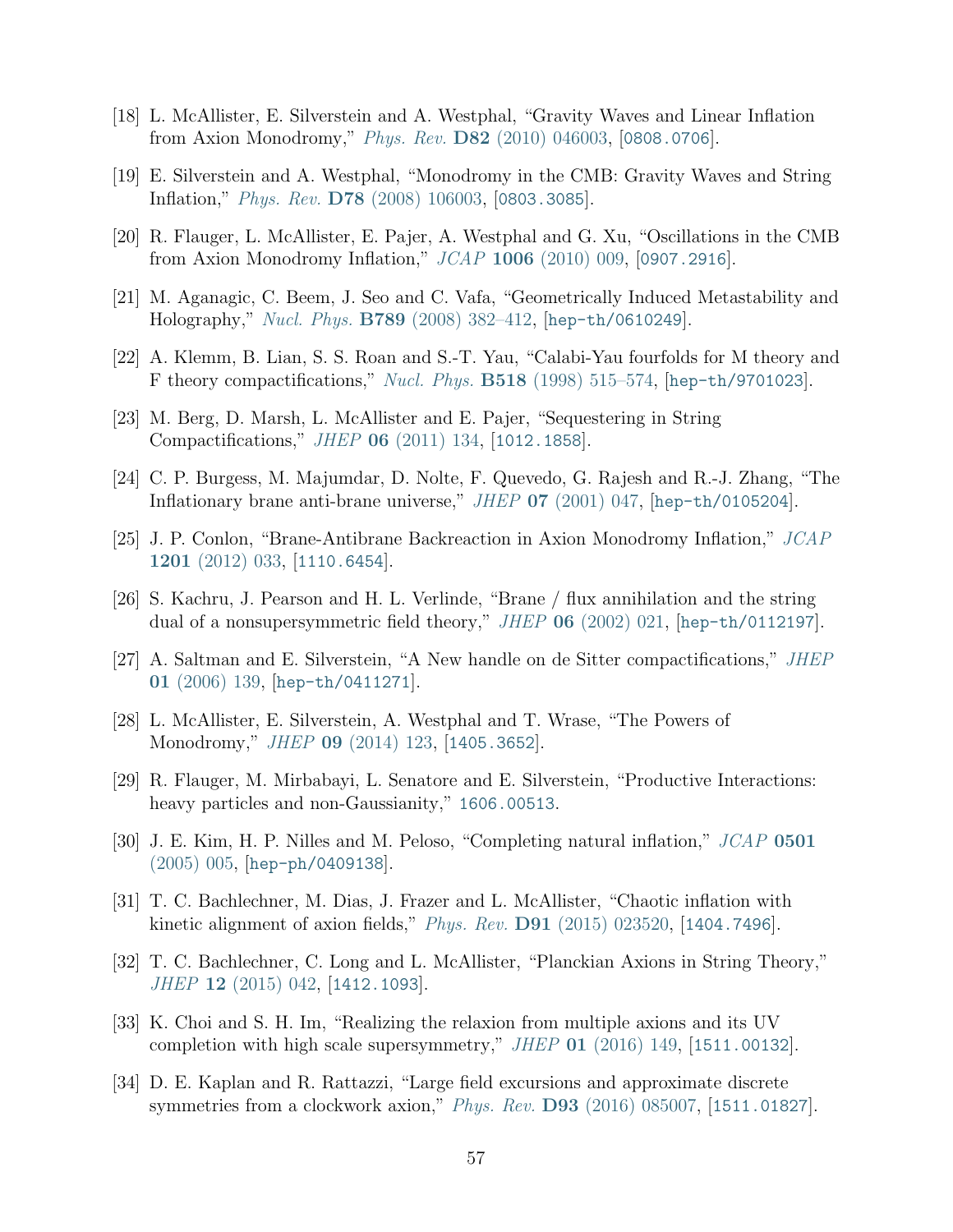- <span id="page-57-0"></span>[18] L. McAllister, E. Silverstein and A. Westphal, "Gravity Waves and Linear Inflation from Axion Monodromy," Phys. Rev. D82 [\(2010\) 046003,](http://dx.doi.org/10.1103/PhysRevD.82.046003) [[0808.0706](http://arxiv.org/abs/0808.0706)].
- <span id="page-57-1"></span>[19] E. Silverstein and A. Westphal, "Monodromy in the CMB: Gravity Waves and String Inflation," Phys. Rev. D78 [\(2008\) 106003,](http://dx.doi.org/10.1103/PhysRevD.78.106003) [[0803.3085](http://arxiv.org/abs/0803.3085)].
- <span id="page-57-2"></span>[20] R. Flauger, L. McAllister, E. Pajer, A. Westphal and G. Xu, "Oscillations in the CMB from Axion Monodromy Inflation,"  $JCAP$  1006 [\(2010\) 009,](http://dx.doi.org/10.1088/1475-7516/2010/06/009) [[0907.2916](http://arxiv.org/abs/0907.2916)].
- <span id="page-57-3"></span>[21] M. Aganagic, C. Beem, J. Seo and C. Vafa, "Geometrically Induced Metastability and Holography," Nucl. Phys. B789 [\(2008\) 382–412,](http://dx.doi.org/10.1016/j.nuclphysb.2007.08.018) [[hep-th/0610249](http://arxiv.org/abs/hep-th/0610249)].
- <span id="page-57-4"></span>[22] A. Klemm, B. Lian, S. S. Roan and S.-T. Yau, "Calabi-Yau fourfolds for M theory and F theory compactifications," Nucl. Phys.  $B518$  [\(1998\) 515–574,](http://dx.doi.org/10.1016/S0550-3213(97)00798-0) [[hep-th/9701023](http://arxiv.org/abs/hep-th/9701023)].
- <span id="page-57-5"></span>[23] M. Berg, D. Marsh, L. McAllister and E. Pajer, "Sequestering in String Compactifications," JHEP 06 [\(2011\) 134,](http://dx.doi.org/10.1007/JHEP06(2011)134) [[1012.1858](http://arxiv.org/abs/1012.1858)].
- <span id="page-57-6"></span>[24] C. P. Burgess, M. Majumdar, D. Nolte, F. Quevedo, G. Rajesh and R.-J. Zhang, "The Inflationary brane anti-brane universe," JHEP 07 [\(2001\) 047,](http://dx.doi.org/10.1088/1126-6708/2001/07/047) [[hep-th/0105204](http://arxiv.org/abs/hep-th/0105204)].
- <span id="page-57-7"></span>[25] J. P. Conlon, "Brane-Antibrane Backreaction in Axion Monodromy Inflation," [JCAP](http://dx.doi.org/10.1088/1475-7516/2012/01/033) 1201 [\(2012\) 033,](http://dx.doi.org/10.1088/1475-7516/2012/01/033) [[1110.6454](http://arxiv.org/abs/1110.6454)].
- <span id="page-57-8"></span>[26] S. Kachru, J. Pearson and H. L. Verlinde, "Brane / flux annihilation and the string dual of a nonsupersymmetric field theory," JHEP 06 [\(2002\) 021,](http://dx.doi.org/10.1088/1126-6708/2002/06/021) [[hep-th/0112197](http://arxiv.org/abs/hep-th/0112197)].
- <span id="page-57-9"></span>[27] A. Saltman and E. Silverstein, "A New handle on de Sitter compactifications," [JHEP](http://dx.doi.org/10.1088/1126-6708/2006/01/139) 01 [\(2006\) 139,](http://dx.doi.org/10.1088/1126-6708/2006/01/139) [[hep-th/0411271](http://arxiv.org/abs/hep-th/0411271)].
- <span id="page-57-10"></span>[28] L. McAllister, E. Silverstein, A. Westphal and T. Wrase, "The Powers of Monodromy," JHEP 09 [\(2014\) 123,](http://dx.doi.org/10.1007/JHEP09(2014)123) [[1405.3652](http://arxiv.org/abs/1405.3652)].
- <span id="page-57-11"></span>[29] R. Flauger, M. Mirbabayi, L. Senatore and E. Silverstein, "Productive Interactions: heavy particles and non-Gaussianity," [1606.00513](http://arxiv.org/abs/1606.00513).
- <span id="page-57-12"></span>[30] J. E. Kim, H. P. Nilles and M. Peloso, "Completing natural inflation," [JCAP](http://dx.doi.org/10.1088/1475-7516/2005/01/005) 0501 [\(2005\) 005,](http://dx.doi.org/10.1088/1475-7516/2005/01/005) [[hep-ph/0409138](http://arxiv.org/abs/hep-ph/0409138)].
- <span id="page-57-13"></span>[31] T. C. Bachlechner, M. Dias, J. Frazer and L. McAllister, "Chaotic inflation with kinetic alignment of axion fields,"  $Phys. Rev.$   $D91$  [\(2015\) 023520,](http://dx.doi.org/10.1103/PhysRevD.91.023520) [[1404.7496](http://arxiv.org/abs/1404.7496)].
- <span id="page-57-14"></span>[32] T. C. Bachlechner, C. Long and L. McAllister, "Planckian Axions in String Theory," JHEP 12 [\(2015\) 042,](http://dx.doi.org/10.1007/JHEP12(2015)042) [[1412.1093](http://arxiv.org/abs/1412.1093)].
- <span id="page-57-15"></span>[33] K. Choi and S. H. Im, "Realizing the relaxion from multiple axions and its UV completion with high scale supersymmetry," JHEP 01 [\(2016\) 149,](http://dx.doi.org/10.1007/JHEP01(2016)149) [[1511.00132](http://arxiv.org/abs/1511.00132)].
- <span id="page-57-16"></span>[34] D. E. Kaplan and R. Rattazzi, "Large field excursions and approximate discrete symmetries from a clockwork axion," *Phys. Rev.* **D93** [\(2016\) 085007,](http://dx.doi.org/10.1103/PhysRevD.93.085007) [[1511.01827](http://arxiv.org/abs/1511.01827)].